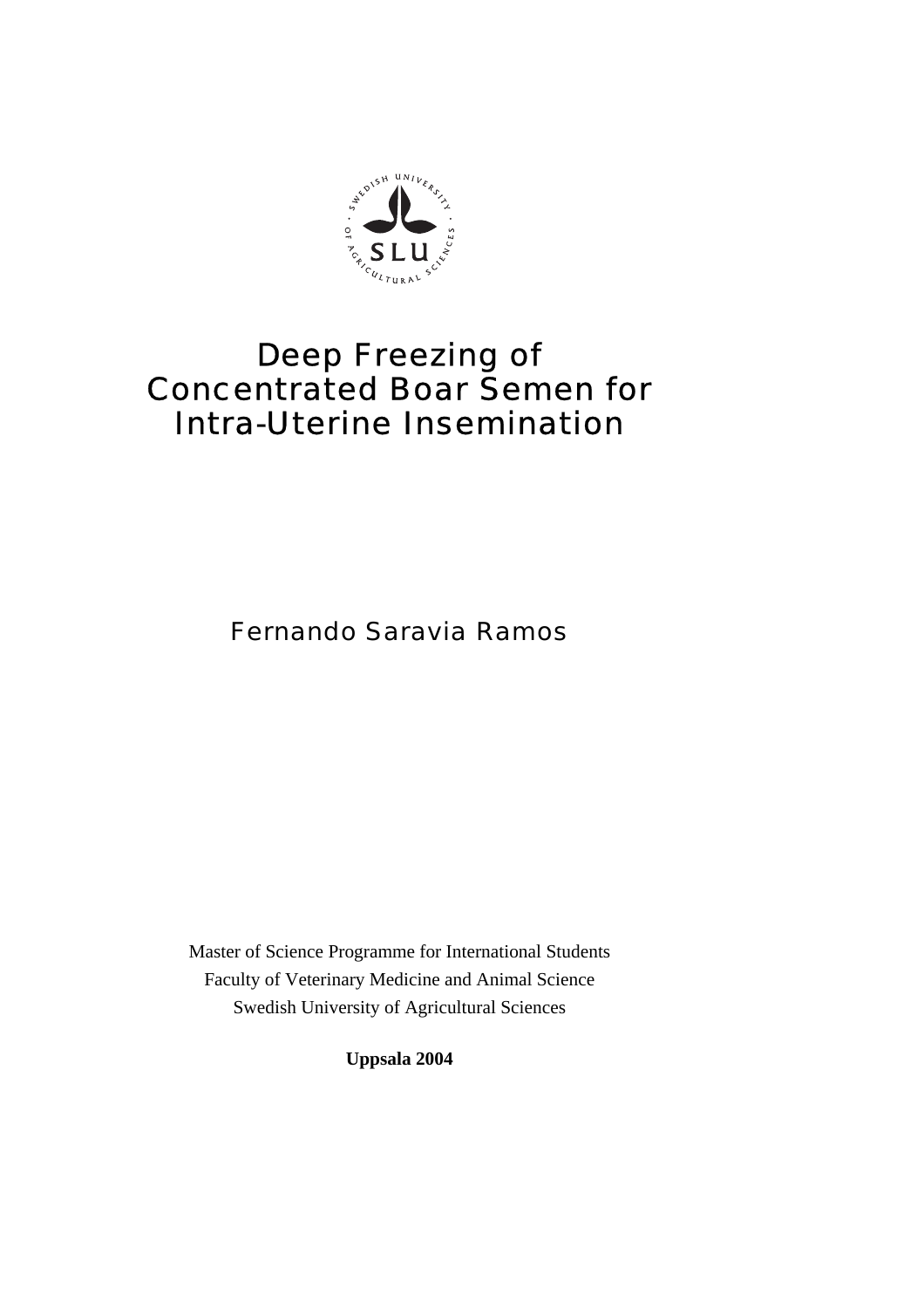

# Deep Freezing of Concentrated Boar Semen for Intra-Uterine Insemination

Fernando Saravia Ramos

Master of Science Programme for International Students Faculty of Veterinary Medicine and Animal Science Swedish University of Agricultural Sciences

**Uppsala 2004**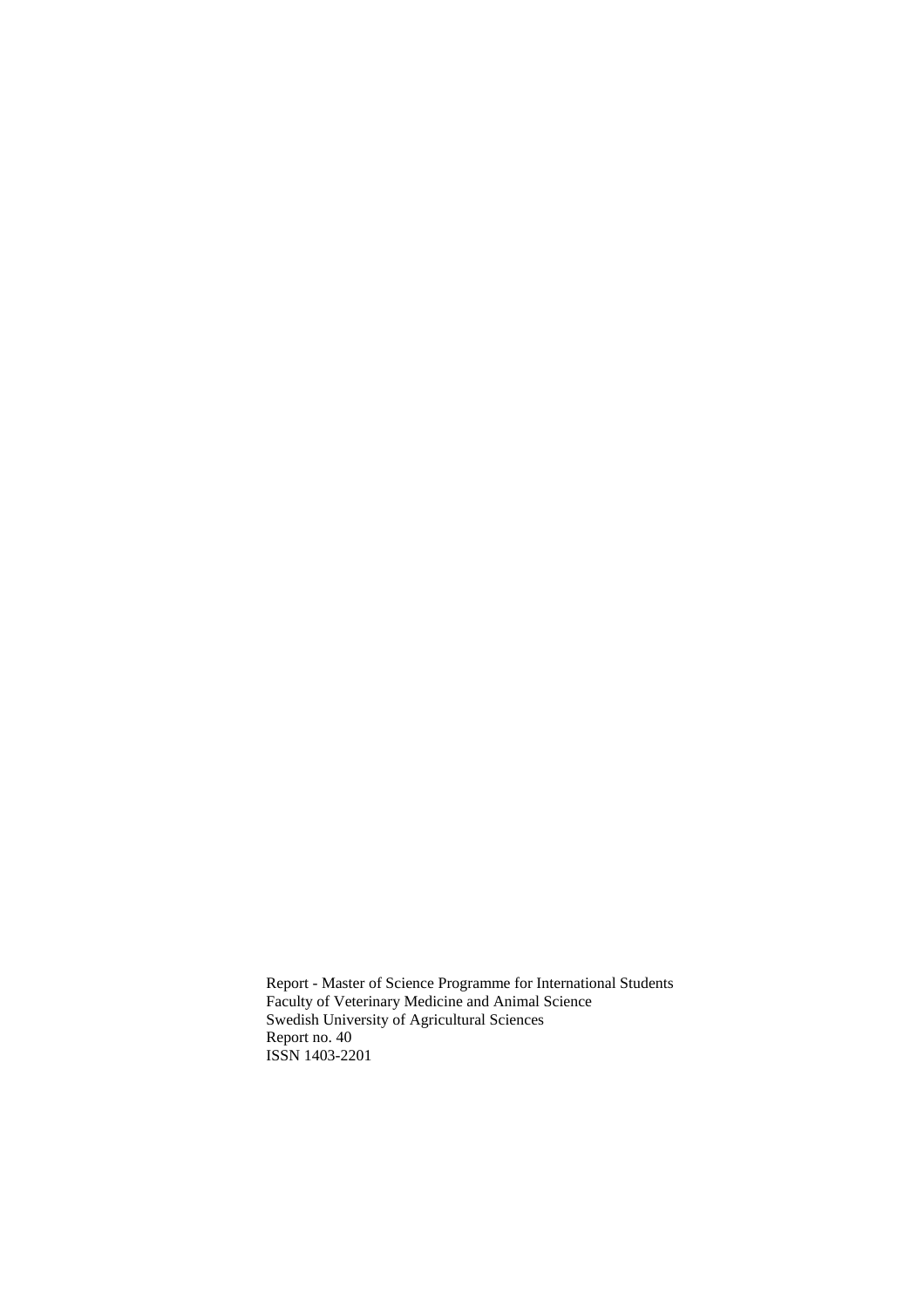Report - Master of Science Programme for International Students Faculty of Veterinary Medicine and Animal Science Swedish University of Agricultural Sciences Report no. 40 ISSN 1403-2201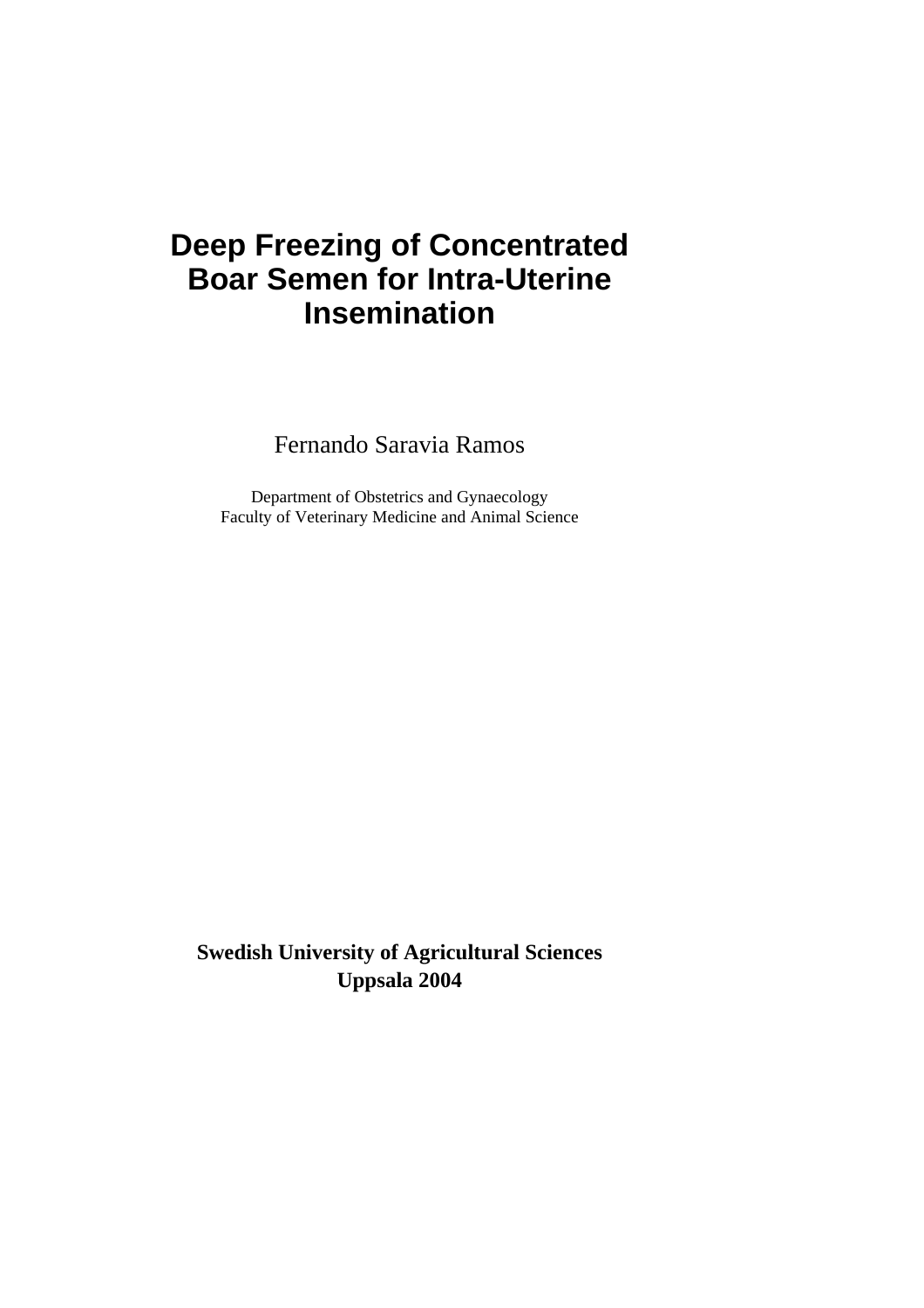# **Deep Freezing of Concentrated Boar Semen for Intra-Uterine Insemination**

Fernando Saravia Ramos

Department of Obstetrics and Gynaecology Faculty of Veterinary Medicine and Animal Science

**Swedish University of Agricultural Sciences Uppsala 2004**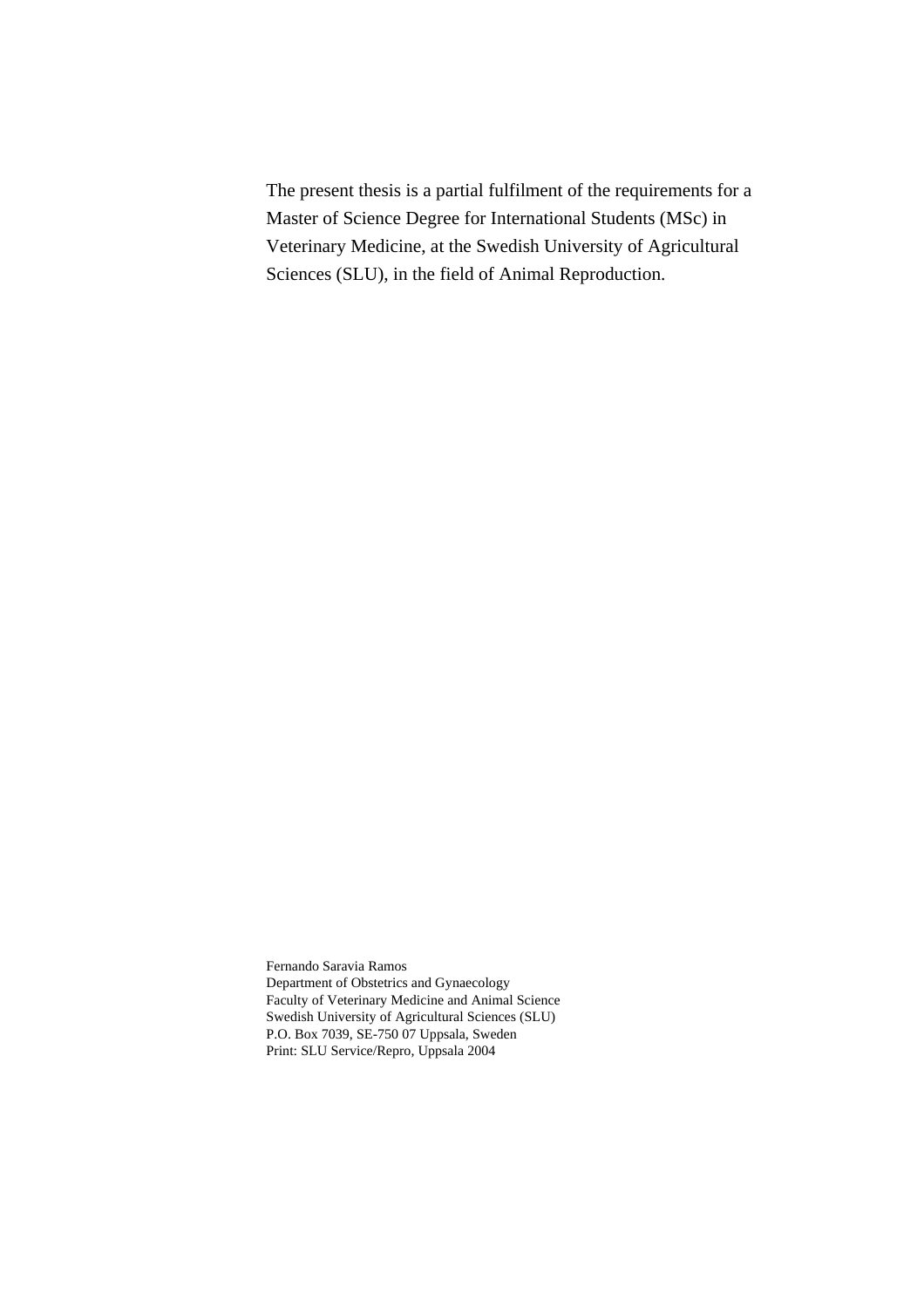The present thesis is a partial fulfilment of the requirements for a Master of Science Degree for International Students (MSc) in Veterinary Medicine, at the Swedish University of Agricultural Sciences (SLU), in the field of Animal Reproduction.

Fernando Saravia Ramos Department of Obstetrics and Gynaecology Faculty of Veterinary Medicine and Animal Science Swedish University of Agricultural Sciences (SLU) P.O. Box 7039, SE-750 07 Uppsala, Sweden Print: SLU Service/Repro, Uppsala 2004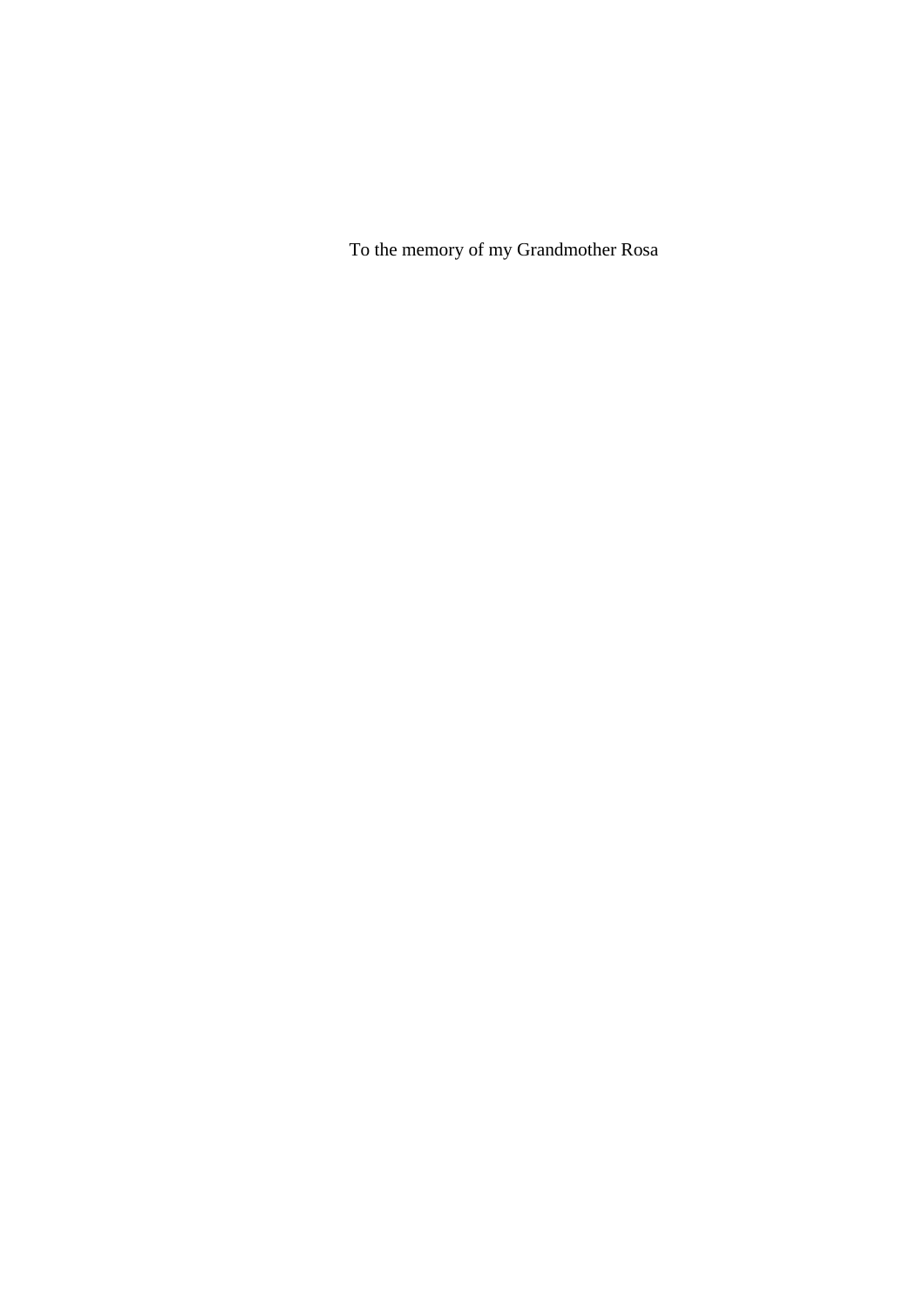To the memory of my Grandmother Rosa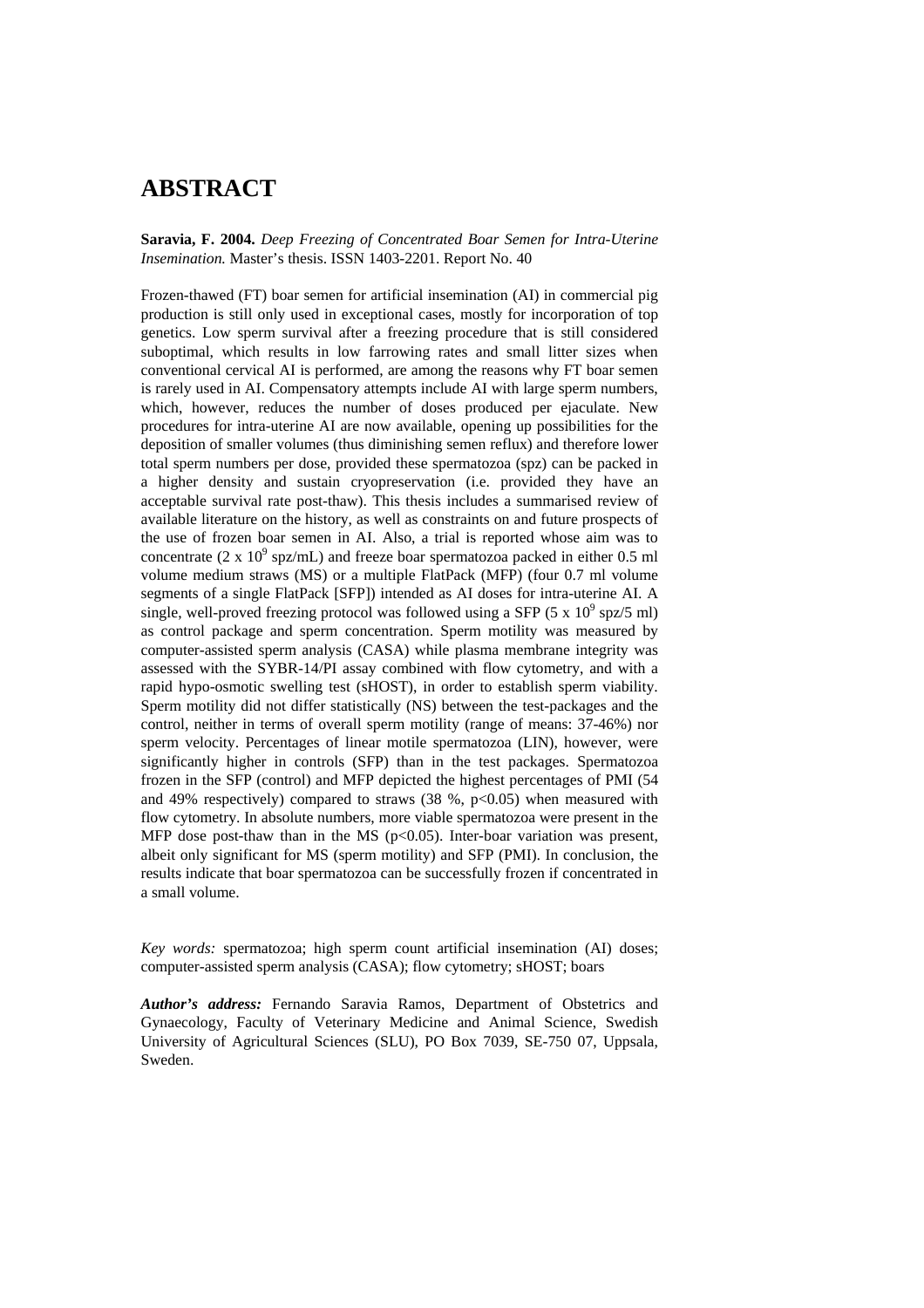## **ABSTRACT**

**Saravia, F. 2004.** *Deep Freezing of Concentrated Boar Semen for Intra-Uterine Insemination.* Master's thesis. ISSN 1403-2201. Report No. 40

Frozen-thawed (FT) boar semen for artificial insemination (AI) in commercial pig production is still only used in exceptional cases, mostly for incorporation of top genetics. Low sperm survival after a freezing procedure that is still considered suboptimal, which results in low farrowing rates and small litter sizes when conventional cervical AI is performed, are among the reasons why FT boar semen is rarely used in AI. Compensatory attempts include AI with large sperm numbers, which, however, reduces the number of doses produced per ejaculate. New procedures for intra-uterine AI are now available, opening up possibilities for the deposition of smaller volumes (thus diminishing semen reflux) and therefore lower total sperm numbers per dose, provided these spermatozoa (spz) can be packed in a higher density and sustain cryopreservation (i.e. provided they have an acceptable survival rate post-thaw). This thesis includes a summarised review of available literature on the history, as well as constraints on and future prospects of the use of frozen boar semen in AI. Also, a trial is reported whose aim was to concentrate (2 x  $10^9$  spz/mL) and freeze boar spermatozoa packed in either 0.5 ml volume medium straws (MS) or a multiple FlatPack (MFP) (four 0.7 ml volume segments of a single FlatPack [SFP]) intended as AI doses for intra-uterine AI. A single, well-proved freezing protocol was followed using a SFP (5 x  $10^9$  spz/5 ml) as control package and sperm concentration. Sperm motility was measured by computer-assisted sperm analysis (CASA) while plasma membrane integrity was assessed with the SYBR-14/PI assay combined with flow cytometry, and with a rapid hypo-osmotic swelling test (sHOST), in order to establish sperm viability. Sperm motility did not differ statistically (NS) between the test-packages and the control, neither in terms of overall sperm motility (range of means: 37-46%) nor sperm velocity. Percentages of linear motile spermatozoa (LIN), however, were significantly higher in controls (SFP) than in the test packages. Spermatozoa frozen in the SFP (control) and MFP depicted the highest percentages of PMI (54 and 49% respectively) compared to straws  $(38 \text{ %}, p<0.05)$  when measured with flow cytometry. In absolute numbers, more viable spermatozoa were present in the MFP dose post-thaw than in the MS ( $p<0.05$ ). Inter-boar variation was present, albeit only significant for MS (sperm motility) and SFP (PMI). In conclusion, the results indicate that boar spermatozoa can be successfully frozen if concentrated in a small volume.

*Key words:* spermatozoa; high sperm count artificial insemination (AI) doses; computer-assisted sperm analysis (CASA); flow cytometry; sHOST; boars

*Author's address:* Fernando Saravia Ramos, Department of Obstetrics and Gynaecology, Faculty of Veterinary Medicine and Animal Science, Swedish University of Agricultural Sciences (SLU), PO Box 7039, SE-750 07, Uppsala, Sweden.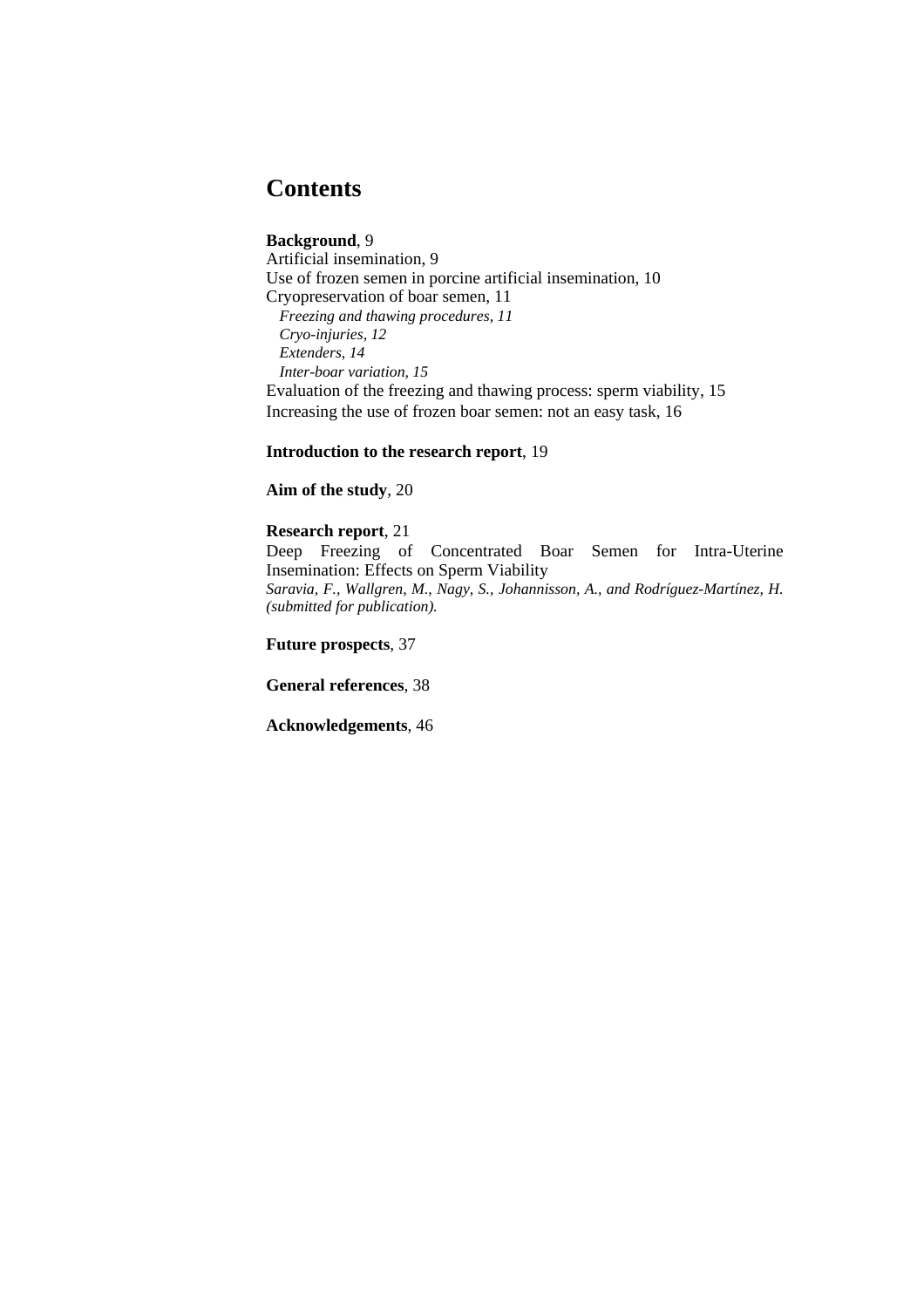## **Contents**

## **Background**, 9

Artificial insemination, 9 Use of frozen semen in porcine artificial insemination, 10 Cryopreservation of boar semen, 11 *Freezing and thawing procedures, 11 Cryo-injuries, 12 Extenders, 14 Inter-boar variation, 15*  Evaluation of the freezing and thawing process: sperm viability, 15 Increasing the use of frozen boar semen: not an easy task, 16

**Introduction to the research report**, 19

**Aim of the study**, 20

## **Research report**, 21

Deep Freezing of Concentrated Boar Semen for Intra-Uterine Insemination: Effects on Sperm Viability *Saravia, F., Wallgren, M., Nagy, S., Johannisson, A., and Rodríguez-Martínez, H. (submitted for publication).* 

**Future prospects**, 37

**General references**, 38

**Acknowledgements**, 46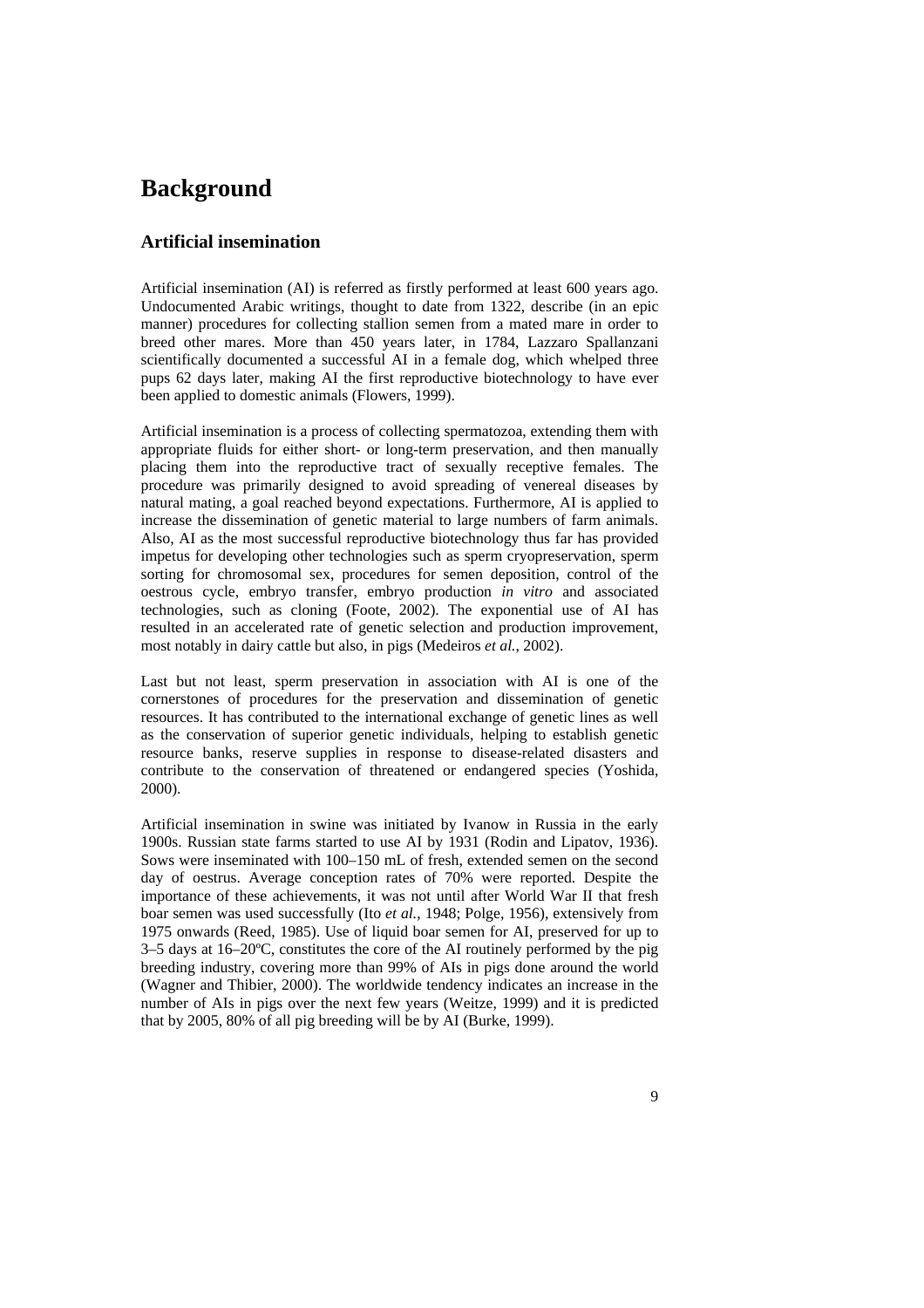## **Background**

## **Artificial insemination**

Artificial insemination (AI) is referred as firstly performed at least 600 years ago. Undocumented Arabic writings, thought to date from 1322, describe (in an epic manner) procedures for collecting stallion semen from a mated mare in order to breed other mares. More than 450 years later, in 1784, Lazzaro Spallanzani scientifically documented a successful AI in a female dog, which whelped three pups 62 days later, making AI the first reproductive biotechnology to have ever been applied to domestic animals (Flowers, 1999).

Artificial insemination is a process of collecting spermatozoa, extending them with appropriate fluids for either short- or long-term preservation, and then manually placing them into the reproductive tract of sexually receptive females. The procedure was primarily designed to avoid spreading of venereal diseases by natural mating, a goal reached beyond expectations. Furthermore, AI is applied to increase the dissemination of genetic material to large numbers of farm animals. Also, AI as the most successful reproductive biotechnology thus far has provided impetus for developing other technologies such as sperm cryopreservation, sperm sorting for chromosomal sex, procedures for semen deposition, control of the oestrous cycle, embryo transfer, embryo production *in vitro* and associated technologies, such as cloning (Foote, 2002). The exponential use of AI has resulted in an accelerated rate of genetic selection and production improvement, most notably in dairy cattle but also, in pigs (Medeiros *et al.*, 2002).

Last but not least, sperm preservation in association with AI is one of the cornerstones of procedures for the preservation and dissemination of genetic resources. It has contributed to the international exchange of genetic lines as well as the conservation of superior genetic individuals, helping to establish genetic resource banks, reserve supplies in response to disease-related disasters and contribute to the conservation of threatened or endangered species (Yoshida, 2000).

Artificial insemination in swine was initiated by Ivanow in Russia in the early 1900s. Russian state farms started to use AI by 1931 (Rodin and Lipatov, 1936). Sows were inseminated with 100–150 mL of fresh, extended semen on the second day of oestrus. Average conception rates of 70% were reported. Despite the importance of these achievements, it was not until after World War II that fresh boar semen was used successfully (Ito *et al.*, 1948; Polge, 1956), extensively from 1975 onwards (Reed, 1985). Use of liquid boar semen for AI, preserved for up to 3–5 days at 16–20ºC, constitutes the core of the AI routinely performed by the pig breeding industry, covering more than 99% of AIs in pigs done around the world (Wagner and Thibier, 2000). The worldwide tendency indicates an increase in the number of AIs in pigs over the next few years (Weitze, 1999) and it is predicted that by 2005, 80% of all pig breeding will be by AI (Burke, 1999).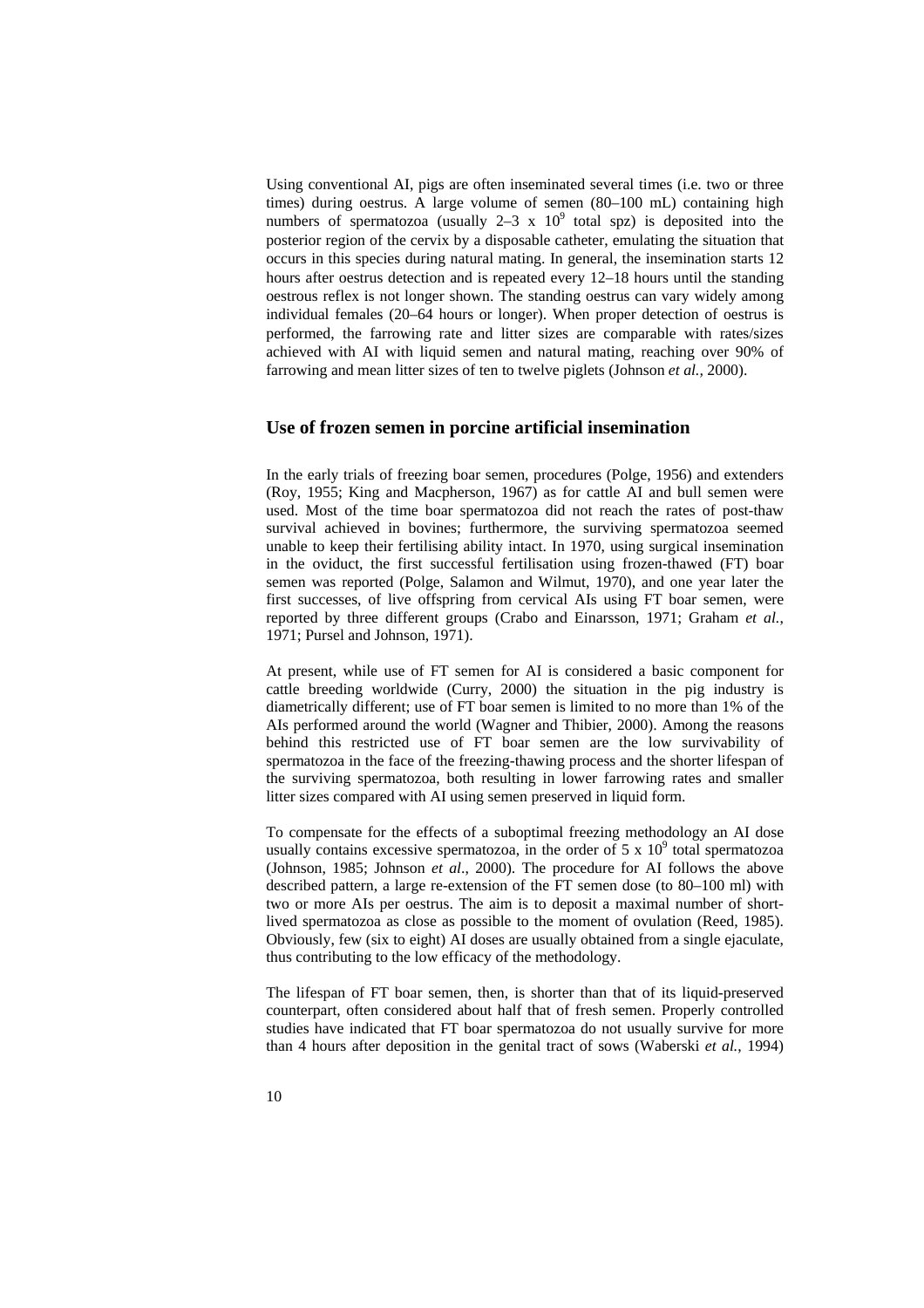Using conventional AI, pigs are often inseminated several times (i.e. two or three times) during oestrus. A large volume of semen (80–100 mL) containing high numbers of spermatozoa (usually  $2-3 \times 10^9$  total spz) is deposited into the posterior region of the cervix by a disposable catheter, emulating the situation that occurs in this species during natural mating. In general, the insemination starts 12 hours after oestrus detection and is repeated every 12–18 hours until the standing oestrous reflex is not longer shown. The standing oestrus can vary widely among individual females (20–64 hours or longer). When proper detection of oestrus is performed, the farrowing rate and litter sizes are comparable with rates/sizes achieved with AI with liquid semen and natural mating, reaching over 90% of farrowing and mean litter sizes of ten to twelve piglets (Johnson *et al.,* 2000).

### **Use of frozen semen in porcine artificial insemination**

In the early trials of freezing boar semen, procedures (Polge, 1956) and extenders (Roy, 1955; King and Macpherson, 1967) as for cattle AI and bull semen were used. Most of the time boar spermatozoa did not reach the rates of post-thaw survival achieved in bovines; furthermore, the surviving spermatozoa seemed unable to keep their fertilising ability intact. In 1970, using surgical insemination in the oviduct, the first successful fertilisation using frozen-thawed (FT) boar semen was reported (Polge, Salamon and Wilmut, 1970), and one year later the first successes, of live offspring from cervical AIs using FT boar semen, were reported by three different groups (Crabo and Einarsson, 1971; Graham *et al.*, 1971; Pursel and Johnson, 1971).

At present, while use of FT semen for AI is considered a basic component for cattle breeding worldwide (Curry, 2000) the situation in the pig industry is diametrically different; use of FT boar semen is limited to no more than 1% of the AIs performed around the world (Wagner and Thibier, 2000). Among the reasons behind this restricted use of FT boar semen are the low survivability of spermatozoa in the face of the freezing-thawing process and the shorter lifespan of the surviving spermatozoa, both resulting in lower farrowing rates and smaller litter sizes compared with AI using semen preserved in liquid form.

To compensate for the effects of a suboptimal freezing methodology an AI dose usually contains excessive spermatozoa, in the order of  $5 \times 10^9$  total spermatozoa (Johnson, 1985; Johnson *et al*., 2000). The procedure for AI follows the above described pattern, a large re-extension of the FT semen dose (to 80–100 ml) with two or more AIs per oestrus. The aim is to deposit a maximal number of shortlived spermatozoa as close as possible to the moment of ovulation (Reed, 1985). Obviously, few (six to eight) AI doses are usually obtained from a single ejaculate, thus contributing to the low efficacy of the methodology.

The lifespan of FT boar semen, then, is shorter than that of its liquid-preserved counterpart, often considered about half that of fresh semen. Properly controlled studies have indicated that FT boar spermatozoa do not usually survive for more than 4 hours after deposition in the genital tract of sows (Waberski *et al.*, 1994)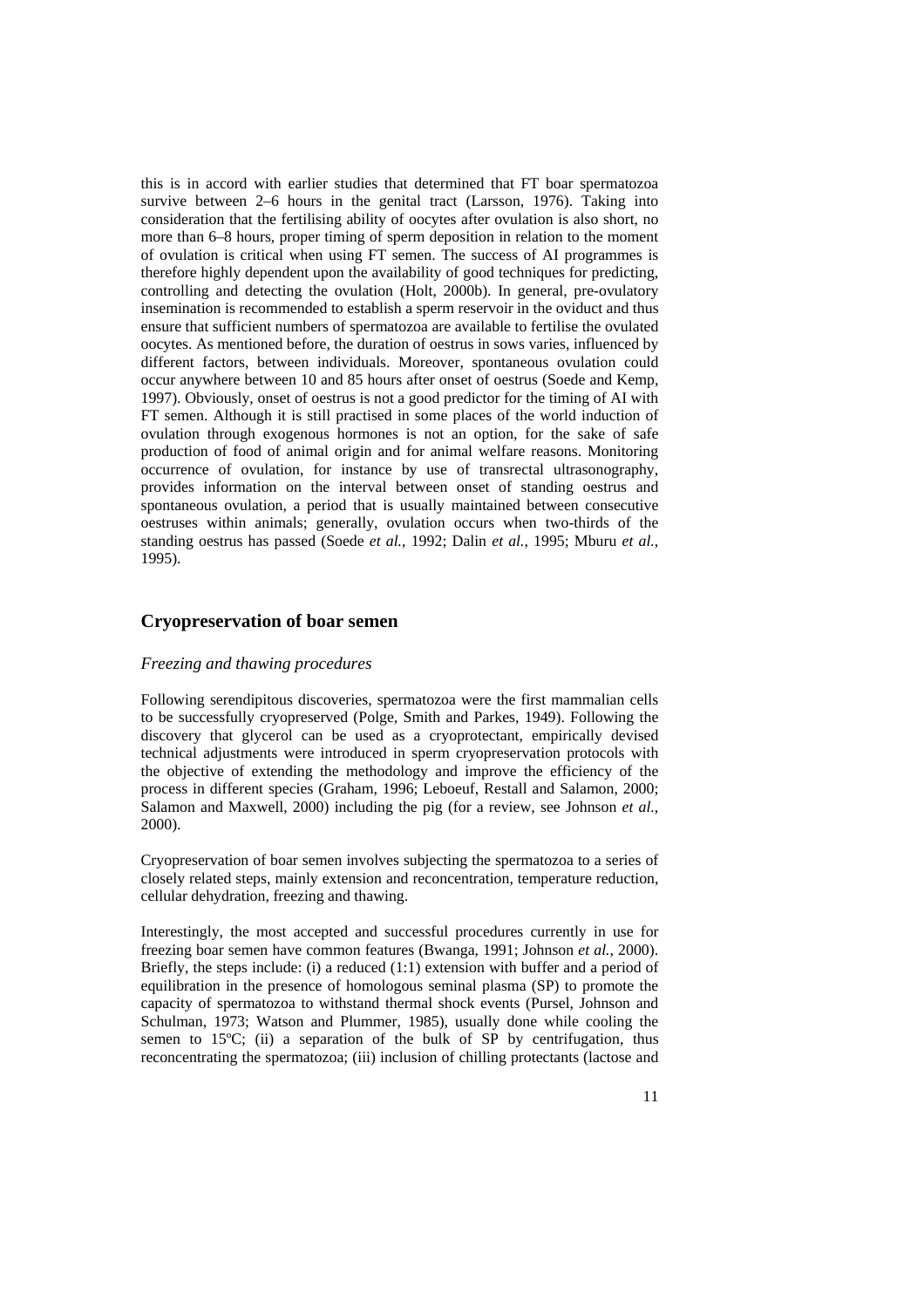this is in accord with earlier studies that determined that FT boar spermatozoa survive between 2–6 hours in the genital tract (Larsson, 1976). Taking into consideration that the fertilising ability of oocytes after ovulation is also short, no more than 6–8 hours, proper timing of sperm deposition in relation to the moment of ovulation is critical when using FT semen. The success of AI programmes is therefore highly dependent upon the availability of good techniques for predicting, controlling and detecting the ovulation (Holt, 2000b). In general, pre-ovulatory insemination is recommended to establish a sperm reservoir in the oviduct and thus ensure that sufficient numbers of spermatozoa are available to fertilise the ovulated oocytes. As mentioned before, the duration of oestrus in sows varies, influenced by different factors, between individuals. Moreover, spontaneous ovulation could occur anywhere between 10 and 85 hours after onset of oestrus (Soede and Kemp, 1997). Obviously, onset of oestrus is not a good predictor for the timing of AI with FT semen. Although it is still practised in some places of the world induction of ovulation through exogenous hormones is not an option, for the sake of safe production of food of animal origin and for animal welfare reasons. Monitoring occurrence of ovulation, for instance by use of transrectal ultrasonography, provides information on the interval between onset of standing oestrus and spontaneous ovulation, a period that is usually maintained between consecutive oestruses within animals; generally, ovulation occurs when two-thirds of the standing oestrus has passed (Soede *et al.*, 1992; Dalin *et al.*, 1995; Mburu *et al.*, 1995).

## **Cryopreservation of boar semen**

### *Freezing and thawing procedures*

Following serendipitous discoveries, spermatozoa were the first mammalian cells to be successfully cryopreserved (Polge, Smith and Parkes, 1949). Following the discovery that glycerol can be used as a cryoprotectant, empirically devised technical adjustments were introduced in sperm cryopreservation protocols with the objective of extending the methodology and improve the efficiency of the process in different species (Graham, 1996; Leboeuf, Restall and Salamon, 2000; Salamon and Maxwell, 2000) including the pig (for a review, see Johnson *et al.*, 2000).

Cryopreservation of boar semen involves subjecting the spermatozoa to a series of closely related steps, mainly extension and reconcentration, temperature reduction, cellular dehydration, freezing and thawing.

Interestingly, the most accepted and successful procedures currently in use for freezing boar semen have common features (Bwanga, 1991; Johnson *et al.*, 2000). Briefly, the steps include: (i) a reduced (1:1) extension with buffer and a period of equilibration in the presence of homologous seminal plasma (SP) to promote the capacity of spermatozoa to withstand thermal shock events (Pursel, Johnson and Schulman, 1973; Watson and Plummer, 1985), usually done while cooling the semen to 15°C; (ii) a separation of the bulk of SP by centrifugation, thus reconcentrating the spermatozoa; (iii) inclusion of chilling protectants (lactose and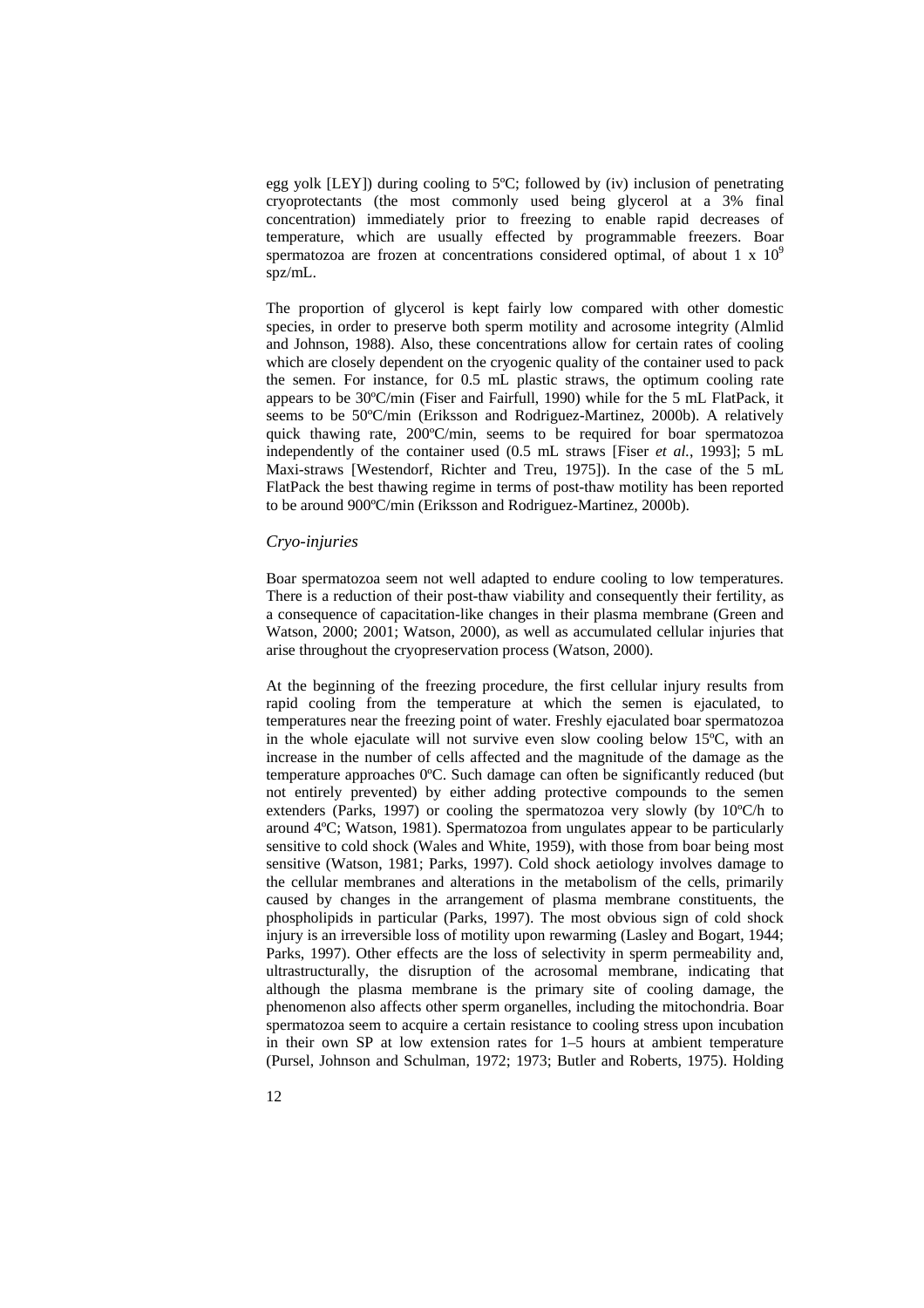egg yolk [LEY]) during cooling to 5ºC; followed by (iv) inclusion of penetrating cryoprotectants (the most commonly used being glycerol at a 3% final concentration) immediately prior to freezing to enable rapid decreases of temperature, which are usually effected by programmable freezers. Boar spermatozoa are frozen at concentrations considered optimal, of about 1 x  $10<sup>9</sup>$ spz/mL.

The proportion of glycerol is kept fairly low compared with other domestic species, in order to preserve both sperm motility and acrosome integrity (Almlid and Johnson, 1988). Also, these concentrations allow for certain rates of cooling which are closely dependent on the cryogenic quality of the container used to pack the semen. For instance, for 0.5 mL plastic straws, the optimum cooling rate appears to be 30ºC/min (Fiser and Fairfull, 1990) while for the 5 mL FlatPack, it seems to be 50ºC/min (Eriksson and Rodriguez-Martinez, 2000b). A relatively quick thawing rate, 200ºC/min, seems to be required for boar spermatozoa independently of the container used (0.5 mL straws [Fiser *et al.*, 1993]; 5 mL Maxi-straws [Westendorf, Richter and Treu, 1975]). In the case of the 5 mL FlatPack the best thawing regime in terms of post-thaw motility has been reported to be around 900ºC/min (Eriksson and Rodriguez-Martinez, 2000b).

### *Cryo-injuries*

Boar spermatozoa seem not well adapted to endure cooling to low temperatures. There is a reduction of their post-thaw viability and consequently their fertility, as a consequence of capacitation-like changes in their plasma membrane (Green and Watson, 2000; 2001; Watson, 2000), as well as accumulated cellular injuries that arise throughout the cryopreservation process (Watson, 2000).

At the beginning of the freezing procedure, the first cellular injury results from rapid cooling from the temperature at which the semen is ejaculated, to temperatures near the freezing point of water. Freshly ejaculated boar spermatozoa in the whole ejaculate will not survive even slow cooling below 15ºC, with an increase in the number of cells affected and the magnitude of the damage as the temperature approaches 0ºC. Such damage can often be significantly reduced (but not entirely prevented) by either adding protective compounds to the semen extenders (Parks, 1997) or cooling the spermatozoa very slowly (by 10ºC/h to around 4ºC; Watson, 1981). Spermatozoa from ungulates appear to be particularly sensitive to cold shock (Wales and White, 1959), with those from boar being most sensitive (Watson, 1981; Parks, 1997). Cold shock aetiology involves damage to the cellular membranes and alterations in the metabolism of the cells, primarily caused by changes in the arrangement of plasma membrane constituents, the phospholipids in particular (Parks, 1997). The most obvious sign of cold shock injury is an irreversible loss of motility upon rewarming (Lasley and Bogart, 1944; Parks, 1997). Other effects are the loss of selectivity in sperm permeability and, ultrastructurally, the disruption of the acrosomal membrane, indicating that although the plasma membrane is the primary site of cooling damage, the phenomenon also affects other sperm organelles, including the mitochondria. Boar spermatozoa seem to acquire a certain resistance to cooling stress upon incubation in their own SP at low extension rates for 1–5 hours at ambient temperature (Pursel, Johnson and Schulman, 1972; 1973; Butler and Roberts, 1975). Holding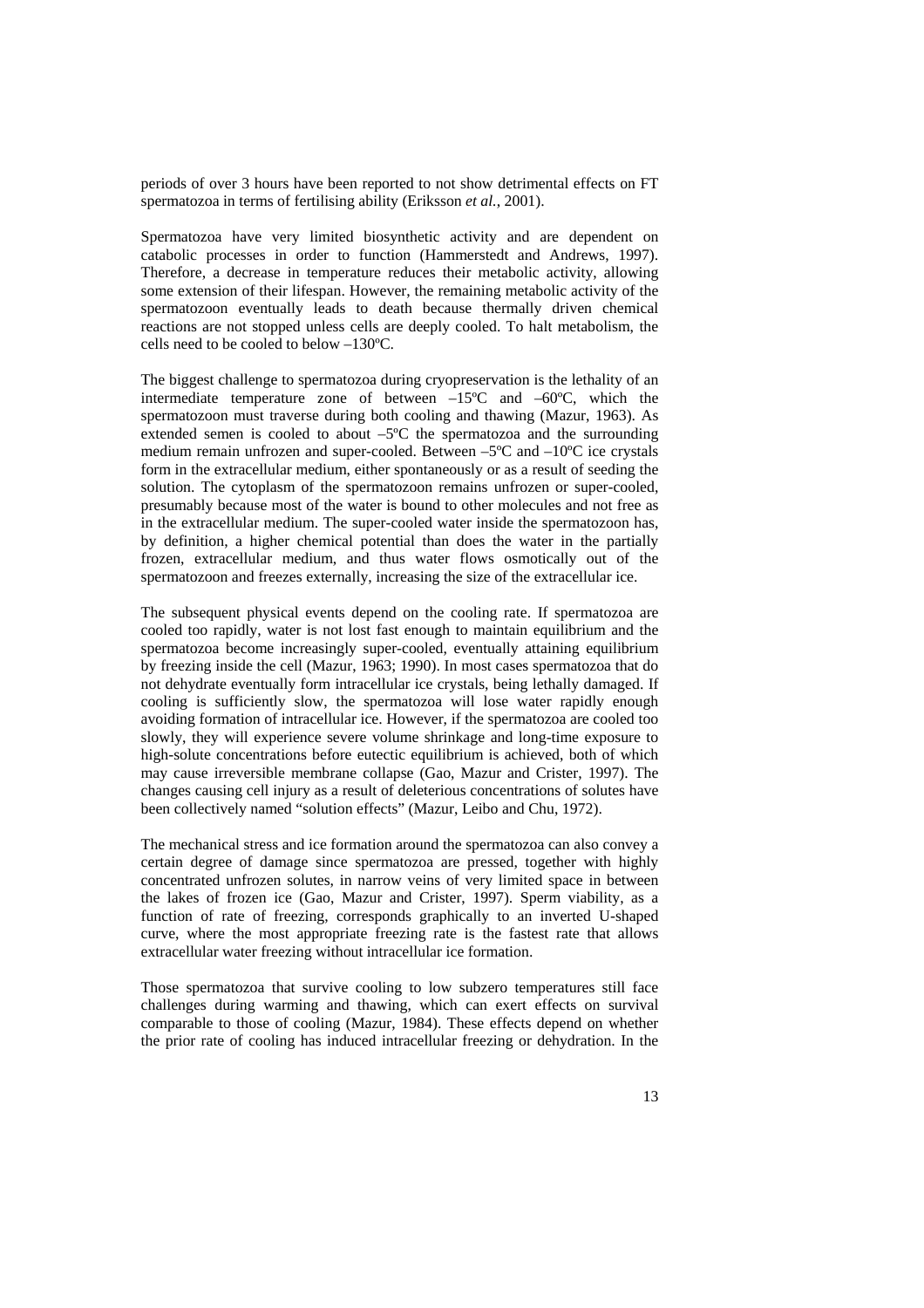periods of over 3 hours have been reported to not show detrimental effects on FT spermatozoa in terms of fertilising ability (Eriksson *et al.*, 2001).

Spermatozoa have very limited biosynthetic activity and are dependent on catabolic processes in order to function (Hammerstedt and Andrews, 1997). Therefore, a decrease in temperature reduces their metabolic activity, allowing some extension of their lifespan. However, the remaining metabolic activity of the spermatozoon eventually leads to death because thermally driven chemical reactions are not stopped unless cells are deeply cooled. To halt metabolism, the cells need to be cooled to below –130ºC.

The biggest challenge to spermatozoa during cryopreservation is the lethality of an intermediate temperature zone of between –15ºC and –60ºC, which the spermatozoon must traverse during both cooling and thawing (Mazur, 1963). As extended semen is cooled to about –5ºC the spermatozoa and the surrounding medium remain unfrozen and super-cooled. Between –5°C and –10°C ice crystals form in the extracellular medium, either spontaneously or as a result of seeding the solution. The cytoplasm of the spermatozoon remains unfrozen or super-cooled, presumably because most of the water is bound to other molecules and not free as in the extracellular medium. The super-cooled water inside the spermatozoon has, by definition, a higher chemical potential than does the water in the partially frozen, extracellular medium, and thus water flows osmotically out of the spermatozoon and freezes externally, increasing the size of the extracellular ice.

The subsequent physical events depend on the cooling rate. If spermatozoa are cooled too rapidly, water is not lost fast enough to maintain equilibrium and the spermatozoa become increasingly super-cooled, eventually attaining equilibrium by freezing inside the cell (Mazur, 1963; 1990). In most cases spermatozoa that do not dehydrate eventually form intracellular ice crystals, being lethally damaged. If cooling is sufficiently slow, the spermatozoa will lose water rapidly enough avoiding formation of intracellular ice. However, if the spermatozoa are cooled too slowly, they will experience severe volume shrinkage and long-time exposure to high-solute concentrations before eutectic equilibrium is achieved, both of which may cause irreversible membrane collapse (Gao, Mazur and Crister, 1997). The changes causing cell injury as a result of deleterious concentrations of solutes have been collectively named "solution effects" (Mazur, Leibo and Chu, 1972).

The mechanical stress and ice formation around the spermatozoa can also convey a certain degree of damage since spermatozoa are pressed, together with highly concentrated unfrozen solutes, in narrow veins of very limited space in between the lakes of frozen ice (Gao, Mazur and Crister, 1997). Sperm viability, as a function of rate of freezing, corresponds graphically to an inverted U-shaped curve, where the most appropriate freezing rate is the fastest rate that allows extracellular water freezing without intracellular ice formation.

Those spermatozoa that survive cooling to low subzero temperatures still face challenges during warming and thawing, which can exert effects on survival comparable to those of cooling (Mazur, 1984). These effects depend on whether the prior rate of cooling has induced intracellular freezing or dehydration. In the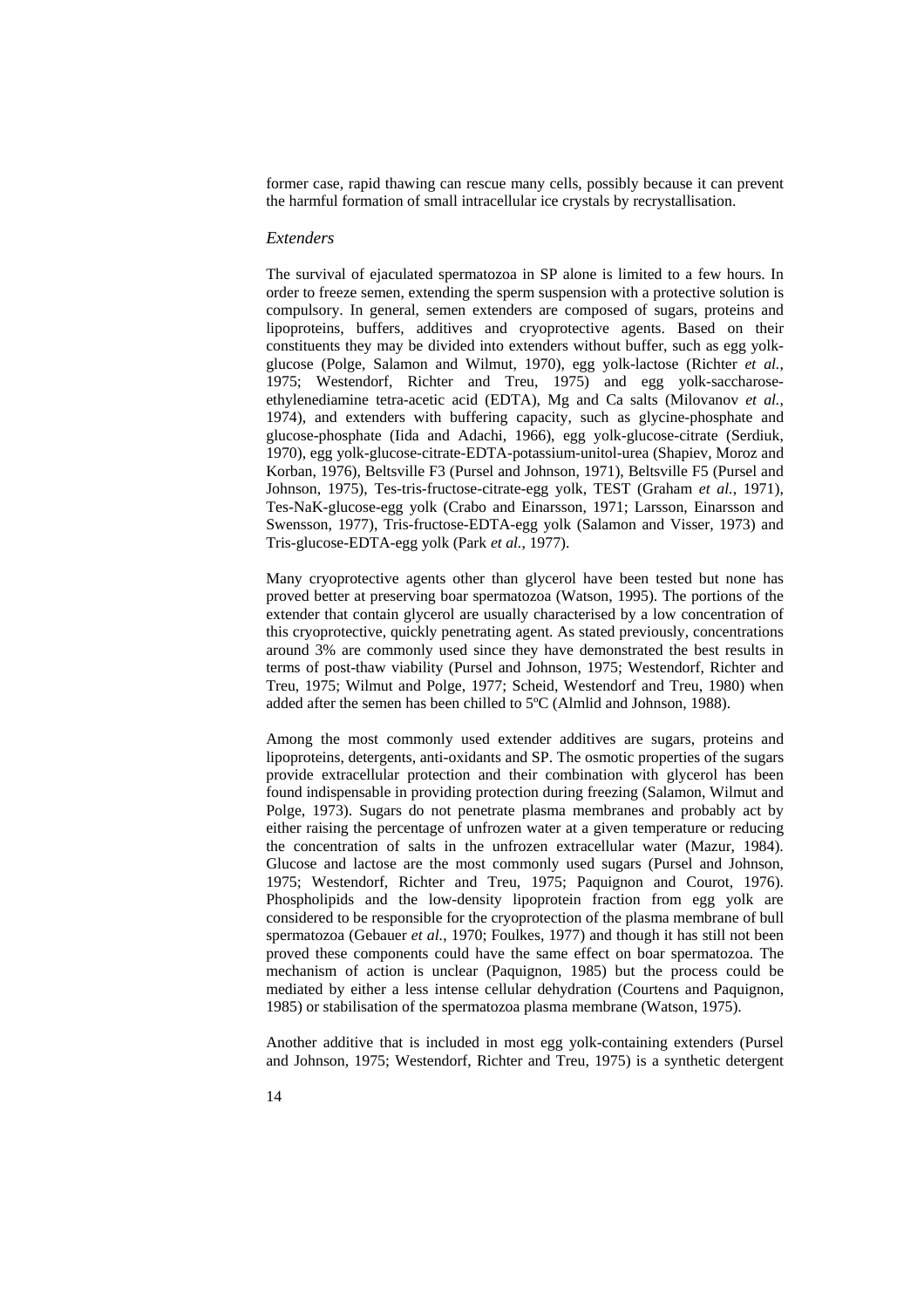former case, rapid thawing can rescue many cells, possibly because it can prevent the harmful formation of small intracellular ice crystals by recrystallisation.

#### *Extenders*

The survival of ejaculated spermatozoa in SP alone is limited to a few hours. In order to freeze semen, extending the sperm suspension with a protective solution is compulsory. In general, semen extenders are composed of sugars, proteins and lipoproteins, buffers, additives and cryoprotective agents. Based on their constituents they may be divided into extenders without buffer, such as egg yolkglucose (Polge, Salamon and Wilmut, 1970), egg yolk-lactose (Richter *et al.*, 1975; Westendorf, Richter and Treu, 1975) and egg yolk-saccharoseethylenediamine tetra-acetic acid (EDTA), Mg and Ca salts (Milovanov *et al.*, 1974), and extenders with buffering capacity, such as glycine-phosphate and glucose-phosphate (Iida and Adachi, 1966), egg yolk-glucose-citrate (Serdiuk, 1970), egg yolk-glucose-citrate-EDTA-potassium-unitol-urea (Shapiev, Moroz and Korban, 1976), Beltsville F3 (Pursel and Johnson, 1971), Beltsville F5 (Pursel and Johnson, 1975), Tes-tris-fructose-citrate-egg yolk, TEST (Graham *et al.*, 1971), Tes-NaK-glucose-egg yolk (Crabo and Einarsson, 1971; Larsson, Einarsson and Swensson, 1977), Tris-fructose-EDTA-egg yolk (Salamon and Visser, 1973) and Tris-glucose-EDTA-egg yolk (Park *et al.*, 1977).

Many cryoprotective agents other than glycerol have been tested but none has proved better at preserving boar spermatozoa (Watson, 1995). The portions of the extender that contain glycerol are usually characterised by a low concentration of this cryoprotective, quickly penetrating agent. As stated previously, concentrations around 3% are commonly used since they have demonstrated the best results in terms of post-thaw viability (Pursel and Johnson, 1975; Westendorf, Richter and Treu, 1975; Wilmut and Polge, 1977; Scheid, Westendorf and Treu, 1980) when added after the semen has been chilled to 5ºC (Almlid and Johnson, 1988).

Among the most commonly used extender additives are sugars, proteins and lipoproteins, detergents, anti-oxidants and SP. The osmotic properties of the sugars provide extracellular protection and their combination with glycerol has been found indispensable in providing protection during freezing (Salamon, Wilmut and Polge, 1973). Sugars do not penetrate plasma membranes and probably act by either raising the percentage of unfrozen water at a given temperature or reducing the concentration of salts in the unfrozen extracellular water (Mazur, 1984). Glucose and lactose are the most commonly used sugars (Pursel and Johnson, 1975; Westendorf, Richter and Treu, 1975; Paquignon and Courot, 1976). Phospholipids and the low-density lipoprotein fraction from egg yolk are considered to be responsible for the cryoprotection of the plasma membrane of bull spermatozoa (Gebauer *et al.*, 1970; Foulkes, 1977) and though it has still not been proved these components could have the same effect on boar spermatozoa. The mechanism of action is unclear (Paquignon, 1985) but the process could be mediated by either a less intense cellular dehydration (Courtens and Paquignon, 1985) or stabilisation of the spermatozoa plasma membrane (Watson, 1975).

Another additive that is included in most egg yolk-containing extenders (Pursel and Johnson, 1975; Westendorf, Richter and Treu, 1975) is a synthetic detergent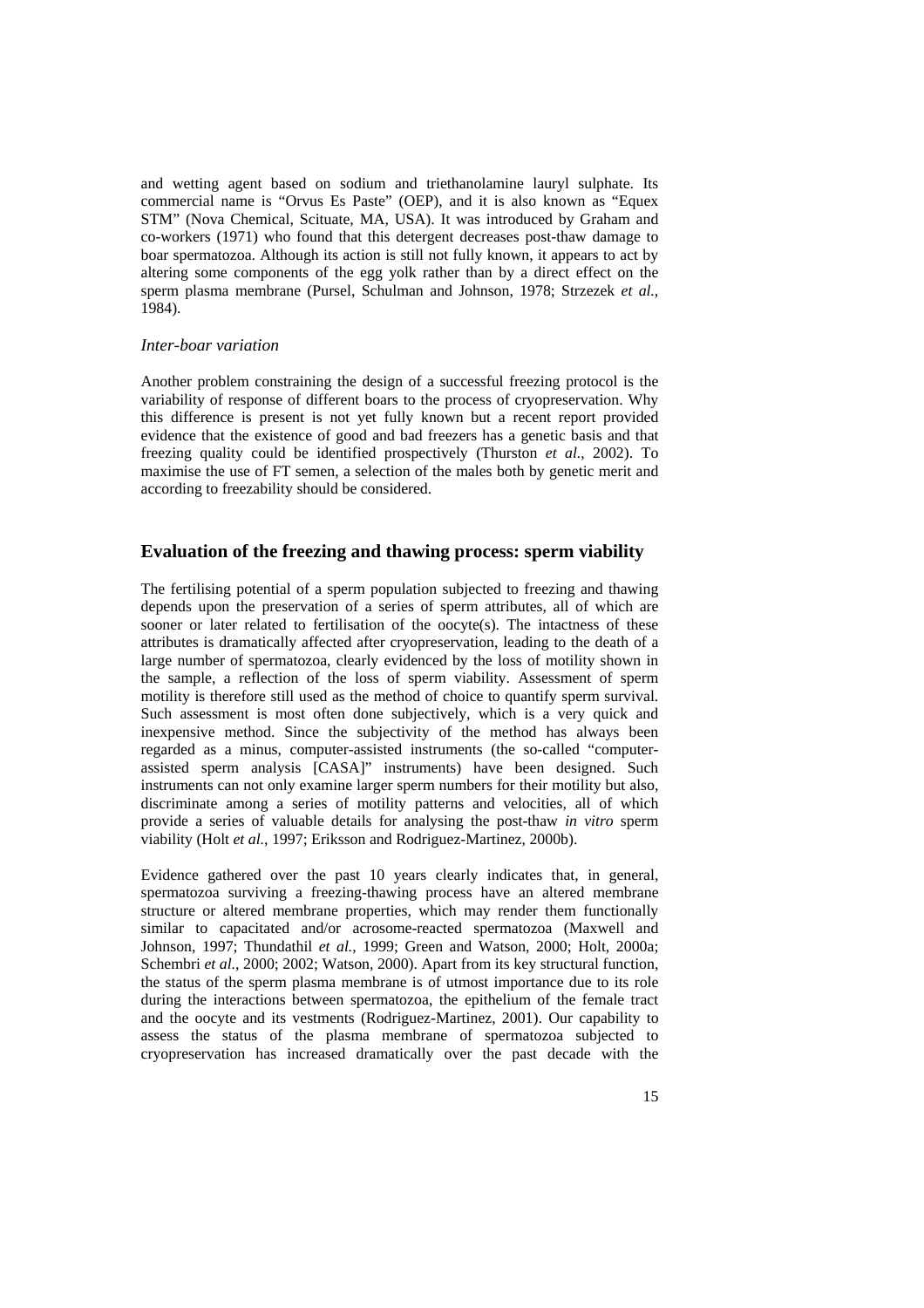and wetting agent based on sodium and triethanolamine lauryl sulphate. Its commercial name is "Orvus Es Paste" (OEP), and it is also known as "Equex STM" (Nova Chemical, Scituate, MA, USA). It was introduced by Graham and co-workers (1971) who found that this detergent decreases post-thaw damage to boar spermatozoa. Although its action is still not fully known, it appears to act by altering some components of the egg yolk rather than by a direct effect on the sperm plasma membrane (Pursel, Schulman and Johnson, 1978; Strzezek *et al.*, 1984).

### *Inter-boar variation*

Another problem constraining the design of a successful freezing protocol is the variability of response of different boars to the process of cryopreservation. Why this difference is present is not yet fully known but a recent report provided evidence that the existence of good and bad freezers has a genetic basis and that freezing quality could be identified prospectively (Thurston *et al.*, 2002). To maximise the use of FT semen, a selection of the males both by genetic merit and according to freezability should be considered.

## **Evaluation of the freezing and thawing process: sperm viability**

The fertilising potential of a sperm population subjected to freezing and thawing depends upon the preservation of a series of sperm attributes, all of which are sooner or later related to fertilisation of the oocyte(s). The intactness of these attributes is dramatically affected after cryopreservation, leading to the death of a large number of spermatozoa, clearly evidenced by the loss of motility shown in the sample, a reflection of the loss of sperm viability. Assessment of sperm motility is therefore still used as the method of choice to quantify sperm survival. Such assessment is most often done subjectively, which is a very quick and inexpensive method. Since the subjectivity of the method has always been regarded as a minus, computer-assisted instruments (the so-called "computerassisted sperm analysis [CASA]" instruments) have been designed. Such instruments can not only examine larger sperm numbers for their motility but also, discriminate among a series of motility patterns and velocities, all of which provide a series of valuable details for analysing the post-thaw *in vitro* sperm viability (Holt *et al.*, 1997; Eriksson and Rodriguez-Martinez, 2000b).

Evidence gathered over the past 10 years clearly indicates that, in general, spermatozoa surviving a freezing-thawing process have an altered membrane structure or altered membrane properties, which may render them functionally similar to capacitated and/or acrosome-reacted spermatozoa (Maxwell and Johnson, 1997; Thundathil *et al.*, 1999; Green and Watson, 2000; Holt, 2000a; Schembri *et al.*, 2000; 2002; Watson, 2000). Apart from its key structural function, the status of the sperm plasma membrane is of utmost importance due to its role during the interactions between spermatozoa, the epithelium of the female tract and the oocyte and its vestments (Rodriguez-Martinez, 2001). Our capability to assess the status of the plasma membrane of spermatozoa subjected to cryopreservation has increased dramatically over the past decade with the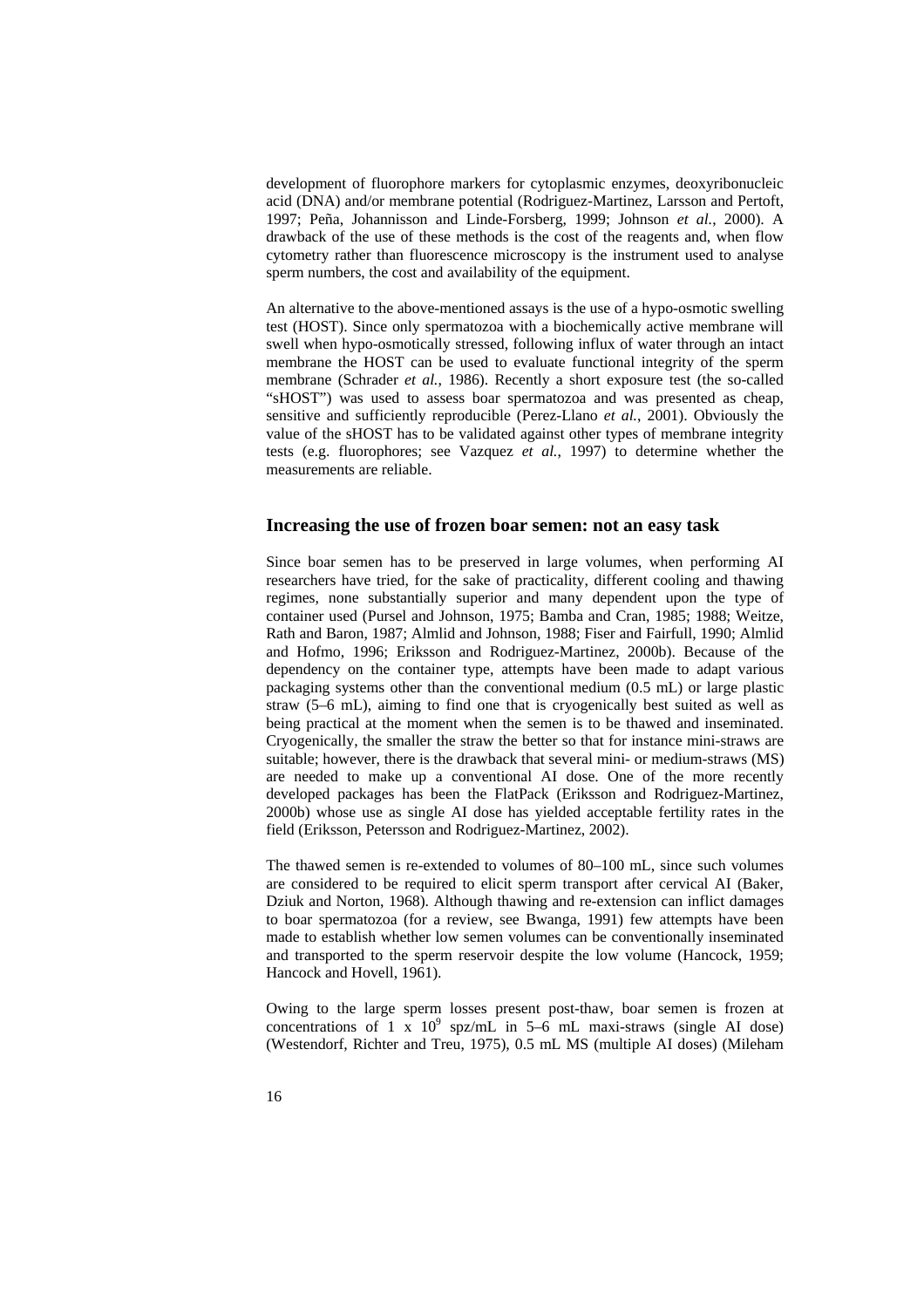development of fluorophore markers for cytoplasmic enzymes, deoxyribonucleic acid (DNA) and/or membrane potential (Rodriguez-Martinez, Larsson and Pertoft, 1997; Peña, Johannisson and Linde-Forsberg, 1999; Johnson *et al.*, 2000). A drawback of the use of these methods is the cost of the reagents and, when flow cytometry rather than fluorescence microscopy is the instrument used to analyse sperm numbers, the cost and availability of the equipment.

An alternative to the above-mentioned assays is the use of a hypo-osmotic swelling test (HOST). Since only spermatozoa with a biochemically active membrane will swell when hypo-osmotically stressed, following influx of water through an intact membrane the HOST can be used to evaluate functional integrity of the sperm membrane (Schrader *et al.*, 1986). Recently a short exposure test (the so-called "sHOST") was used to assess boar spermatozoa and was presented as cheap, sensitive and sufficiently reproducible (Perez-Llano *et al.*, 2001). Obviously the value of the sHOST has to be validated against other types of membrane integrity tests (e.g. fluorophores; see Vazquez *et al.*, 1997) to determine whether the measurements are reliable.

### **Increasing the use of frozen boar semen: not an easy task**

Since boar semen has to be preserved in large volumes, when performing AI researchers have tried, for the sake of practicality, different cooling and thawing regimes, none substantially superior and many dependent upon the type of container used (Pursel and Johnson, 1975; Bamba and Cran, 1985; 1988; Weitze, Rath and Baron, 1987; Almlid and Johnson, 1988; Fiser and Fairfull, 1990; Almlid and Hofmo, 1996; Eriksson and Rodriguez-Martinez, 2000b). Because of the dependency on the container type, attempts have been made to adapt various packaging systems other than the conventional medium (0.5 mL) or large plastic straw (5–6 mL), aiming to find one that is cryogenically best suited as well as being practical at the moment when the semen is to be thawed and inseminated. Cryogenically, the smaller the straw the better so that for instance mini-straws are suitable; however, there is the drawback that several mini- or medium-straws (MS) are needed to make up a conventional AI dose. One of the more recently developed packages has been the FlatPack (Eriksson and Rodriguez-Martinez, 2000b) whose use as single AI dose has yielded acceptable fertility rates in the field (Eriksson, Petersson and Rodriguez-Martinez, 2002).

The thawed semen is re-extended to volumes of 80–100 mL, since such volumes are considered to be required to elicit sperm transport after cervical AI (Baker, Dziuk and Norton, 1968). Although thawing and re-extension can inflict damages to boar spermatozoa (for a review, see Bwanga, 1991) few attempts have been made to establish whether low semen volumes can be conventionally inseminated and transported to the sperm reservoir despite the low volume (Hancock, 1959; Hancock and Hovell, 1961).

Owing to the large sperm losses present post-thaw, boar semen is frozen at concentrations of 1 x  $10^9$  spz/mL in 5–6 mL maxi-straws (single AI dose) (Westendorf, Richter and Treu, 1975), 0.5 mL MS (multiple AI doses) (Mileham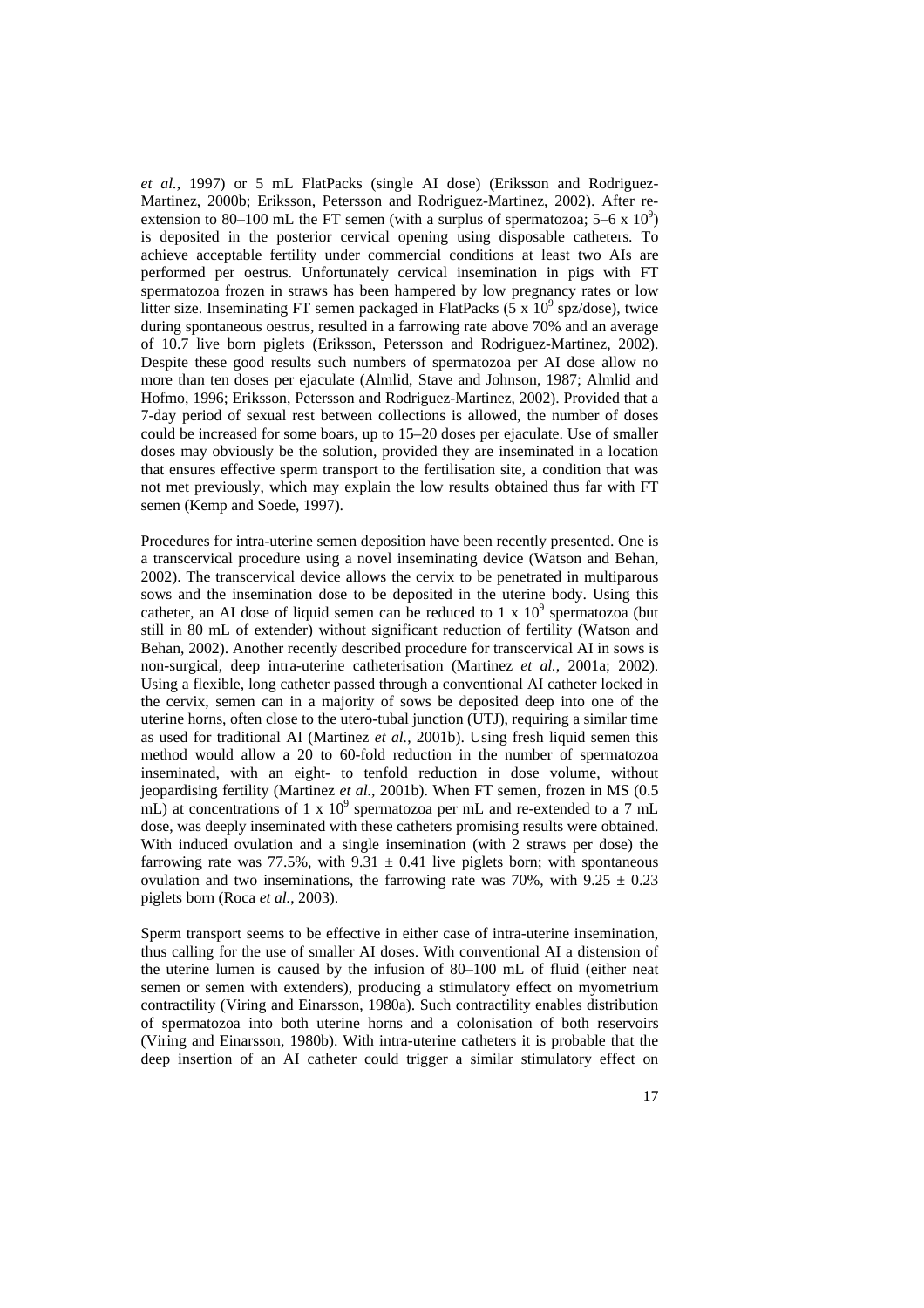*et al.*, 1997) or 5 mL FlatPacks (single AI dose) (Eriksson and Rodriguez-Martinez, 2000b; Eriksson, Petersson and Rodriguez-Martinez, 2002). After reextension to 80–100 mL the FT semen (with a surplus of spermatozoa;  $5-6 \times 10^9$ ) is deposited in the posterior cervical opening using disposable catheters. To achieve acceptable fertility under commercial conditions at least two AIs are performed per oestrus. Unfortunately cervical insemination in pigs with FT spermatozoa frozen in straws has been hampered by low pregnancy rates or low litter size. Inseminating FT semen packaged in FlatPacks  $(5 \times 10^9 \text{ spz/dose})$ , twice during spontaneous oestrus, resulted in a farrowing rate above 70% and an average of 10.7 live born piglets (Eriksson, Petersson and Rodriguez-Martinez, 2002). Despite these good results such numbers of spermatozoa per AI dose allow no more than ten doses per ejaculate (Almlid, Stave and Johnson, 1987; Almlid and Hofmo, 1996; Eriksson, Petersson and Rodriguez-Martinez, 2002). Provided that a 7-day period of sexual rest between collections is allowed, the number of doses could be increased for some boars, up to 15–20 doses per ejaculate. Use of smaller doses may obviously be the solution, provided they are inseminated in a location that ensures effective sperm transport to the fertilisation site, a condition that was not met previously, which may explain the low results obtained thus far with FT semen (Kemp and Soede, 1997).

Procedures for intra-uterine semen deposition have been recently presented. One is a transcervical procedure using a novel inseminating device (Watson and Behan, 2002). The transcervical device allows the cervix to be penetrated in multiparous sows and the insemination dose to be deposited in the uterine body. Using this catheter, an AI dose of liquid semen can be reduced to 1 x  $10^9$  spermatozoa (but still in 80 mL of extender) without significant reduction of fertility (Watson and Behan, 2002). Another recently described procedure for transcervical AI in sows is non-surgical, deep intra-uterine catheterisation (Martinez *et al.*, 2001a; 2002). Using a flexible, long catheter passed through a conventional AI catheter locked in the cervix, semen can in a majority of sows be deposited deep into one of the uterine horns, often close to the utero-tubal junction (UTJ), requiring a similar time as used for traditional AI (Martinez *et al.*, 2001b). Using fresh liquid semen this method would allow a 20 to 60-fold reduction in the number of spermatozoa inseminated, with an eight- to tenfold reduction in dose volume, without jeopardising fertility (Martinez *et al.*, 2001b). When FT semen, frozen in MS (0.5 mL) at concentrations of 1 x  $10^9$  spermatozoa per mL and re-extended to a 7 mL dose, was deeply inseminated with these catheters promising results were obtained. With induced ovulation and a single insemination (with 2 straws per dose) the farrowing rate was 77.5%, with  $9.31 \pm 0.41$  live piglets born; with spontaneous ovulation and two inseminations, the farrowing rate was 70%, with  $9.25 \pm 0.23$ piglets born (Roca *et al.*, 2003).

Sperm transport seems to be effective in either case of intra-uterine insemination, thus calling for the use of smaller AI doses. With conventional AI a distension of the uterine lumen is caused by the infusion of 80–100 mL of fluid (either neat semen or semen with extenders), producing a stimulatory effect on myometrium contractility (Viring and Einarsson, 1980a). Such contractility enables distribution of spermatozoa into both uterine horns and a colonisation of both reservoirs (Viring and Einarsson, 1980b). With intra-uterine catheters it is probable that the deep insertion of an AI catheter could trigger a similar stimulatory effect on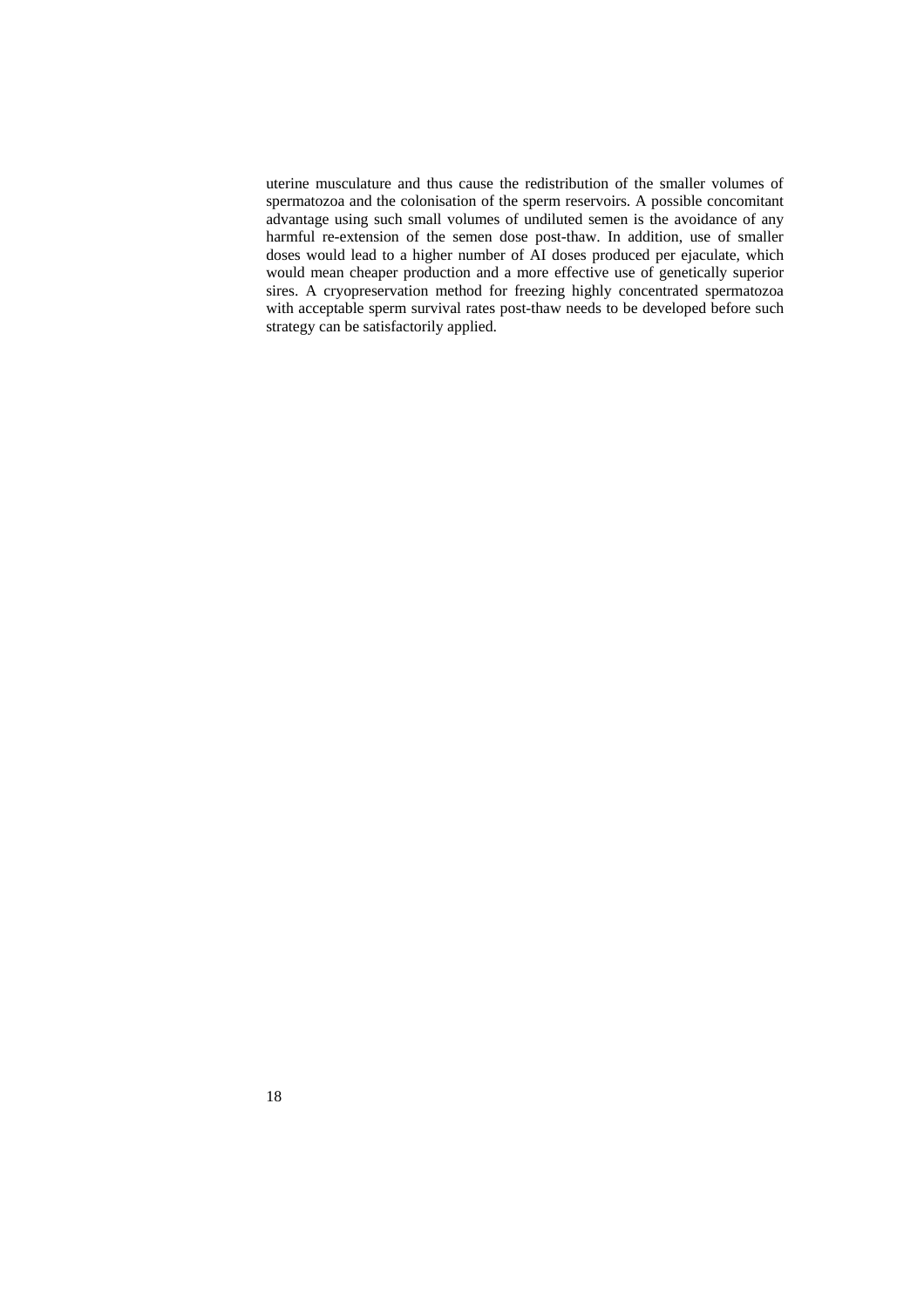uterine musculature and thus cause the redistribution of the smaller volumes of spermatozoa and the colonisation of the sperm reservoirs. A possible concomitant advantage using such small volumes of undiluted semen is the avoidance of any harmful re-extension of the semen dose post-thaw. In addition, use of smaller doses would lead to a higher number of AI doses produced per ejaculate, which would mean cheaper production and a more effective use of genetically superior sires. A cryopreservation method for freezing highly concentrated spermatozoa with acceptable sperm survival rates post-thaw needs to be developed before such strategy can be satisfactorily applied.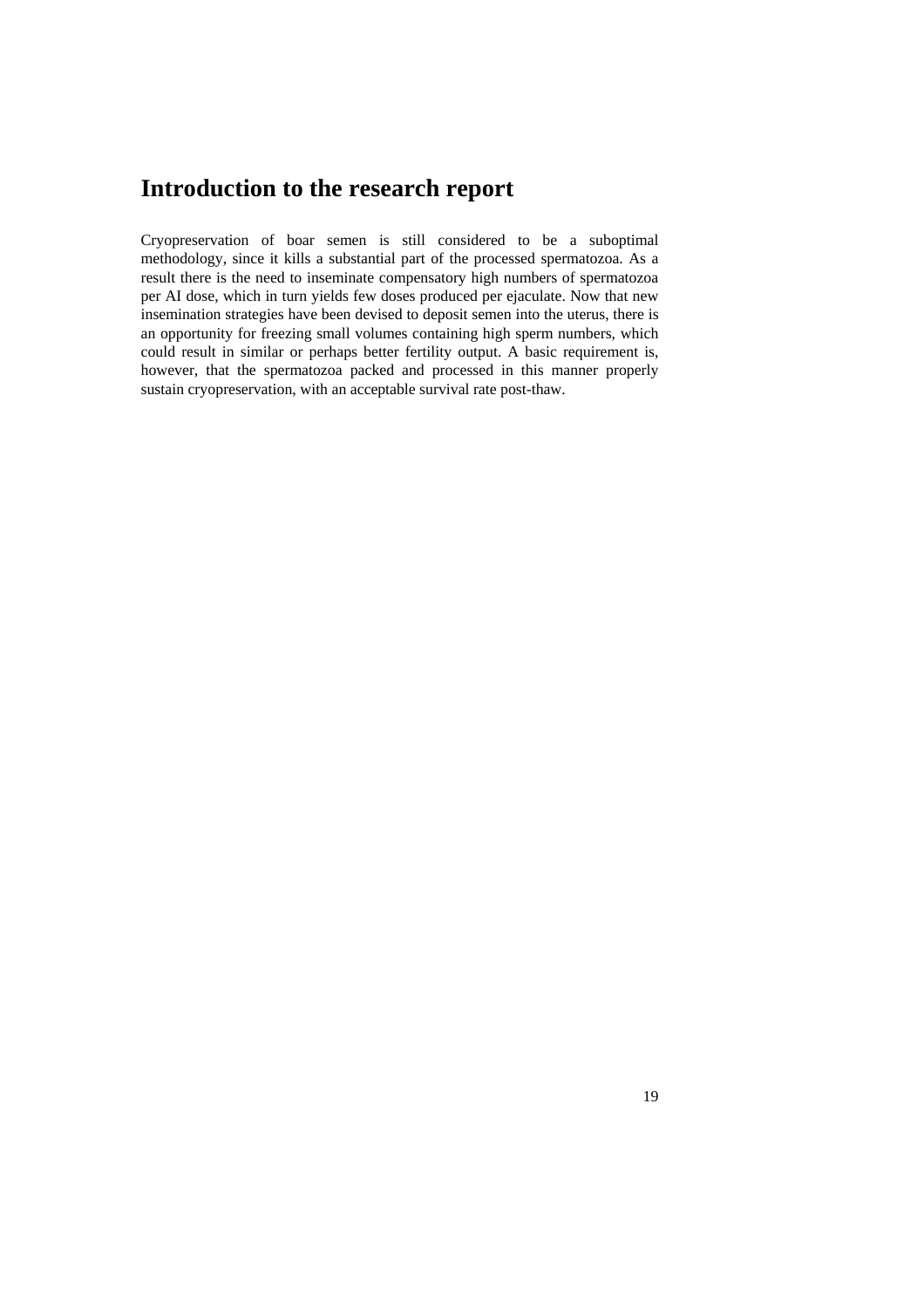## **Introduction to the research report**

Cryopreservation of boar semen is still considered to be a suboptimal methodology, since it kills a substantial part of the processed spermatozoa. As a result there is the need to inseminate compensatory high numbers of spermatozoa per AI dose, which in turn yields few doses produced per ejaculate. Now that new insemination strategies have been devised to deposit semen into the uterus, there is an opportunity for freezing small volumes containing high sperm numbers, which could result in similar or perhaps better fertility output. A basic requirement is, however, that the spermatozoa packed and processed in this manner properly sustain cryopreservation, with an acceptable survival rate post-thaw.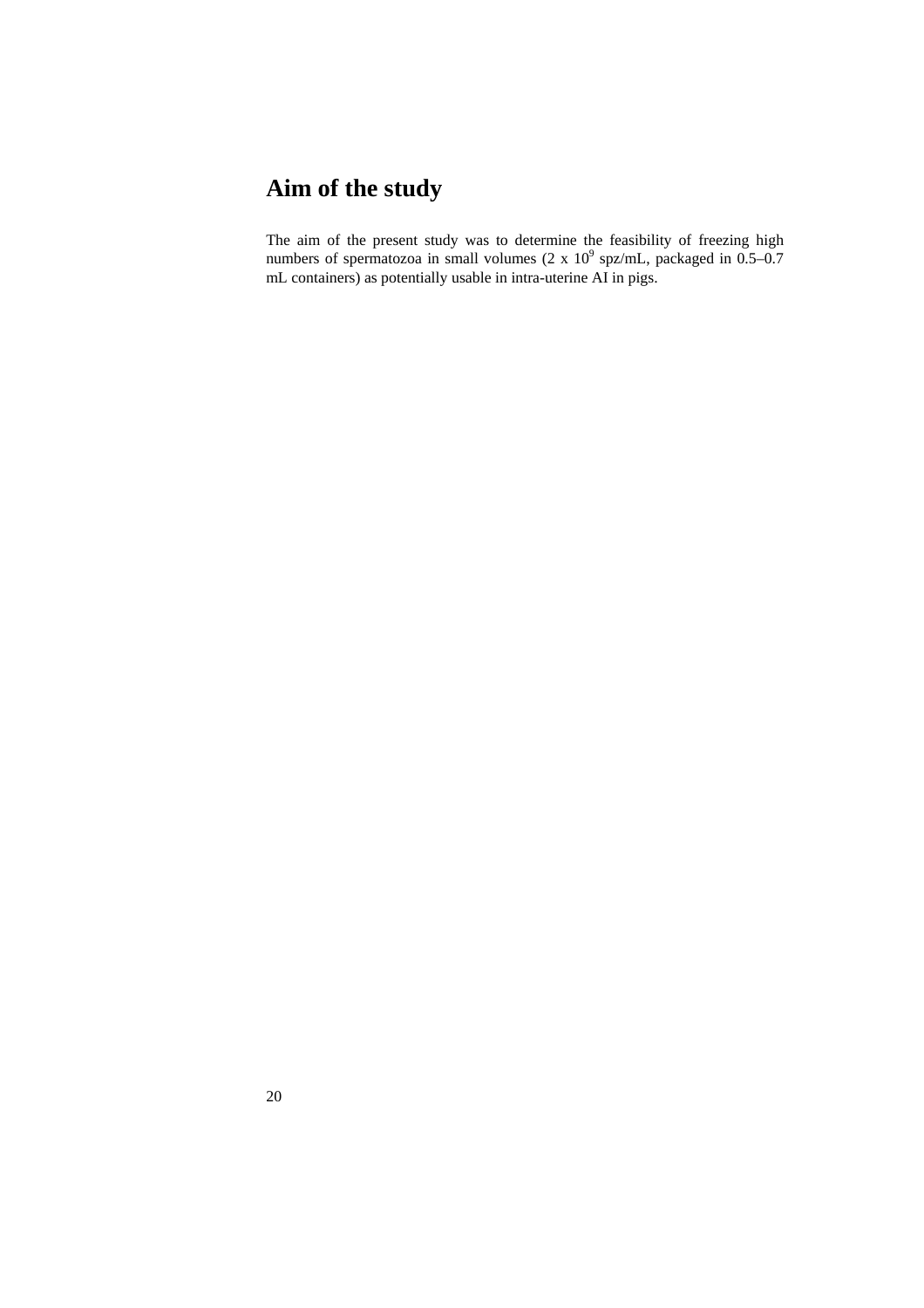# **Aim of the study**

The aim of the present study was to determine the feasibility of freezing high numbers of spermatozoa in small volumes  $(2 \times 10^9 \text{ spz/mL}, \text{ packaged in } 0.5-0.7)$ mL containers) as potentially usable in intra-uterine AI in pigs.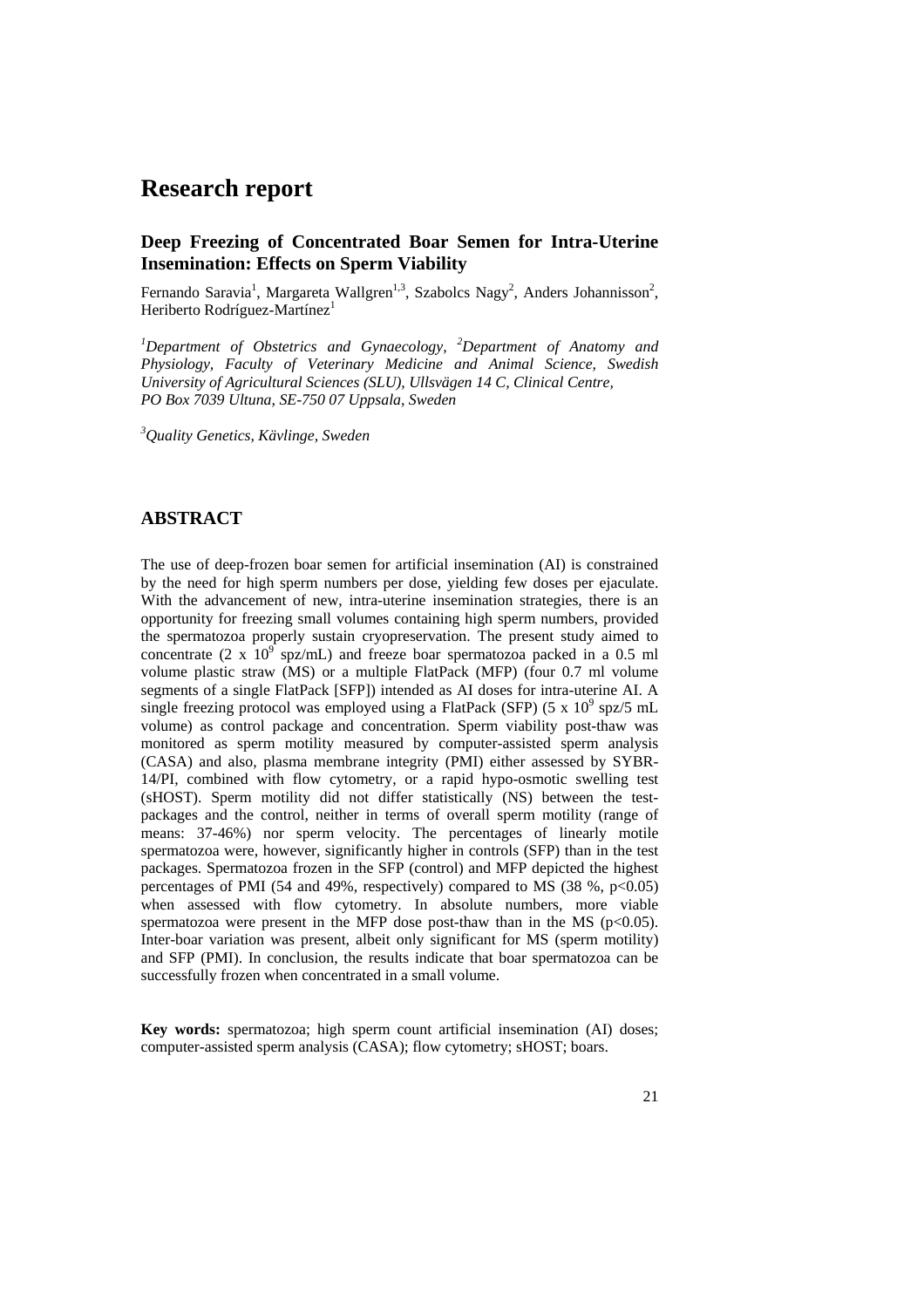## **Research report**

## **Deep Freezing of Concentrated Boar Semen for Intra-Uterine Insemination: Effects on Sperm Viability**

Fernando Saravia<sup>1</sup>, Margareta Wallgren<sup>1,3</sup>, Szabolcs Nagy<sup>2</sup>, Anders Johannisson<sup>2</sup>, Heriberto Rodríguez-Martínez<sup>1</sup>

*1 Department of Obstetrics and Gynaecology, <sup>2</sup> Department of Anatomy and Physiology, Faculty of Veterinary Medicine and Animal Science, Swedish University of Agricultural Sciences (SLU), Ullsvägen 14 C, Clinical Centre, PO Box 7039 Ultuna, SE-750 07 Uppsala, Sweden*

*3 Quality Genetics, Kävlinge, Sweden*

## **ABSTRACT**

The use of deep-frozen boar semen for artificial insemination (AI) is constrained by the need for high sperm numbers per dose, yielding few doses per ejaculate. With the advancement of new, intra-uterine insemination strategies, there is an opportunity for freezing small volumes containing high sperm numbers, provided the spermatozoa properly sustain cryopreservation. The present study aimed to concentrate  $(2 \times 10^{9} \text{ spz/mL})$  and freeze boar spermatozoa packed in a 0.5 ml volume plastic straw (MS) or a multiple FlatPack (MFP) (four 0.7 ml volume segments of a single FlatPack [SFP]) intended as AI doses for intra-uterine AI. A single freezing protocol was employed using a FlatPack (SFP) (5 x  $10^9$  spz/5 mL volume) as control package and concentration. Sperm viability post-thaw was monitored as sperm motility measured by computer-assisted sperm analysis (CASA) and also, plasma membrane integrity (PMI) either assessed by SYBR-14/PI, combined with flow cytometry, or a rapid hypo-osmotic swelling test (sHOST). Sperm motility did not differ statistically (NS) between the testpackages and the control, neither in terms of overall sperm motility (range of means: 37-46%) nor sperm velocity. The percentages of linearly motile spermatozoa were, however, significantly higher in controls (SFP) than in the test packages. Spermatozoa frozen in the SFP (control) and MFP depicted the highest percentages of PMI (54 and 49%, respectively) compared to MS (38 %,  $p<0.05$ ) when assessed with flow cytometry. In absolute numbers, more viable spermatozoa were present in the MFP dose post-thaw than in the MS ( $p<0.05$ ). Inter-boar variation was present, albeit only significant for MS (sperm motility) and SFP (PMI). In conclusion, the results indicate that boar spermatozoa can be successfully frozen when concentrated in a small volume.

**Key words:** spermatozoa; high sperm count artificial insemination (AI) doses; computer-assisted sperm analysis (CASA); flow cytometry; sHOST; boars.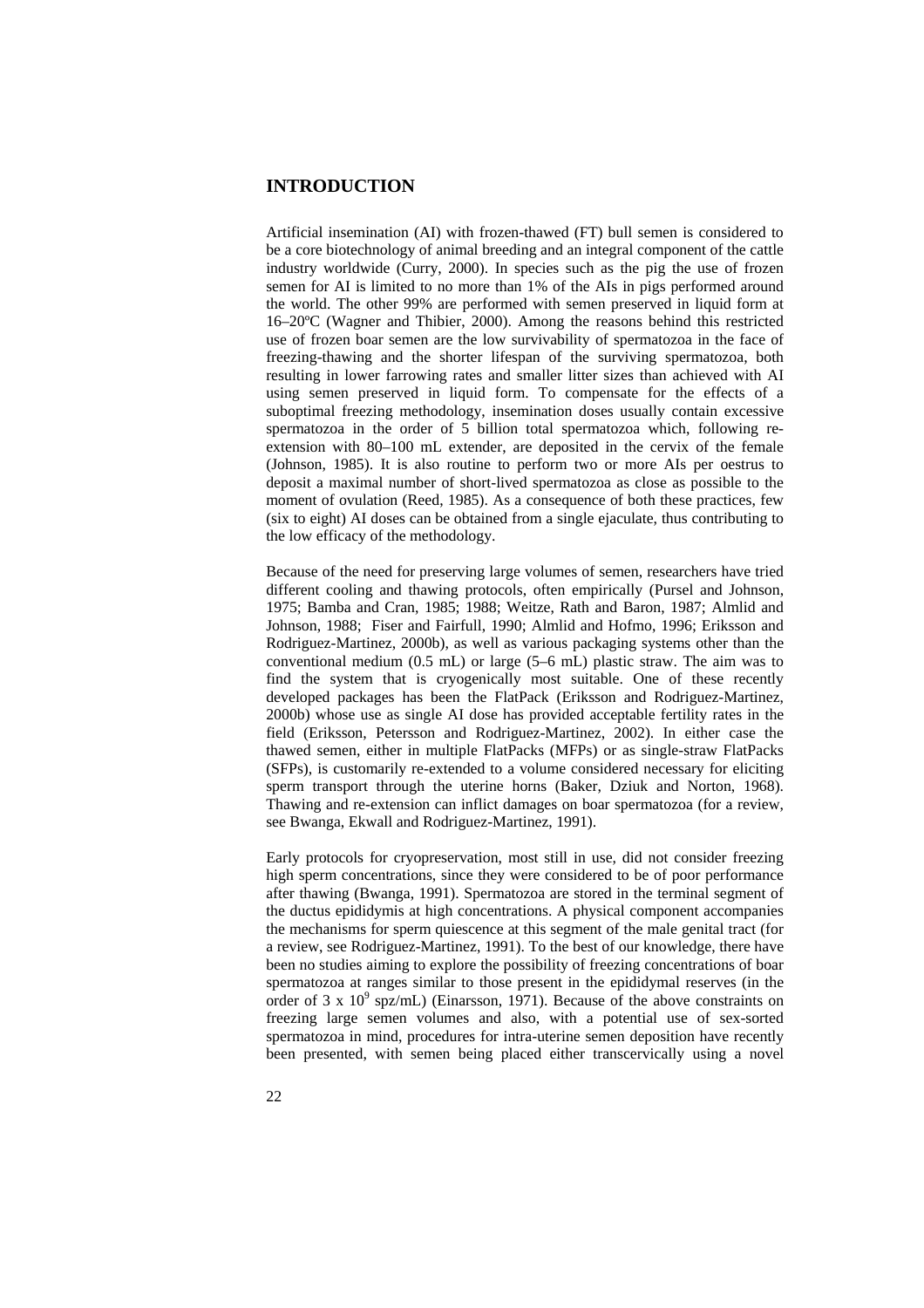## **INTRODUCTION**

Artificial insemination (AI) with frozen-thawed (FT) bull semen is considered to be a core biotechnology of animal breeding and an integral component of the cattle industry worldwide (Curry, 2000). In species such as the pig the use of frozen semen for AI is limited to no more than 1% of the AIs in pigs performed around the world. The other 99% are performed with semen preserved in liquid form at 16–20ºC (Wagner and Thibier, 2000). Among the reasons behind this restricted use of frozen boar semen are the low survivability of spermatozoa in the face of freezing-thawing and the shorter lifespan of the surviving spermatozoa, both resulting in lower farrowing rates and smaller litter sizes than achieved with AI using semen preserved in liquid form. To compensate for the effects of a suboptimal freezing methodology, insemination doses usually contain excessive spermatozoa in the order of 5 billion total spermatozoa which, following reextension with 80–100 mL extender, are deposited in the cervix of the female (Johnson, 1985). It is also routine to perform two or more AIs per oestrus to deposit a maximal number of short-lived spermatozoa as close as possible to the moment of ovulation (Reed, 1985). As a consequence of both these practices, few (six to eight) AI doses can be obtained from a single ejaculate, thus contributing to the low efficacy of the methodology.

Because of the need for preserving large volumes of semen, researchers have tried different cooling and thawing protocols, often empirically (Pursel and Johnson, 1975; Bamba and Cran, 1985; 1988; Weitze, Rath and Baron, 1987; Almlid and Johnson, 1988; Fiser and Fairfull, 1990; Almlid and Hofmo, 1996; Eriksson and Rodriguez-Martinez, 2000b), as well as various packaging systems other than the conventional medium (0.5 mL) or large (5–6 mL) plastic straw. The aim was to find the system that is cryogenically most suitable. One of these recently developed packages has been the FlatPack (Eriksson and Rodriguez-Martinez, 2000b) whose use as single AI dose has provided acceptable fertility rates in the field (Eriksson, Petersson and Rodriguez-Martinez, 2002). In either case the thawed semen, either in multiple FlatPacks (MFPs) or as single-straw FlatPacks (SFPs), is customarily re-extended to a volume considered necessary for eliciting sperm transport through the uterine horns (Baker, Dziuk and Norton, 1968). Thawing and re-extension can inflict damages on boar spermatozoa (for a review, see Bwanga, Ekwall and Rodriguez-Martinez, 1991).

Early protocols for cryopreservation, most still in use, did not consider freezing high sperm concentrations, since they were considered to be of poor performance after thawing (Bwanga, 1991). Spermatozoa are stored in the terminal segment of the ductus epididymis at high concentrations. A physical component accompanies the mechanisms for sperm quiescence at this segment of the male genital tract (for a review, see Rodriguez-Martinez, 1991). To the best of our knowledge, there have been no studies aiming to explore the possibility of freezing concentrations of boar spermatozoa at ranges similar to those present in the epididymal reserves (in the order of 3 x  $10^9$  spz/mL) (Einarsson, 1971). Because of the above constraints on freezing large semen volumes and also, with a potential use of sex-sorted spermatozoa in mind, procedures for intra-uterine semen deposition have recently been presented, with semen being placed either transcervically using a novel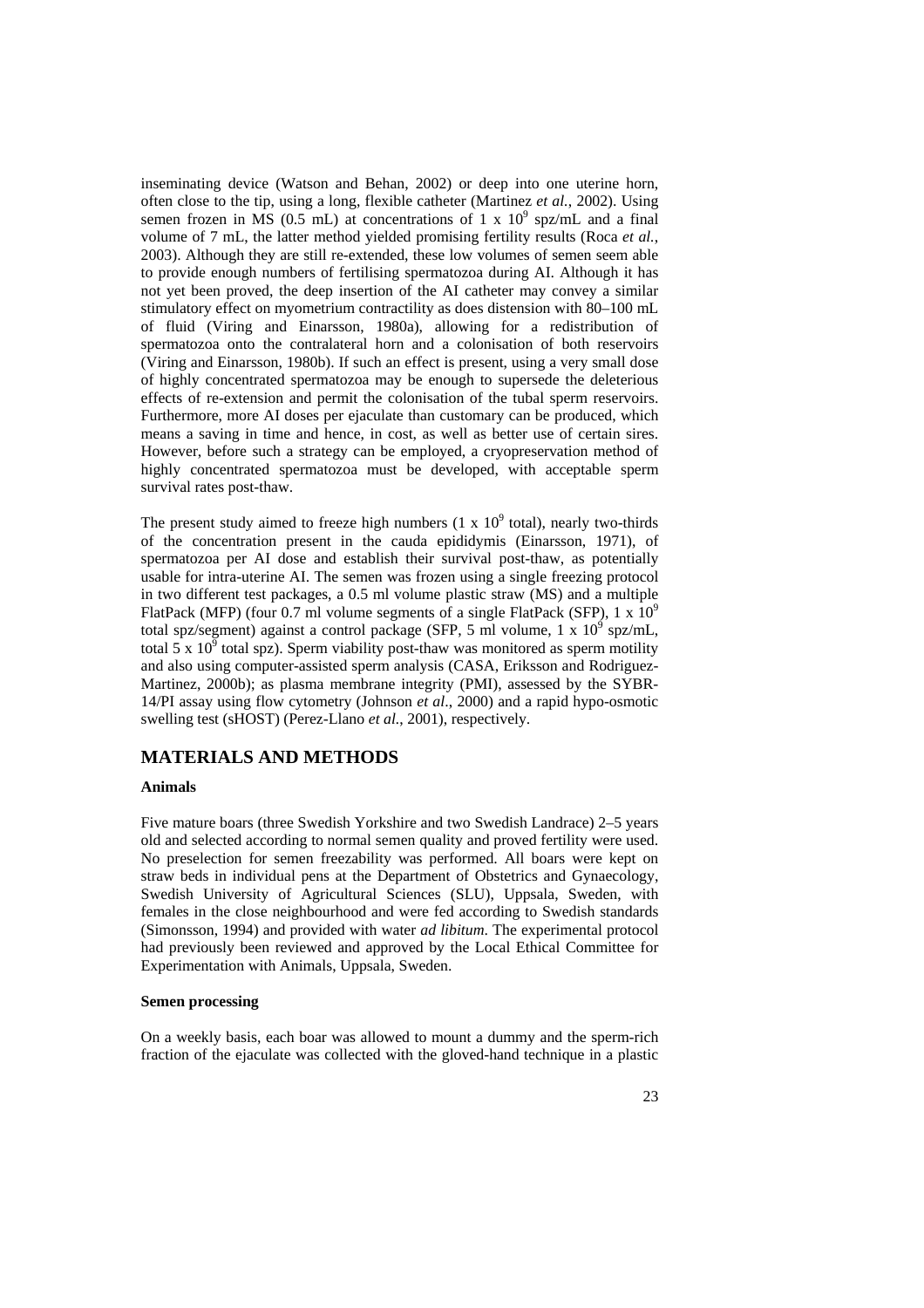inseminating device (Watson and Behan, 2002) or deep into one uterine horn, often close to the tip, using a long, flexible catheter (Martinez *et al.*, 2002). Using semen frozen in MS (0.5 mL) at concentrations of 1 x  $10^9$  spz/mL and a final volume of 7 mL, the latter method yielded promising fertility results (Roca *et al.*, 2003). Although they are still re-extended, these low volumes of semen seem able to provide enough numbers of fertilising spermatozoa during AI. Although it has not yet been proved, the deep insertion of the AI catheter may convey a similar stimulatory effect on myometrium contractility as does distension with 80–100 mL of fluid (Viring and Einarsson, 1980a), allowing for a redistribution of spermatozoa onto the contralateral horn and a colonisation of both reservoirs (Viring and Einarsson, 1980b). If such an effect is present, using a very small dose of highly concentrated spermatozoa may be enough to supersede the deleterious effects of re-extension and permit the colonisation of the tubal sperm reservoirs. Furthermore, more AI doses per ejaculate than customary can be produced, which means a saving in time and hence, in cost, as well as better use of certain sires. However, before such a strategy can be employed, a cryopreservation method of highly concentrated spermatozoa must be developed, with acceptable sperm survival rates post-thaw.

The present study aimed to freeze high numbers  $(1 \times 10^9)$  total), nearly two-thirds of the concentration present in the cauda epididymis (Einarsson, 1971), of spermatozoa per AI dose and establish their survival post-thaw, as potentially usable for intra-uterine AI. The semen was frozen using a single freezing protocol in two different test packages, a 0.5 ml volume plastic straw (MS) and a multiple FlatPack (MFP) (four 0.7 ml volume segments of a single FlatPack (SFP), 1 x  $10^9$ total spz/segment) against a control package (SFP, 5 ml volume, 1 x  $10^9$  spz/mL, total  $5 \times 10^5$  total spz). Sperm viability post-thaw was monitored as sperm motility and also using computer-assisted sperm analysis (CASA, Eriksson and Rodriguez-Martinez, 2000b); as plasma membrane integrity (PMI), assessed by the SYBR-14/PI assay using flow cytometry (Johnson *et al*., 2000) and a rapid hypo-osmotic swelling test (sHOST) (Perez-Llano *et al.*, 2001), respectively.

## **MATERIALS AND METHODS**

### **Animals**

Five mature boars (three Swedish Yorkshire and two Swedish Landrace) 2–5 years old and selected according to normal semen quality and proved fertility were used. No preselection for semen freezability was performed. All boars were kept on straw beds in individual pens at the Department of Obstetrics and Gynaecology, Swedish University of Agricultural Sciences (SLU), Uppsala, Sweden, with females in the close neighbourhood and were fed according to Swedish standards (Simonsson, 1994) and provided with water *ad libitum*. The experimental protocol had previously been reviewed and approved by the Local Ethical Committee for Experimentation with Animals, Uppsala, Sweden.

#### **Semen processing**

On a weekly basis, each boar was allowed to mount a dummy and the sperm-rich fraction of the ejaculate was collected with the gloved-hand technique in a plastic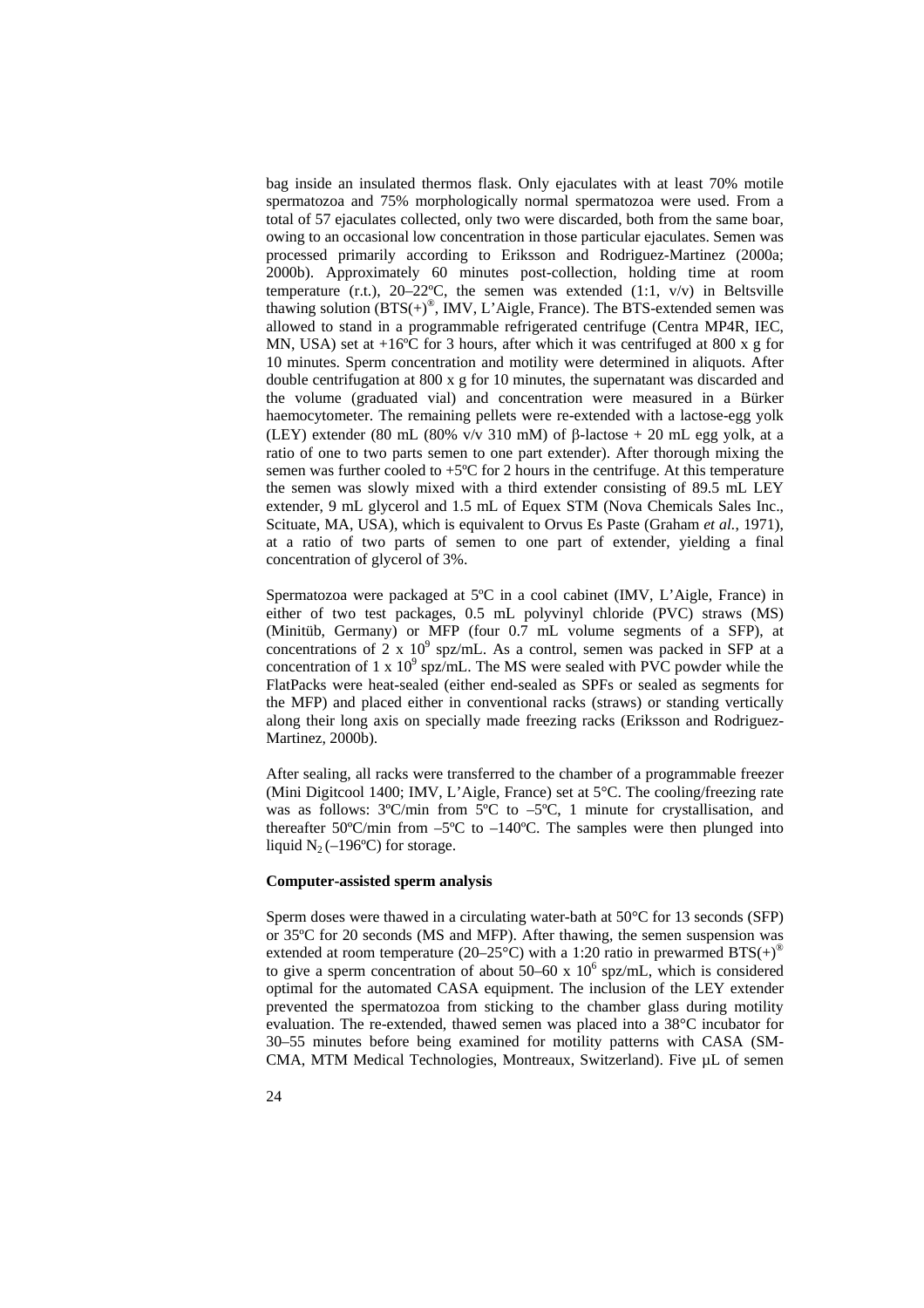bag inside an insulated thermos flask. Only ejaculates with at least 70% motile spermatozoa and 75% morphologically normal spermatozoa were used. From a total of 57 ejaculates collected, only two were discarded, both from the same boar, owing to an occasional low concentration in those particular ejaculates. Semen was processed primarily according to Eriksson and Rodriguez-Martinez (2000a; 2000b). Approximately 60 minutes post-collection, holding time at room temperature (r.t.),  $20-22$ °C, the semen was extended (1:1, v/v) in Beltsville thawing solution  $(BTS(+)^{\circledast})$ , IMV, L'Aigle, France). The BTS-extended semen was allowed to stand in a programmable refrigerated centrifuge (Centra MP4R, IEC, MN, USA) set at  $+16^{\circ}$ C for 3 hours, after which it was centrifuged at 800 x g for 10 minutes. Sperm concentration and motility were determined in aliquots. After double centrifugation at 800 x g for 10 minutes, the supernatant was discarded and the volume (graduated vial) and concentration were measured in a Bürker haemocytometer. The remaining pellets were re-extended with a lactose-egg yolk (LEY) extender (80 mL (80% v/v 310 mM) of  $\beta$ -lactose + 20 mL egg yolk, at a ratio of one to two parts semen to one part extender). After thorough mixing the semen was further cooled to  $+5^{\circ}$ C for 2 hours in the centrifuge. At this temperature the semen was slowly mixed with a third extender consisting of 89.5 mL LEY extender, 9 mL glycerol and 1.5 mL of Equex STM (Nova Chemicals Sales Inc., Scituate, MA, USA), which is equivalent to Orvus Es Paste (Graham *et al.*, 1971), at a ratio of two parts of semen to one part of extender, yielding a final concentration of glycerol of 3%.

Spermatozoa were packaged at 5ºC in a cool cabinet (IMV, L'Aigle, France) in either of two test packages, 0.5 mL polyvinyl chloride (PVC) straws (MS) (Minitüb, Germany) or MFP (four 0.7 mL volume segments of a SFP), at concentrations of  $2 \times 10^9$  spz/mL. As a control, semen was packed in SFP at a concentration of 1 x  $10^9$  spz/mL. The MS were sealed with PVC powder while the FlatPacks were heat-sealed (either end-sealed as SPFs or sealed as segments for the MFP) and placed either in conventional racks (straws) or standing vertically along their long axis on specially made freezing racks (Eriksson and Rodriguez-Martinez, 2000b).

After sealing, all racks were transferred to the chamber of a programmable freezer (Mini Digitcool 1400; IMV, L'Aigle, France) set at 5°C. The cooling/freezing rate was as follows:  $3^{\circ}$ C/min from  $5^{\circ}$ C to  $-5^{\circ}$ C, 1 minute for crystallisation, and thereafter 50°C/min from  $-5$ °C to  $-140$ °C. The samples were then plunged into liquid  $N_2$  (–196°C) for storage.

#### **Computer-assisted sperm analysis**

Sperm doses were thawed in a circulating water-bath at 50°C for 13 seconds (SFP) or 35ºC for 20 seconds (MS and MFP). After thawing, the semen suspension was extended at room temperature (20–25°C) with a 1:20 ratio in prewarmed  $BTS(+)^\circ$ to give a sperm concentration of about  $50-60 \times 10^6$  spz/mL, which is considered optimal for the automated CASA equipment. The inclusion of the LEY extender prevented the spermatozoa from sticking to the chamber glass during motility evaluation. The re-extended, thawed semen was placed into a 38°C incubator for 30–55 minutes before being examined for motility patterns with CASA (SM-CMA, MTM Medical Technologies, Montreaux, Switzerland). Five µL of semen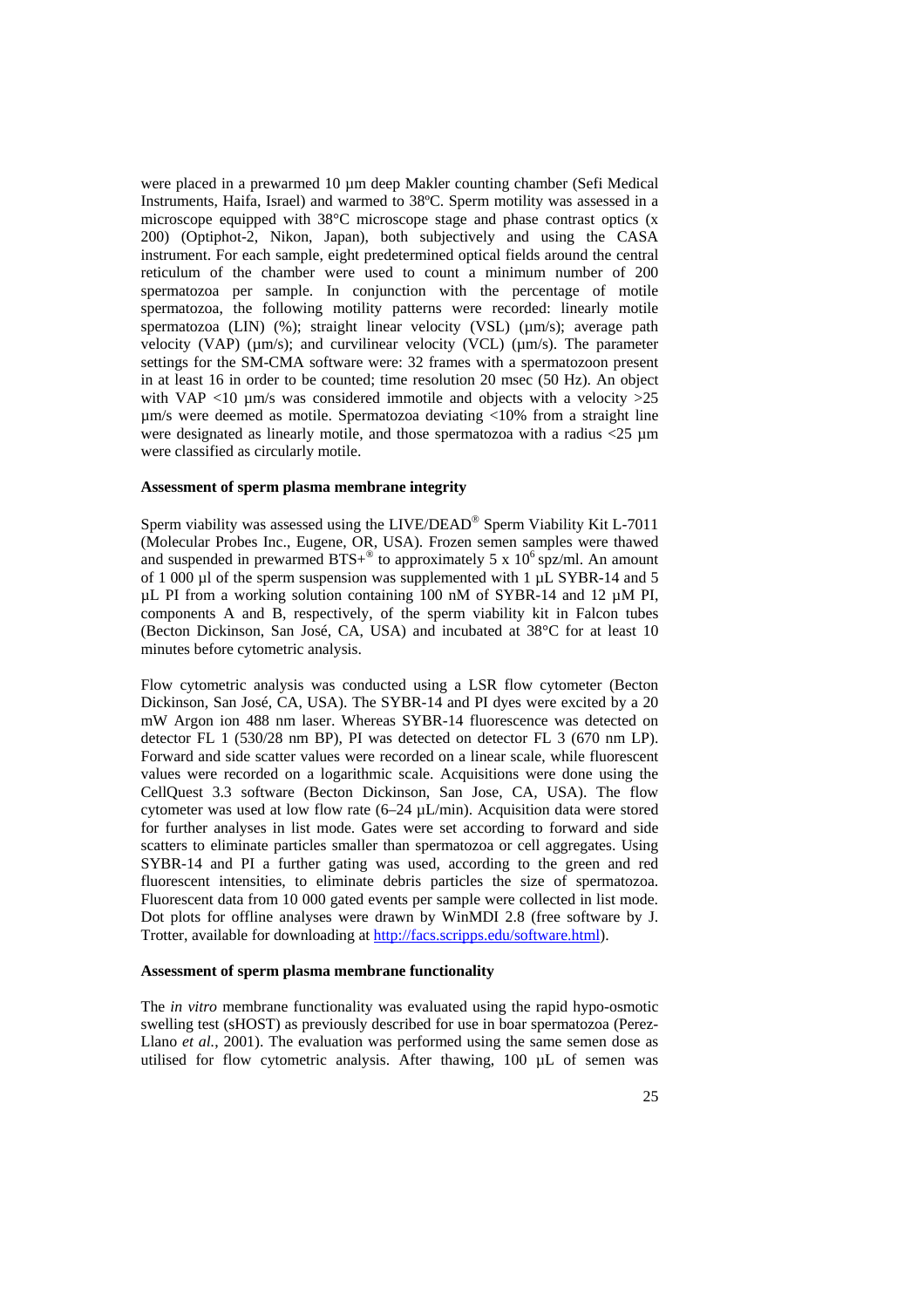were placed in a prewarmed 10 µm deep Makler counting chamber (Sefi Medical Instruments, Haifa, Israel) and warmed to 38ºC. Sperm motility was assessed in a microscope equipped with 38°C microscope stage and phase contrast optics (x 200) (Optiphot-2, Nikon, Japan), both subjectively and using the CASA instrument. For each sample, eight predetermined optical fields around the central reticulum of the chamber were used to count a minimum number of 200 spermatozoa per sample. In conjunction with the percentage of motile spermatozoa, the following motility patterns were recorded: linearly motile spermatozoa (LIN) (%); straight linear velocity (VSL) (µm/s); average path velocity (VAP) ( $\mu$ m/s); and curvilinear velocity (VCL) ( $\mu$ m/s). The parameter settings for the SM-CMA software were: 32 frames with a spermatozoon present in at least 16 in order to be counted; time resolution 20 msec (50 Hz). An object with VAP <10  $\mu$ m/s was considered immotile and objects with a velocity >25 µm/s were deemed as motile. Spermatozoa deviating <10% from a straight line were designated as linearly motile, and those spermatozoa with a radius  $\lt 25 \mu m$ were classified as circularly motile.

### **Assessment of sperm plasma membrane integrity**

Sperm viability was assessed using the LIVE/DEAD® Sperm Viability Kit L-7011 (Molecular Probes Inc., Eugene, OR, USA). Frozen semen samples were thawed and suspended in prewarmed  $BTS+^{\circledast}$  to approximately 5 x 10<sup>6</sup> spz/ml. An amount of 1 000 µl of the sperm suspension was supplemented with 1 µL SYBR-14 and 5 µL PI from a working solution containing 100 nM of SYBR-14 and 12 µM PI, components A and B, respectively, of the sperm viability kit in Falcon tubes (Becton Dickinson, San José, CA, USA) and incubated at 38°C for at least 10 minutes before cytometric analysis.

Flow cytometric analysis was conducted using a LSR flow cytometer (Becton Dickinson, San José, CA, USA). The SYBR-14 and PI dyes were excited by a 20 mW Argon ion 488 nm laser. Whereas SYBR-14 fluorescence was detected on detector FL 1 (530/28 nm BP), PI was detected on detector FL 3 (670 nm LP). Forward and side scatter values were recorded on a linear scale, while fluorescent values were recorded on a logarithmic scale. Acquisitions were done using the CellQuest 3.3 software (Becton Dickinson, San Jose, CA, USA). The flow cytometer was used at low flow rate (6–24 µL/min). Acquisition data were stored for further analyses in list mode. Gates were set according to forward and side scatters to eliminate particles smaller than spermatozoa or cell aggregates. Using SYBR-14 and PI a further gating was used, according to the green and red fluorescent intensities, to eliminate debris particles the size of spermatozoa. Fluorescent data from 10 000 gated events per sample were collected in list mode. Dot plots for offline analyses were drawn by WinMDI 2.8 (free software by J. Trotter, available for downloading at http://facs.scripps.edu/software.html).

#### **Assessment of sperm plasma membrane functionality**

The *in vitro* membrane functionality was evaluated using the rapid hypo-osmotic swelling test (sHOST) as previously described for use in boar spermatozoa (Perez-Llano *et al.*, 2001). The evaluation was performed using the same semen dose as utilised for flow cytometric analysis. After thawing, 100 µL of semen was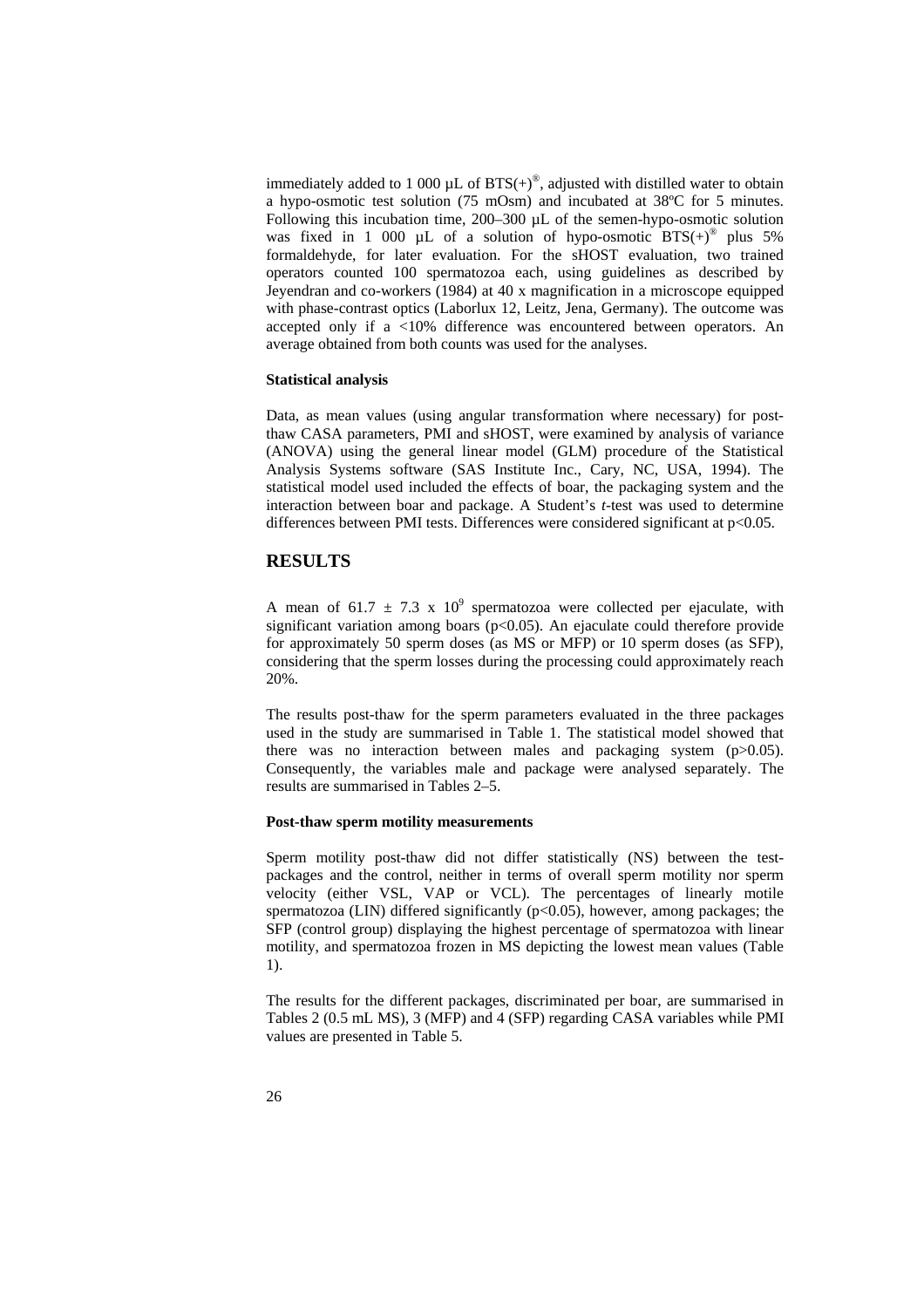immediately added to 1 000  $\mu$ L of BTS(+)<sup>®</sup>, adjusted with distilled water to obtain a hypo-osmotic test solution (75 mOsm) and incubated at 38ºC for 5 minutes. Following this incubation time, 200–300 µL of the semen-hypo-osmotic solution was fixed in 1 000 µL of a solution of hypo-osmotic  $BTS(+)$ <sup>®</sup> plus 5% formaldehyde, for later evaluation. For the sHOST evaluation, two trained operators counted 100 spermatozoa each, using guidelines as described by Jeyendran and co-workers (1984) at 40 x magnification in a microscope equipped with phase-contrast optics (Laborlux 12, Leitz, Jena, Germany). The outcome was accepted only if a <10% difference was encountered between operators. An average obtained from both counts was used for the analyses.

### **Statistical analysis**

Data, as mean values (using angular transformation where necessary) for postthaw CASA parameters, PMI and sHOST, were examined by analysis of variance (ANOVA) using the general linear model (GLM) procedure of the Statistical Analysis Systems software (SAS Institute Inc., Cary, NC, USA, 1994). The statistical model used included the effects of boar, the packaging system and the interaction between boar and package. A Student's *t*-test was used to determine differences between PMI tests. Differences were considered significant at p<0.05.

### **RESULTS**

A mean of 61.7  $\pm$  7.3 x 10<sup>9</sup> spermatozoa were collected per ejaculate, with significant variation among boars ( $p$ <0.05). An ejaculate could therefore provide for approximately 50 sperm doses (as MS or MFP) or 10 sperm doses (as SFP), considering that the sperm losses during the processing could approximately reach 20%.

The results post-thaw for the sperm parameters evaluated in the three packages used in the study are summarised in Table 1. The statistical model showed that there was no interaction between males and packaging system (p>0.05). Consequently, the variables male and package were analysed separately. The results are summarised in Tables 2–5.

#### **Post-thaw sperm motility measurements**

Sperm motility post-thaw did not differ statistically (NS) between the testpackages and the control, neither in terms of overall sperm motility nor sperm velocity (either VSL, VAP or VCL). The percentages of linearly motile spermatozoa (LIN) differed significantly  $(p<0.05)$ , however, among packages; the SFP (control group) displaying the highest percentage of spermatozoa with linear motility, and spermatozoa frozen in MS depicting the lowest mean values (Table 1).

The results for the different packages, discriminated per boar, are summarised in Tables 2 (0.5 mL MS), 3 (MFP) and 4 (SFP) regarding CASA variables while PMI values are presented in Table 5.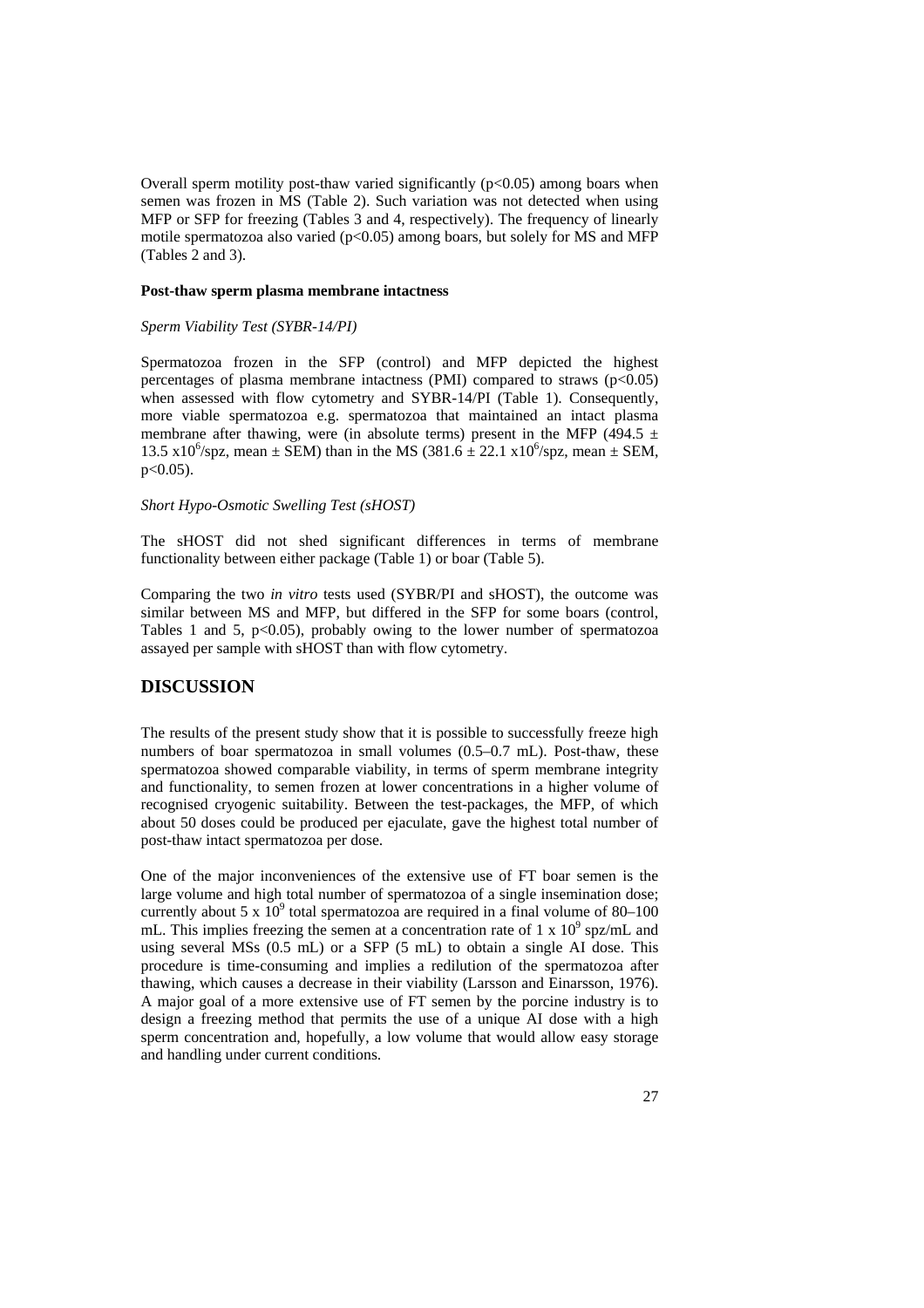Overall sperm motility post-thaw varied significantly  $(p<0.05)$  among boars when semen was frozen in MS (Table 2). Such variation was not detected when using MFP or SFP for freezing (Tables 3 and 4, respectively). The frequency of linearly motile spermatozoa also varied  $(p<0.05)$  among boars, but solely for MS and MFP (Tables 2 and 3).

#### **Post-thaw sperm plasma membrane intactness**

#### *Sperm Viability Test (SYBR-14/PI)*

Spermatozoa frozen in the SFP (control) and MFP depicted the highest percentages of plasma membrane intactness (PMI) compared to straws  $(p<0.05)$ when assessed with flow cytometry and SYBR-14/PI (Table 1). Consequently, more viable spermatozoa e.g. spermatozoa that maintained an intact plasma membrane after thawing, were (in absolute terms) present in the MFP (494.5  $\pm$ 13.5 x10<sup>6</sup>/spz, mean  $\pm$  SEM) than in the MS (381.6  $\pm$  22.1 x10<sup>6</sup>/spz, mean  $\pm$  SEM,  $p < 0.05$ ).

#### *Short Hypo-Osmotic Swelling Test (sHOST)*

The sHOST did not shed significant differences in terms of membrane functionality between either package (Table 1) or boar (Table 5).

Comparing the two *in vitro* tests used (SYBR/PI and sHOST), the outcome was similar between MS and MFP, but differed in the SFP for some boars (control, Tables 1 and 5,  $p<0.05$ , probably owing to the lower number of spermatozoa assayed per sample with sHOST than with flow cytometry.

## **DISCUSSION**

The results of the present study show that it is possible to successfully freeze high numbers of boar spermatozoa in small volumes (0.5–0.7 mL). Post-thaw, these spermatozoa showed comparable viability, in terms of sperm membrane integrity and functionality, to semen frozen at lower concentrations in a higher volume of recognised cryogenic suitability. Between the test-packages, the MFP, of which about 50 doses could be produced per ejaculate, gave the highest total number of post-thaw intact spermatozoa per dose.

One of the major inconveniences of the extensive use of FT boar semen is the large volume and high total number of spermatozoa of a single insemination dose; currently about 5 x  $10^9$  total spermatozoa are required in a final volume of 80–100 mL. This implies freezing the semen at a concentration rate of  $1 \times 10^9$  spz/mL and using several MSs (0.5 mL) or a SFP (5 mL) to obtain a single AI dose. This procedure is time-consuming and implies a redilution of the spermatozoa after thawing, which causes a decrease in their viability (Larsson and Einarsson, 1976). A major goal of a more extensive use of FT semen by the porcine industry is to design a freezing method that permits the use of a unique AI dose with a high sperm concentration and, hopefully, a low volume that would allow easy storage and handling under current conditions.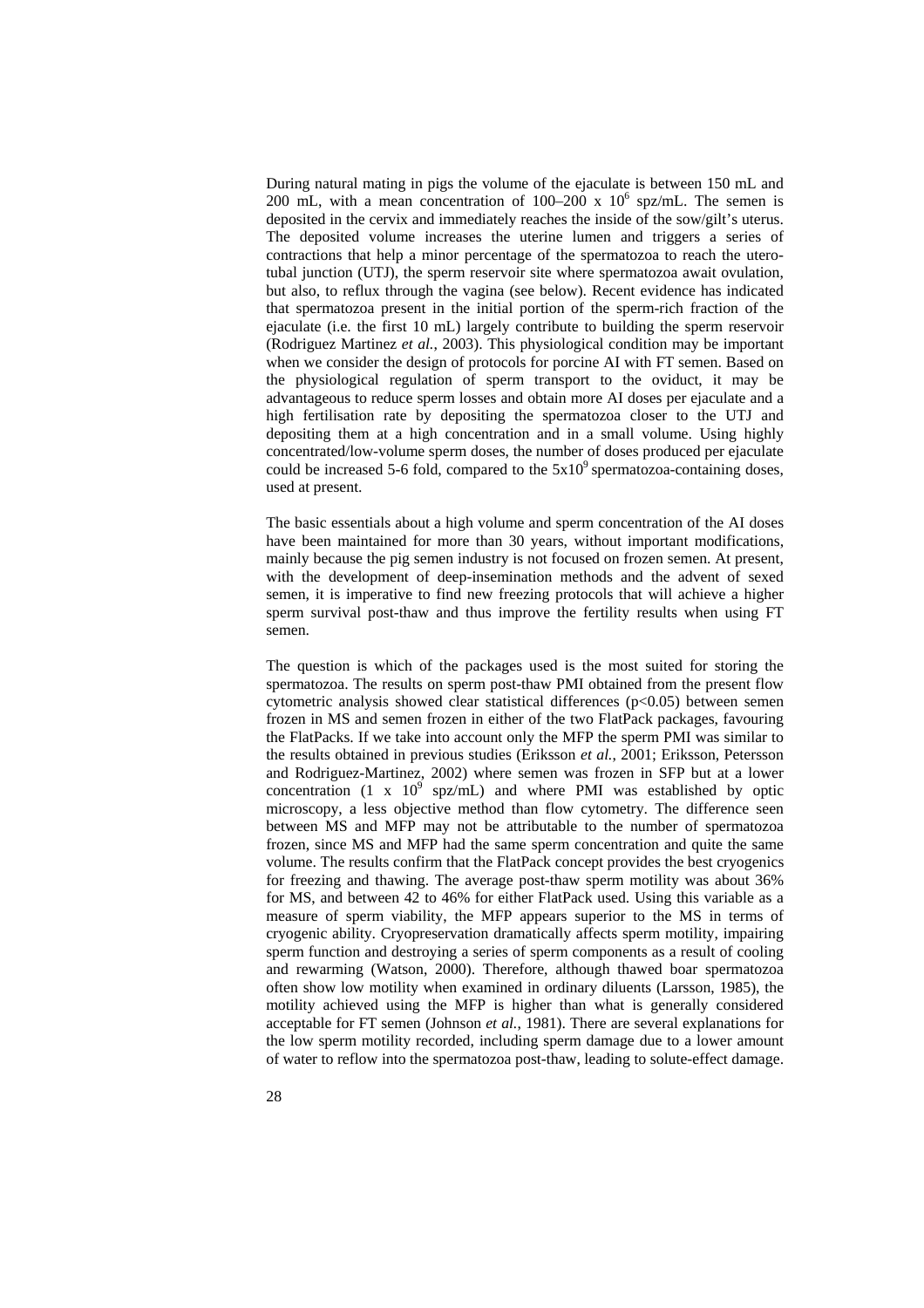During natural mating in pigs the volume of the ejaculate is between 150 mL and 200 mL, with a mean concentration of 100–200 x  $10^6$  spz/mL. The semen is deposited in the cervix and immediately reaches the inside of the sow/gilt's uterus. The deposited volume increases the uterine lumen and triggers a series of contractions that help a minor percentage of the spermatozoa to reach the uterotubal junction (UTJ), the sperm reservoir site where spermatozoa await ovulation, but also, to reflux through the vagina (see below). Recent evidence has indicated that spermatozoa present in the initial portion of the sperm-rich fraction of the ejaculate (i.e. the first 10 mL) largely contribute to building the sperm reservoir (Rodriguez Martinez *et al.*, 2003). This physiological condition may be important when we consider the design of protocols for porcine AI with FT semen. Based on the physiological regulation of sperm transport to the oviduct, it may be advantageous to reduce sperm losses and obtain more AI doses per ejaculate and a high fertilisation rate by depositing the spermatozoa closer to the UTJ and depositing them at a high concentration and in a small volume. Using highly concentrated/low-volume sperm doses, the number of doses produced per ejaculate could be increased 5-6 fold, compared to the  $5x10<sup>9</sup>$  spermatozoa-containing doses, used at present.

The basic essentials about a high volume and sperm concentration of the AI doses have been maintained for more than 30 years, without important modifications, mainly because the pig semen industry is not focused on frozen semen. At present, with the development of deep-insemination methods and the advent of sexed semen, it is imperative to find new freezing protocols that will achieve a higher sperm survival post-thaw and thus improve the fertility results when using FT semen.

The question is which of the packages used is the most suited for storing the spermatozoa. The results on sperm post-thaw PMI obtained from the present flow cytometric analysis showed clear statistical differences  $(p<0.05)$  between semen frozen in MS and semen frozen in either of the two FlatPack packages, favouring the FlatPacks. If we take into account only the MFP the sperm PMI was similar to the results obtained in previous studies (Eriksson *et al.*, 2001; Eriksson, Petersson and Rodriguez-Martinez, 2002) where semen was frozen in SFP but at a lower concentration (1 x  $10^9$  spz/mL) and where PMI was established by optic microscopy, a less objective method than flow cytometry. The difference seen between MS and MFP may not be attributable to the number of spermatozoa frozen, since MS and MFP had the same sperm concentration and quite the same volume. The results confirm that the FlatPack concept provides the best cryogenics for freezing and thawing. The average post-thaw sperm motility was about 36% for MS, and between 42 to 46% for either FlatPack used. Using this variable as a measure of sperm viability, the MFP appears superior to the MS in terms of cryogenic ability. Cryopreservation dramatically affects sperm motility, impairing sperm function and destroying a series of sperm components as a result of cooling and rewarming (Watson, 2000). Therefore, although thawed boar spermatozoa often show low motility when examined in ordinary diluents (Larsson, 1985), the motility achieved using the MFP is higher than what is generally considered acceptable for FT semen (Johnson *et al.*, 1981). There are several explanations for the low sperm motility recorded, including sperm damage due to a lower amount of water to reflow into the spermatozoa post-thaw, leading to solute-effect damage.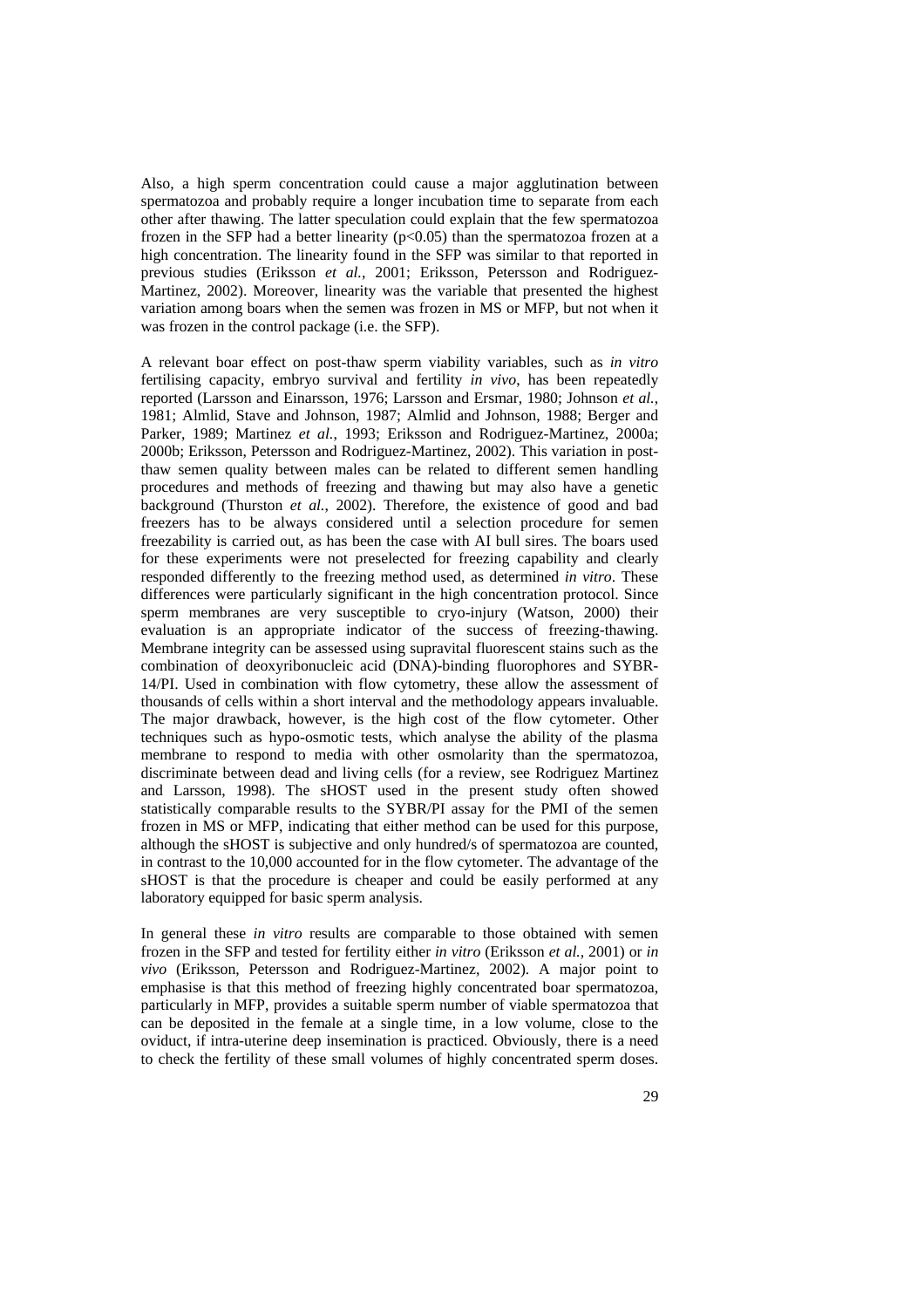Also, a high sperm concentration could cause a major agglutination between spermatozoa and probably require a longer incubation time to separate from each other after thawing. The latter speculation could explain that the few spermatozoa frozen in the SFP had a better linearity  $(p<0.05)$  than the spermatozoa frozen at a high concentration. The linearity found in the SFP was similar to that reported in previous studies (Eriksson *et al.*, 2001; Eriksson, Petersson and Rodriguez-Martinez, 2002). Moreover, linearity was the variable that presented the highest variation among boars when the semen was frozen in MS or MFP, but not when it was frozen in the control package (i.e. the SFP).

A relevant boar effect on post-thaw sperm viability variables, such as *in vitro* fertilising capacity, embryo survival and fertility *in vivo*, has been repeatedly reported (Larsson and Einarsson, 1976; Larsson and Ersmar, 1980; Johnson *et al.*, 1981; Almlid, Stave and Johnson, 1987; Almlid and Johnson, 1988; Berger and Parker, 1989; Martinez *et al.*, 1993; Eriksson and Rodriguez-Martinez, 2000a; 2000b; Eriksson, Petersson and Rodriguez-Martinez, 2002). This variation in postthaw semen quality between males can be related to different semen handling procedures and methods of freezing and thawing but may also have a genetic background (Thurston *et al.*, 2002). Therefore, the existence of good and bad freezers has to be always considered until a selection procedure for semen freezability is carried out, as has been the case with AI bull sires. The boars used for these experiments were not preselected for freezing capability and clearly responded differently to the freezing method used, as determined *in vitro*. These differences were particularly significant in the high concentration protocol. Since sperm membranes are very susceptible to cryo-injury (Watson, 2000) their evaluation is an appropriate indicator of the success of freezing-thawing. Membrane integrity can be assessed using supravital fluorescent stains such as the combination of deoxyribonucleic acid (DNA)-binding fluorophores and SYBR-14/PI. Used in combination with flow cytometry, these allow the assessment of thousands of cells within a short interval and the methodology appears invaluable. The major drawback, however, is the high cost of the flow cytometer. Other techniques such as hypo-osmotic tests, which analyse the ability of the plasma membrane to respond to media with other osmolarity than the spermatozoa, discriminate between dead and living cells (for a review, see Rodriguez Martinez and Larsson, 1998). The sHOST used in the present study often showed statistically comparable results to the SYBR/PI assay for the PMI of the semen frozen in MS or MFP, indicating that either method can be used for this purpose, although the sHOST is subjective and only hundred/s of spermatozoa are counted, in contrast to the 10,000 accounted for in the flow cytometer. The advantage of the sHOST is that the procedure is cheaper and could be easily performed at any laboratory equipped for basic sperm analysis.

In general these *in vitro* results are comparable to those obtained with semen frozen in the SFP and tested for fertility either *in vitro* (Eriksson *et al.,* 2001) or *in vivo* (Eriksson, Petersson and Rodriguez-Martinez, 2002). A major point to emphasise is that this method of freezing highly concentrated boar spermatozoa, particularly in MFP, provides a suitable sperm number of viable spermatozoa that can be deposited in the female at a single time, in a low volume, close to the oviduct, if intra-uterine deep insemination is practiced. Obviously, there is a need to check the fertility of these small volumes of highly concentrated sperm doses.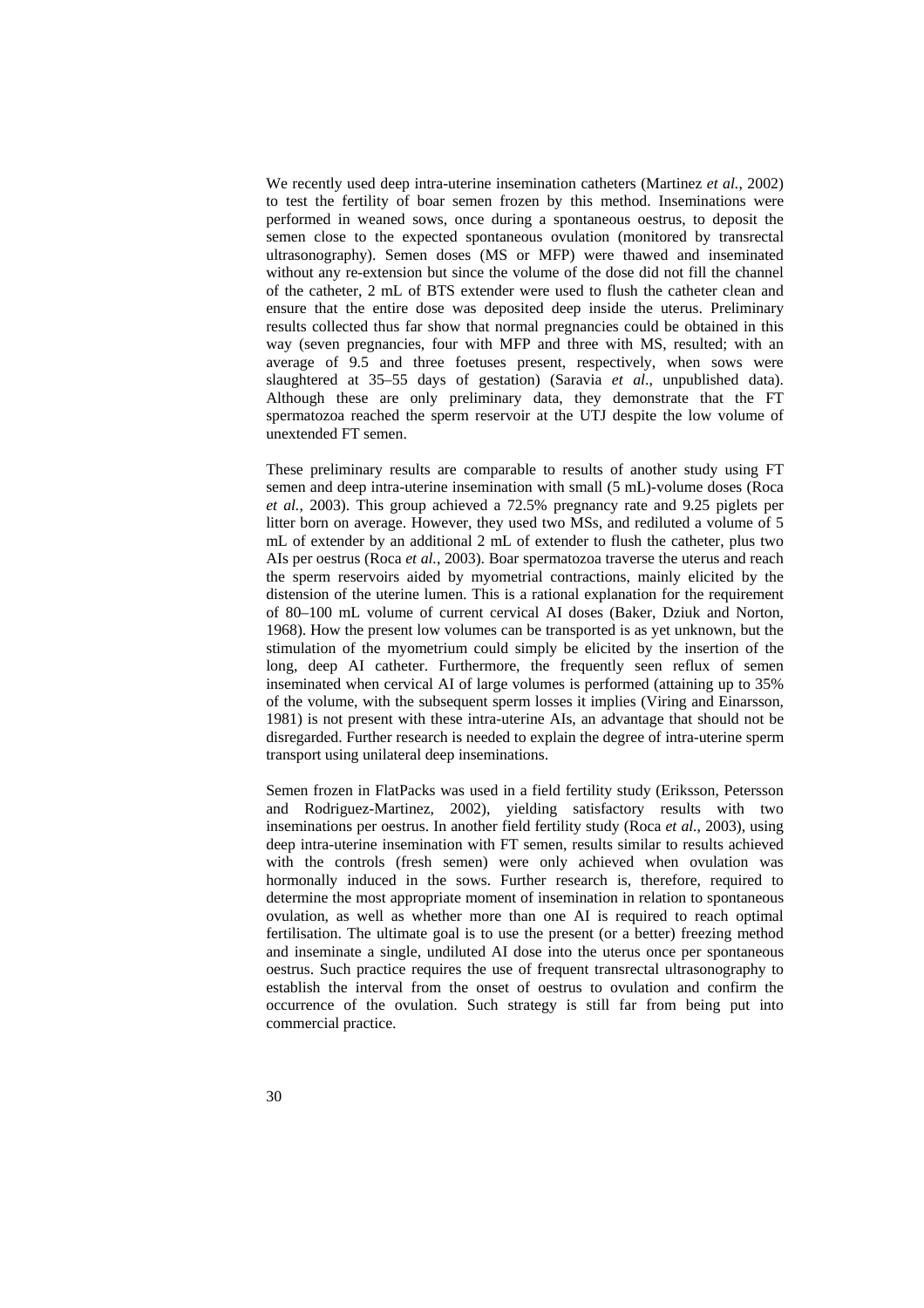We recently used deep intra-uterine insemination catheters (Martinez *et al.*, 2002) to test the fertility of boar semen frozen by this method. Inseminations were performed in weaned sows, once during a spontaneous oestrus, to deposit the semen close to the expected spontaneous ovulation (monitored by transrectal ultrasonography). Semen doses (MS or MFP) were thawed and inseminated without any re-extension but since the volume of the dose did not fill the channel of the catheter, 2 mL of BTS extender were used to flush the catheter clean and ensure that the entire dose was deposited deep inside the uterus. Preliminary results collected thus far show that normal pregnancies could be obtained in this way (seven pregnancies, four with MFP and three with MS, resulted; with an average of 9.5 and three foetuses present, respectively, when sows were slaughtered at 35–55 days of gestation) (Saravia *et al*., unpublished data). Although these are only preliminary data, they demonstrate that the FT spermatozoa reached the sperm reservoir at the UTJ despite the low volume of unextended FT semen.

These preliminary results are comparable to results of another study using FT semen and deep intra-uterine insemination with small (5 mL)-volume doses (Roca *et al.*, 2003). This group achieved a 72.5% pregnancy rate and 9.25 piglets per litter born on average. However, they used two MSs, and rediluted a volume of 5 mL of extender by an additional 2 mL of extender to flush the catheter, plus two AIs per oestrus (Roca *et al.*, 2003). Boar spermatozoa traverse the uterus and reach the sperm reservoirs aided by myometrial contractions, mainly elicited by the distension of the uterine lumen. This is a rational explanation for the requirement of 80–100 mL volume of current cervical AI doses (Baker, Dziuk and Norton, 1968). How the present low volumes can be transported is as yet unknown, but the stimulation of the myometrium could simply be elicited by the insertion of the long, deep AI catheter. Furthermore, the frequently seen reflux of semen inseminated when cervical AI of large volumes is performed (attaining up to 35% of the volume, with the subsequent sperm losses it implies (Viring and Einarsson, 1981) is not present with these intra-uterine AIs, an advantage that should not be disregarded. Further research is needed to explain the degree of intra-uterine sperm transport using unilateral deep inseminations.

Semen frozen in FlatPacks was used in a field fertility study (Eriksson, Petersson and Rodriguez-Martinez, 2002), yielding satisfactory results with two inseminations per oestrus. In another field fertility study (Roca *et al.*, 2003), using deep intra-uterine insemination with FT semen, results similar to results achieved with the controls (fresh semen) were only achieved when ovulation was hormonally induced in the sows. Further research is, therefore, required to determine the most appropriate moment of insemination in relation to spontaneous ovulation, as well as whether more than one AI is required to reach optimal fertilisation. The ultimate goal is to use the present (or a better) freezing method and inseminate a single, undiluted AI dose into the uterus once per spontaneous oestrus. Such practice requires the use of frequent transrectal ultrasonography to establish the interval from the onset of oestrus to ovulation and confirm the occurrence of the ovulation. Such strategy is still far from being put into commercial practice.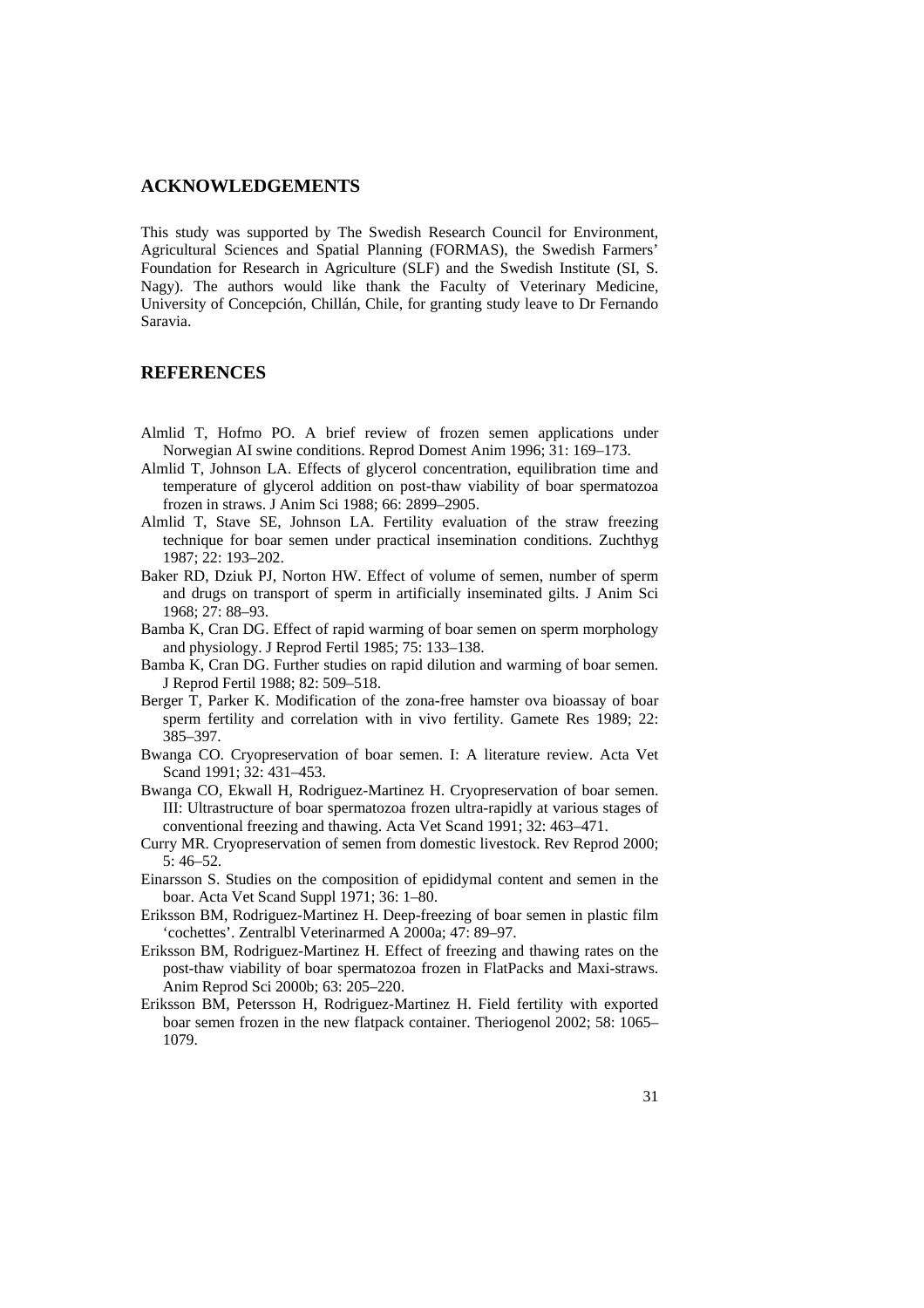## **ACKNOWLEDGEMENTS**

This study was supported by The Swedish Research Council for Environment, Agricultural Sciences and Spatial Planning (FORMAS), the Swedish Farmers' Foundation for Research in Agriculture (SLF) and the Swedish Institute (SI, S. Nagy). The authors would like thank the Faculty of Veterinary Medicine, University of Concepción, Chillán, Chile, for granting study leave to Dr Fernando Saravia.

## **REFERENCES**

- Almlid T, Hofmo PO. A brief review of frozen semen applications under Norwegian AI swine conditions. Reprod Domest Anim 1996; 31: 169–173.
- Almlid T, Johnson LA. Effects of glycerol concentration, equilibration time and temperature of glycerol addition on post-thaw viability of boar spermatozoa frozen in straws. J Anim Sci 1988; 66: 2899–2905.
- Almlid T, Stave SE, Johnson LA. Fertility evaluation of the straw freezing technique for boar semen under practical insemination conditions. Zuchthyg 1987; 22: 193–202.
- Baker RD, Dziuk PJ, Norton HW. Effect of volume of semen, number of sperm and drugs on transport of sperm in artificially inseminated gilts. J Anim Sci 1968; 27: 88–93.
- Bamba K, Cran DG. Effect of rapid warming of boar semen on sperm morphology and physiology. J Reprod Fertil 1985; 75: 133–138.
- Bamba K, Cran DG. Further studies on rapid dilution and warming of boar semen. J Reprod Fertil 1988; 82: 509–518.
- Berger T, Parker K. Modification of the zona-free hamster ova bioassay of boar sperm fertility and correlation with in vivo fertility. Gamete Res 1989; 22: 385–397.
- Bwanga CO. Cryopreservation of boar semen. I: A literature review. Acta Vet Scand 1991; 32: 431-453.
- Bwanga CO, Ekwall H, Rodriguez-Martinez H. Cryopreservation of boar semen. III: Ultrastructure of boar spermatozoa frozen ultra-rapidly at various stages of conventional freezing and thawing. Acta Vet Scand 1991; 32: 463–471.
- Curry MR. Cryopreservation of semen from domestic livestock. Rev Reprod 2000; 5: 46–52.
- Einarsson S. Studies on the composition of epididymal content and semen in the boar. Acta Vet Scand Suppl 1971; 36: 1–80.
- Eriksson BM, Rodriguez-Martinez H. Deep-freezing of boar semen in plastic film 'cochettes'. Zentralbl Veterinarmed A 2000a; 47: 89–97.
- Eriksson BM, Rodriguez-Martinez H. Effect of freezing and thawing rates on the post-thaw viability of boar spermatozoa frozen in FlatPacks and Maxi-straws. Anim Reprod Sci 2000b; 63: 205–220.
- Eriksson BM, Petersson H, Rodriguez-Martinez H. Field fertility with exported boar semen frozen in the new flatpack container. Theriogenol 2002; 58: 1065– 1079.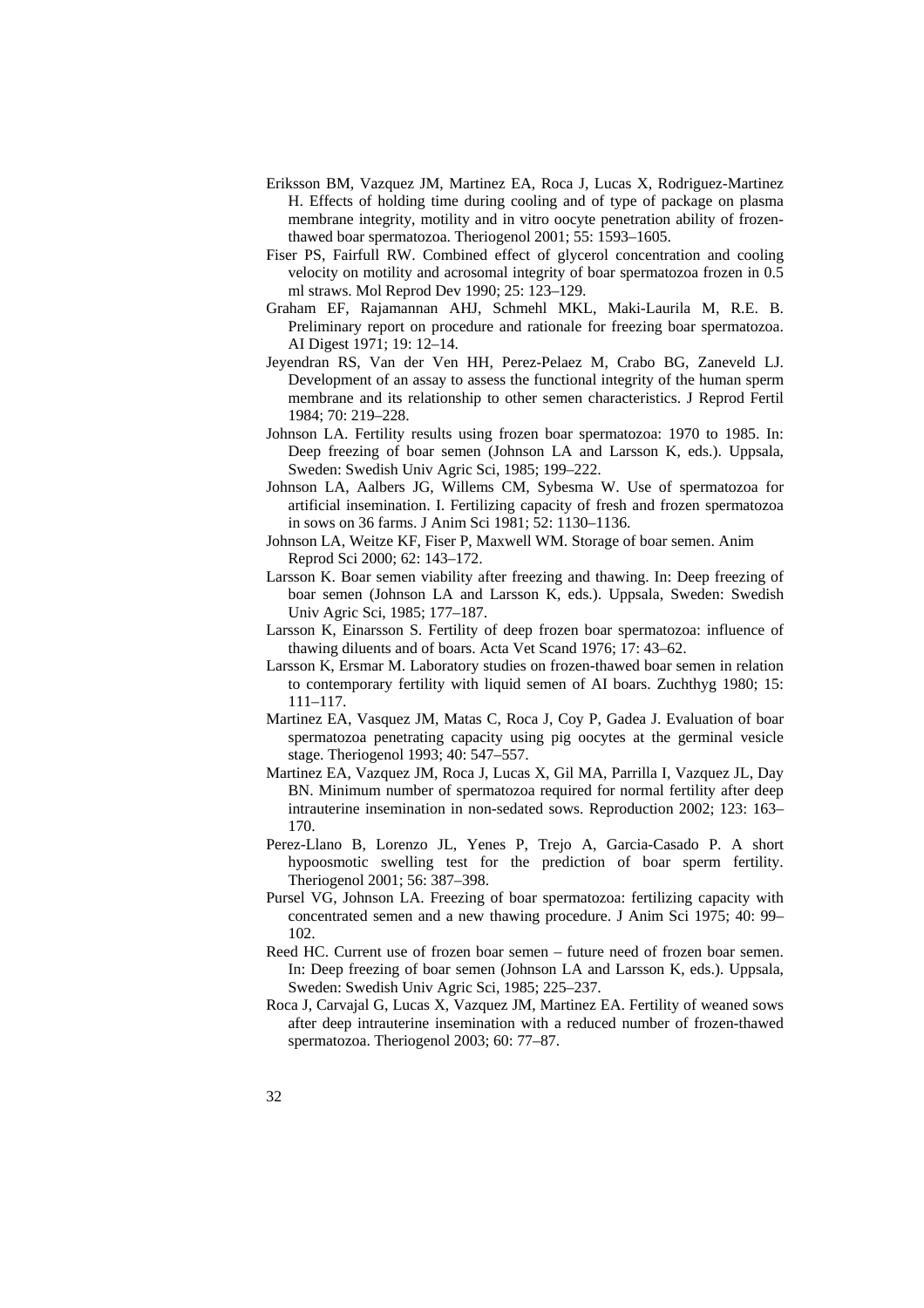- Eriksson BM, Vazquez JM, Martinez EA, Roca J, Lucas X, Rodriguez-Martinez H. Effects of holding time during cooling and of type of package on plasma membrane integrity, motility and in vitro oocyte penetration ability of frozenthawed boar spermatozoa. Theriogenol 2001; 55: 1593–1605.
- Fiser PS, Fairfull RW. Combined effect of glycerol concentration and cooling velocity on motility and acrosomal integrity of boar spermatozoa frozen in 0.5 ml straws. Mol Reprod Dev 1990; 25: 123–129.
- Graham EF, Rajamannan AHJ, Schmehl MKL, Maki-Laurila M, R.E. B. Preliminary report on procedure and rationale for freezing boar spermatozoa. AI Digest 1971; 19: 12–14.
- Jeyendran RS, Van der Ven HH, Perez-Pelaez M, Crabo BG, Zaneveld LJ. Development of an assay to assess the functional integrity of the human sperm membrane and its relationship to other semen characteristics. J Reprod Fertil 1984; 70: 219–228.
- Johnson LA. Fertility results using frozen boar spermatozoa: 1970 to 1985. In: Deep freezing of boar semen (Johnson LA and Larsson K, eds.). Uppsala, Sweden: Swedish Univ Agric Sci, 1985; 199–222.
- Johnson LA, Aalbers JG, Willems CM, Sybesma W. Use of spermatozoa for artificial insemination. I. Fertilizing capacity of fresh and frozen spermatozoa in sows on 36 farms. J Anim Sci 1981; 52: 1130–1136.
- Johnson LA, Weitze KF, Fiser P, Maxwell WM. Storage of boar semen. Anim Reprod Sci 2000; 62: 143–172.
- Larsson K. Boar semen viability after freezing and thawing. In: Deep freezing of boar semen (Johnson LA and Larsson K, eds.). Uppsala, Sweden: Swedish Univ Agric Sci, 1985; 177–187.
- Larsson K, Einarsson S. Fertility of deep frozen boar spermatozoa: influence of thawing diluents and of boars. Acta Vet Scand 1976; 17: 43–62.
- Larsson K, Ersmar M. Laboratory studies on frozen-thawed boar semen in relation to contemporary fertility with liquid semen of AI boars. Zuchthyg 1980; 15: 111–117.
- Martinez EA, Vasquez JM, Matas C, Roca J, Coy P, Gadea J. Evaluation of boar spermatozoa penetrating capacity using pig oocytes at the germinal vesicle stage. Theriogenol 1993; 40: 547–557.
- Martinez EA, Vazquez JM, Roca J, Lucas X, Gil MA, Parrilla I, Vazquez JL, Day BN. Minimum number of spermatozoa required for normal fertility after deep intrauterine insemination in non-sedated sows. Reproduction 2002; 123: 163– 170.
- Perez-Llano B, Lorenzo JL, Yenes P, Trejo A, Garcia-Casado P. A short hypoosmotic swelling test for the prediction of boar sperm fertility. Theriogenol 2001; 56: 387–398.
- Pursel VG, Johnson LA. Freezing of boar spermatozoa: fertilizing capacity with concentrated semen and a new thawing procedure. J Anim Sci 1975; 40: 99– 102.
- Reed HC. Current use of frozen boar semen future need of frozen boar semen. In: Deep freezing of boar semen (Johnson LA and Larsson K, eds.). Uppsala, Sweden: Swedish Univ Agric Sci, 1985; 225–237.
- Roca J, Carvajal G, Lucas X, Vazquez JM, Martinez EA. Fertility of weaned sows after deep intrauterine insemination with a reduced number of frozen-thawed spermatozoa. Theriogenol 2003; 60: 77–87.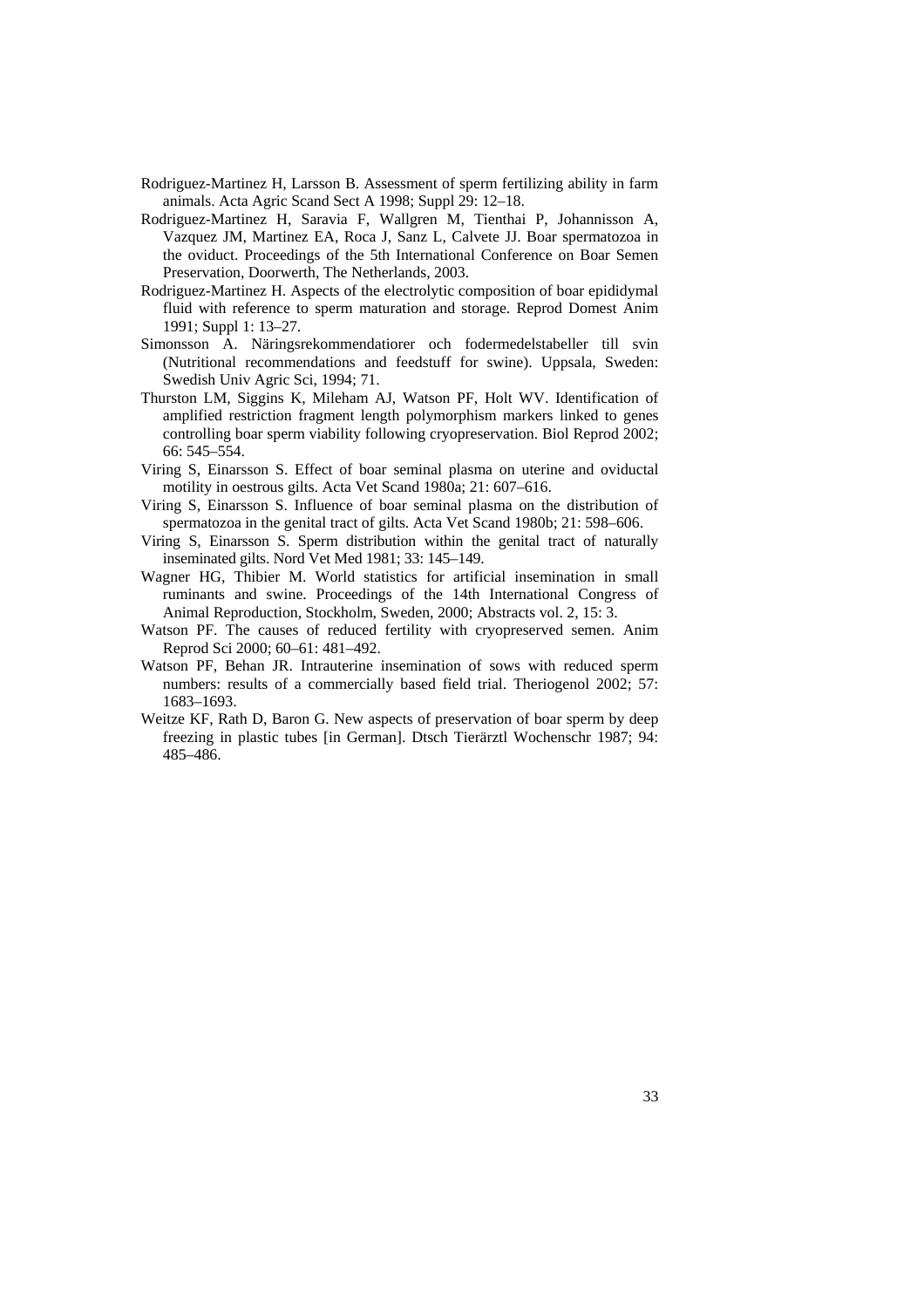- Rodriguez-Martinez H, Larsson B. Assessment of sperm fertilizing ability in farm animals. Acta Agric Scand Sect A 1998; Suppl 29: 12–18.
- Rodriguez-Martinez H, Saravia F, Wallgren M, Tienthai P, Johannisson A, Vazquez JM, Martinez EA, Roca J, Sanz L, Calvete JJ. Boar spermatozoa in the oviduct. Proceedings of the 5th International Conference on Boar Semen Preservation, Doorwerth, The Netherlands, 2003.
- Rodriguez-Martinez H. Aspects of the electrolytic composition of boar epididymal fluid with reference to sperm maturation and storage. Reprod Domest Anim 1991; Suppl 1: 13–27.
- Simonsson A. Näringsrekommendatiorer och fodermedelstabeller till svin (Nutritional recommendations and feedstuff for swine). Uppsala, Sweden: Swedish Univ Agric Sci, 1994; 71.
- Thurston LM, Siggins K, Mileham AJ, Watson PF, Holt WV. Identification of amplified restriction fragment length polymorphism markers linked to genes controlling boar sperm viability following cryopreservation. Biol Reprod 2002; 66: 545–554.
- Viring S, Einarsson S. Effect of boar seminal plasma on uterine and oviductal motility in oestrous gilts. Acta Vet Scand 1980a; 21: 607–616.
- Viring S, Einarsson S. Influence of boar seminal plasma on the distribution of spermatozoa in the genital tract of gilts. Acta Vet Scand 1980b; 21: 598–606.
- Viring S, Einarsson S. Sperm distribution within the genital tract of naturally inseminated gilts. Nord Vet Med 1981; 33: 145–149.
- Wagner HG, Thibier M. World statistics for artificial insemination in small ruminants and swine. Proceedings of the 14th International Congress of Animal Reproduction, Stockholm, Sweden, 2000; Abstracts vol. 2, 15: 3.
- Watson PF. The causes of reduced fertility with cryopreserved semen. Anim Reprod Sci 2000; 60–61: 481–492.
- Watson PF, Behan JR. Intrauterine insemination of sows with reduced sperm numbers: results of a commercially based field trial. Theriogenol 2002; 57: 1683–1693.
- Weitze KF, Rath D, Baron G. New aspects of preservation of boar sperm by deep freezing in plastic tubes [in German]. Dtsch Tierärztl Wochenschr 1987; 94: 485–486.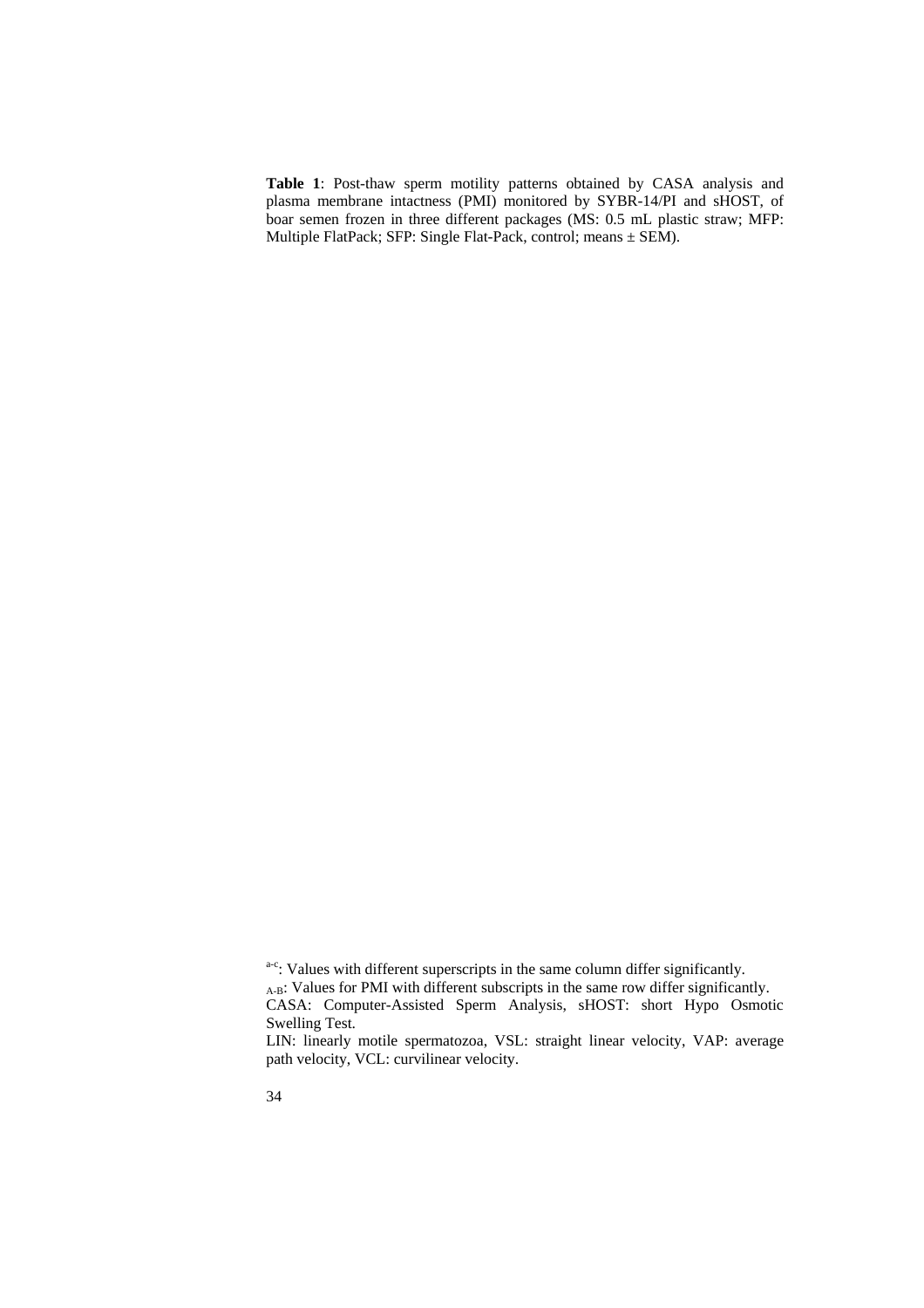**Table 1**: Post-thaw sperm motility patterns obtained by CASA analysis and plasma membrane intactness (PMI) monitored by SYBR-14/PI and sHOST, of boar semen frozen in three different packages (MS: 0.5 mL plastic straw; MFP: Multiple FlatPack; SFP: Single Flat-Pack, control; means ± SEM).

a-c: Values with different superscripts in the same column differ significantly. A-B: Values for PMI with different subscripts in the same row differ significantly. CASA: Computer-Assisted Sperm Analysis, sHOST: short Hypo Osmotic Swelling Test.

LIN: linearly motile spermatozoa, VSL: straight linear velocity, VAP: average path velocity, VCL: curvilinear velocity.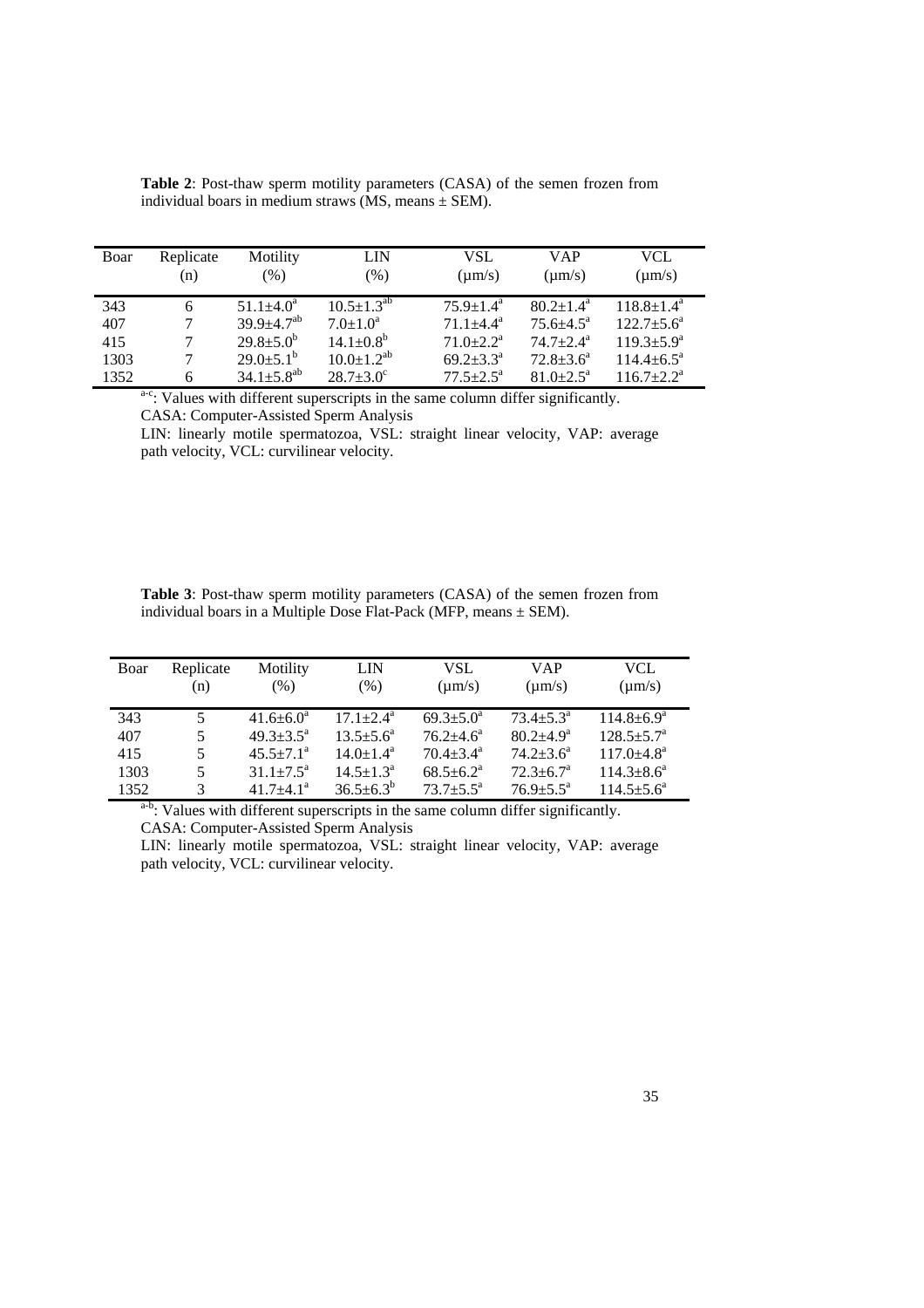| Boar | Replicate | Motility                     | LIN                          | VSL                         | <b>VAP</b>           | VCL                        |
|------|-----------|------------------------------|------------------------------|-----------------------------|----------------------|----------------------------|
|      | (n)       | (%)                          | $(\%)$                       | $\mu$ m/s)                  | $\mu$ m/s)           | $\text{(µm/s)}$            |
| 343  | 6         | $51.1 \pm 4.0^a$             | $10.5 \pm 1.3^{ab}$          | $75.9 \pm 1.4^{\mathrm{a}}$ | $80.2 + 1.4^a$       | $118.8 \pm 1.4^{\text{a}}$ |
| 407  |           | $39.9 \pm 4.7^{ab}$          | $7.0 \pm 1.0^a$              | $71.1 + 4.4^a$              | $75.6 + 4.5^{\circ}$ | $122.7 + 5.6^a$            |
| 415  |           | $29.8 \pm 5.0^b$             | $14.1 \pm 0.8^{\rm b}$       | $71.0 + 2.2^a$              | $74.7 + 2.4^a$       | $119.3 + 5.9^a$            |
| 1303 | 6         | $29.0 \pm 5.1^{\rm b}$       | $10.0 \pm 1.2$ <sup>ab</sup> | $69.2 + 3.3^a$              | $72.8 + 3.6^a$       | $114.4 \pm 6.5^{\text{a}}$ |
| 1352 |           | $34.1 \pm 5.8$ <sup>ab</sup> | $28.7 \pm 3.0^{\circ}$       | $77.5 + 2.5^{\mathrm{a}}$   | $81.0 + 2.5^{\circ}$ | $116.7 + 2.2^a$            |

**Table 2**: Post-thaw sperm motility parameters (CASA) of the semen frozen from individual boars in medium straws  $(MS, \text{means} \pm \text{SEM})$ .

a-c: Values with different superscripts in the same column differ significantly. CASA: Computer-Assisted Sperm Analysis

LIN: linearly motile spermatozoa, VSL: straight linear velocity, VAP: average path velocity, VCL: curvilinear velocity.

| <b>Table 3:</b> Post-thaw sperm motility parameters (CASA) of the semen frozen from |  |
|-------------------------------------------------------------------------------------|--|
| individual boars in a Multiple Dose Flat-Pack (MFP, means $\pm$ SEM).               |  |

| Boar | Replicate<br>(n) | Motility<br>$(\% )$    | LIN<br>$(\%)$             | VSL<br>$\mu$ m/s)      | VAP<br>$\mu$ m/s)    | <b>VCL</b><br>$\text{(µm/s)}$ |
|------|------------------|------------------------|---------------------------|------------------------|----------------------|-------------------------------|
| 343  | 5                | $41.6 \pm 6.0^a$       | $17.1 + 2.4^{\mathrm{a}}$ | $69.3 \pm 5.0^{\circ}$ | $73.4 + 5.3^{\circ}$ | $114.8 + 6.9^a$               |
| 407  | 5                | $49.3 + 3.5^{\circ}$   | $13.5 + 5.6^a$            | $76.2 + 4.6^a$         | $80.2 + 4.9^a$       | $128.5 + 5.7^{\circ}$         |
| 415  | 5                | $45.5 \pm 7.1^{\circ}$ | $14.0 + 1.4^a$            | $70.4 + 3.4^a$         | $74.2 + 3.6^a$       | $117.0 + 4.8^a$               |
| 1303 | 5                | $31.1 \pm 7.5^{\circ}$ | $14.5 \pm 1.3^{\circ}$    | $68.5 + 6.2^a$         | $72.3 + 6.7^a$       | $114.3 + 8.6^a$               |
| 1352 | 3                | $41.7 + 4.1a$          | $36.5 \pm 6.3^b$          | $73.7 + 5.5^{\circ}$   | $76.9 + 5.5^{\circ}$ | $114.5 + 5.6^a$               |

a-b: Values with different superscripts in the same column differ significantly. CASA: Computer-Assisted Sperm Analysis

LIN: linearly motile spermatozoa, VSL: straight linear velocity, VAP: average path velocity, VCL: curvilinear velocity.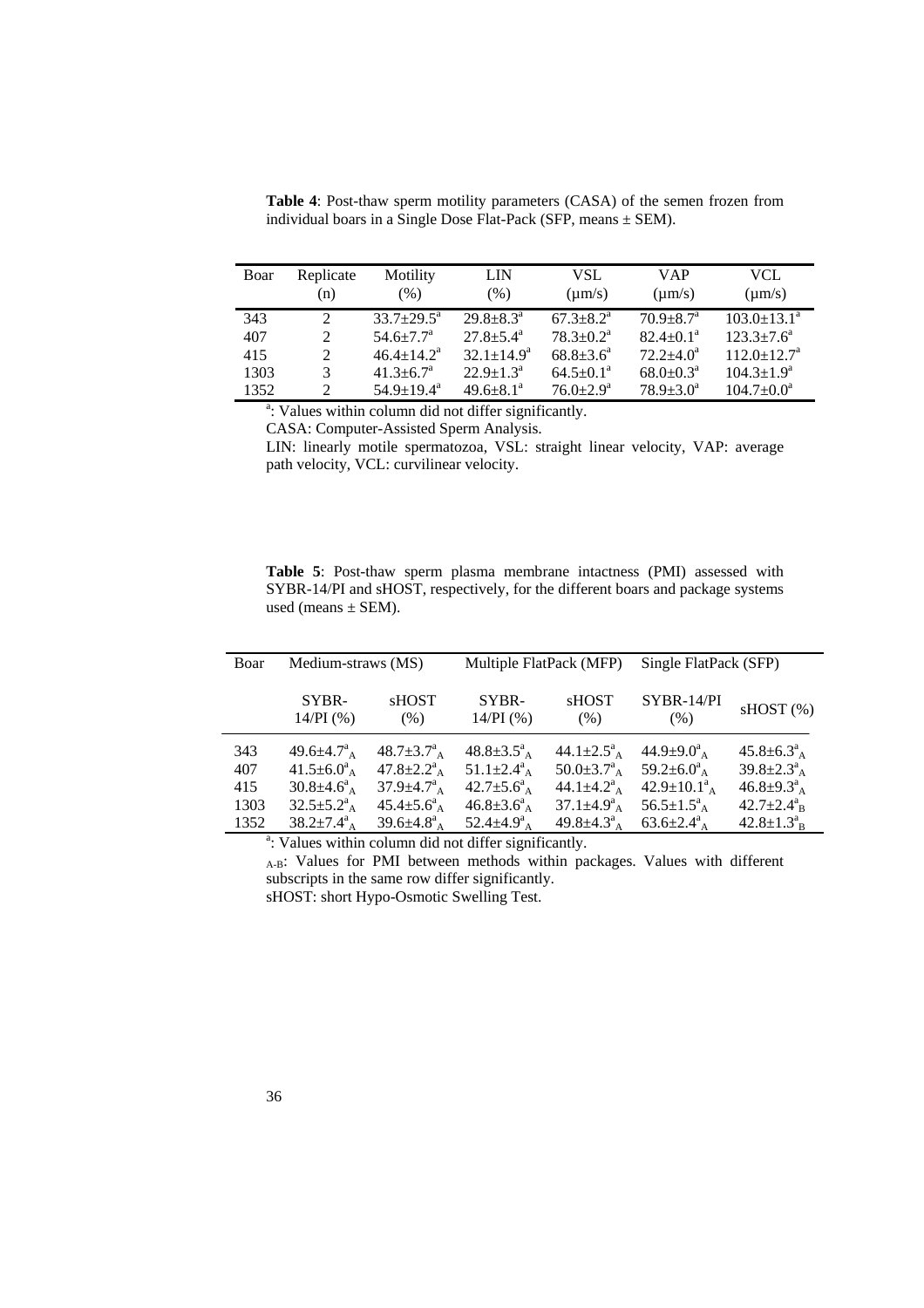| Boar | Replicate   | Motility                    | LIN                       | VSL                         | VAP                       | VCL                         |
|------|-------------|-----------------------------|---------------------------|-----------------------------|---------------------------|-----------------------------|
|      | (n)         | $(\%)$                      | (% )                      | $\mu$ m/s)                  | $\text{(µm/s)}$           | $\text{(µm/s)}$             |
| 343  | 2           | $33.7 \pm 29.5^{\text{a}}$  | $29.8 + 8.3^a$            | $67.3 + 8.2^{\mathrm{a}}$   | $70.9 + 8.7^{\circ}$      | $103.0 \pm 13.1^{\circ}$    |
| 407  | 2           | $54.6 \pm 7.7$ <sup>a</sup> | $27.8 \pm 5.4^{\circ}$    | $78.3 \pm 0.2^{\text{a}}$   | $82.4 \pm 0.1^{\circ}$    | $123.3 \pm 7.6^{\circ}$     |
| 415  | 2           | $46.4 + 14.2^a$             | $32.1 \pm 14.9^a$         | $68.8 \pm 3.6^{\circ}$      | $72.2 + 4.0^a$            | $112.0 \pm 12.7^{\text{a}}$ |
| 1303 | 3           | $41.3 \pm 6.7$ <sup>a</sup> | $22.9 \pm 1.3^{\text{a}}$ | $64.5 \pm 0.1^{\text{a}}$   | $68.0 \pm 0.3^{\text{a}}$ | $104.3 \pm 1.9^a$           |
| 1352 | $2^{\circ}$ | $54.9 \pm 19.4^{\text{a}}$  | $49.6 \pm 8.1^{\circ}$    | $76.0 \pm 2.9^{\mathrm{a}}$ | $78.9 + 3.0^a$            | $104.7 \pm 0.0^{\text{a}}$  |

**Table 4**: Post-thaw sperm motility parameters (CASA) of the semen frozen from individual boars in a Single Dose Flat-Pack (SFP, means ± SEM).

<sup>a</sup>: Values within column did not differ significantly.

CASA: Computer-Assisted Sperm Analysis.

LIN: linearly motile spermatozoa, VSL: straight linear velocity, VAP: average path velocity, VCL: curvilinear velocity.

**Table 5**: Post-thaw sperm plasma membrane intactness (PMI) assessed with SYBR-14/PI and sHOST, respectively, for the different boars and package systems used (means  $\pm$  SEM).

| Boar                              | Medium-straws (MS)                                                                                                                        |                                                                                                                                                        | Multiple FlatPack (MFP)                                                                                                            |                                                                                                                                                 | Single FlatPack (SFP)                                                                                                                                              |                                                                                                                                  |
|-----------------------------------|-------------------------------------------------------------------------------------------------------------------------------------------|--------------------------------------------------------------------------------------------------------------------------------------------------------|------------------------------------------------------------------------------------------------------------------------------------|-------------------------------------------------------------------------------------------------------------------------------------------------|--------------------------------------------------------------------------------------------------------------------------------------------------------------------|----------------------------------------------------------------------------------------------------------------------------------|
|                                   | SYBR-<br>$14/PI$ (%)                                                                                                                      | <b>SHOST</b><br>(% )                                                                                                                                   | SYBR-<br>$14/PI$ (%)                                                                                                               | <b>SHOST</b><br>(% )                                                                                                                            | SYBR-14/PI<br>(% )                                                                                                                                                 | sHOST(%)                                                                                                                         |
| 343<br>407<br>415<br>1303<br>1352 | $49.6 \pm 4.7^a$<br>$41.5 \pm 6.0^a$ <sub>A</sub><br>$30.8 \pm 4.6^a$ <sub>A</sub><br>$32.5 \pm 5.2^a$ <sub>A</sub><br>$38.2 \pm 7.4^a_A$ | $48.7 \pm 3.7^a$ <sub>A</sub><br>$47.8 \pm 2.2^a$ <sub>A</sub><br>$37.9 \pm 4.7^a$ <sub>A</sub><br>$45.4 \pm 5.6^a_A$<br>$39.6 \pm 4.8^a$ <sub>A</sub> | $48.8 \pm 3.5^a$ <sub>A</sub><br>$51.1 \pm 2.4^a$ <sub>A</sub><br>$42.7 \pm 5.6^a_A$<br>$46.8 \pm 3.6^a_A$<br>52.4 $\pm$ 4.9 $a_A$ | 44.1 $\pm 2.5^a$ <sub>A</sub><br>$50.0 \pm 3.7^a$ <sub>A</sub><br>44.1 $\pm$ 4.2 $a_A$<br>$37.1 \pm 4.9^a$ <sub>A</sub><br>49.8 $\pm$ 4.3 $a_A$ | $44.9 \pm 9.0^a$ <sub>A</sub><br>59.2 $\pm$ 6.0 <sup>a</sup> <sub>A</sub><br>$42.9 \pm 10.1^a$ <sub>A</sub><br>$56.5 \pm 1.5^a$ <sub>A</sub><br>$63.6{\pm}2.4^a_A$ | $45.8 \pm 6.3^a_A$<br>$39.8 \pm 2.3^a_A$<br>$46.8 \pm 9.3^a_A$<br>$42.7 \pm 2.4^a$ <sub>B</sub><br>$42.8 \pm 1.3^a$ <sub>B</sub> |

<sup>a</sup>: Values within column did not differ significantly.

A-B: Values for PMI between methods within packages. Values with different subscripts in the same row differ significantly.

sHOST: short Hypo-Osmotic Swelling Test.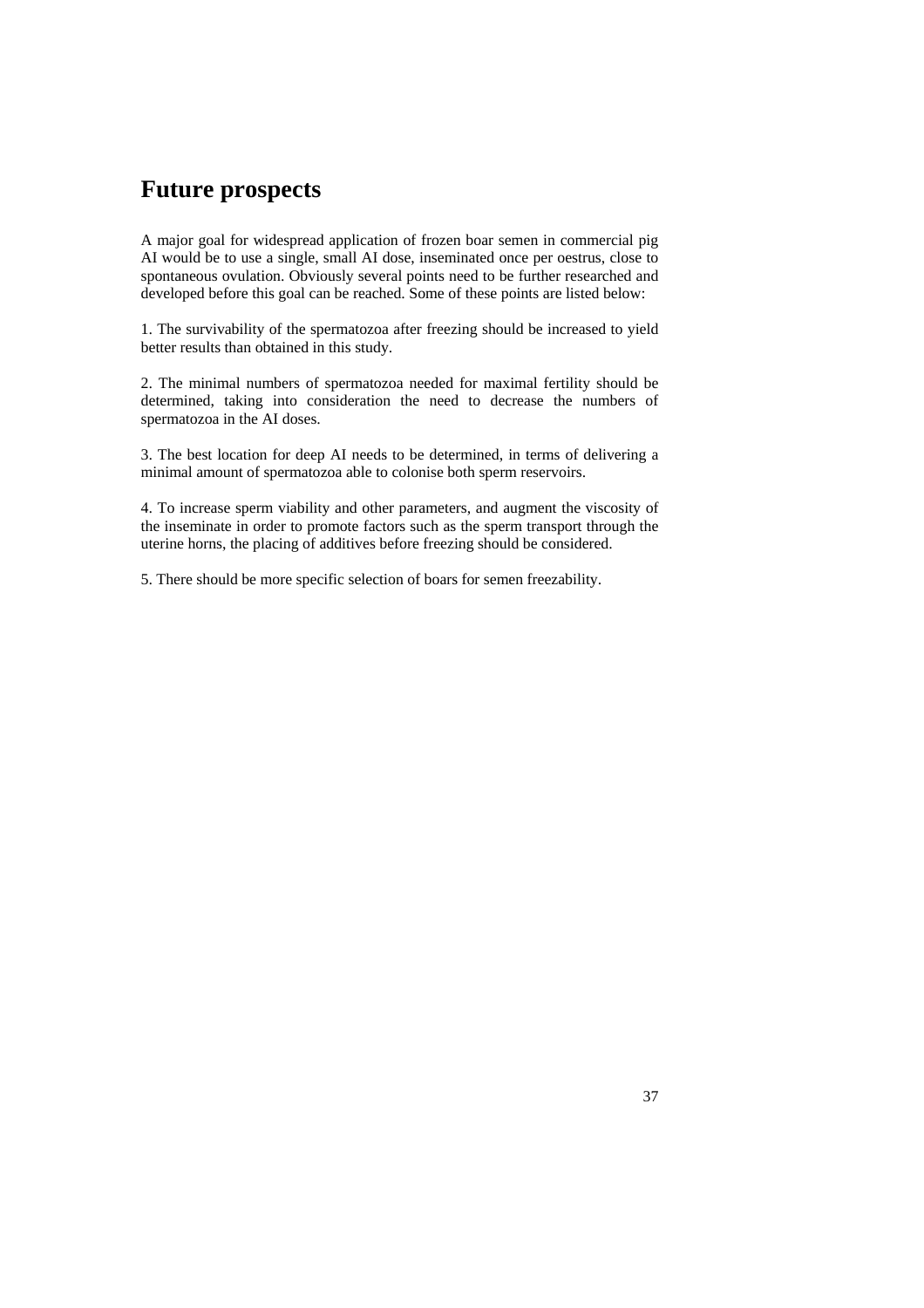## **Future prospects**

A major goal for widespread application of frozen boar semen in commercial pig AI would be to use a single, small AI dose, inseminated once per oestrus, close to spontaneous ovulation. Obviously several points need to be further researched and developed before this goal can be reached. Some of these points are listed below:

1. The survivability of the spermatozoa after freezing should be increased to yield better results than obtained in this study.

2. The minimal numbers of spermatozoa needed for maximal fertility should be determined, taking into consideration the need to decrease the numbers of spermatozoa in the AI doses.

3. The best location for deep AI needs to be determined, in terms of delivering a minimal amount of spermatozoa able to colonise both sperm reservoirs.

4. To increase sperm viability and other parameters, and augment the viscosity of the inseminate in order to promote factors such as the sperm transport through the uterine horns, the placing of additives before freezing should be considered.

5. There should be more specific selection of boars for semen freezability.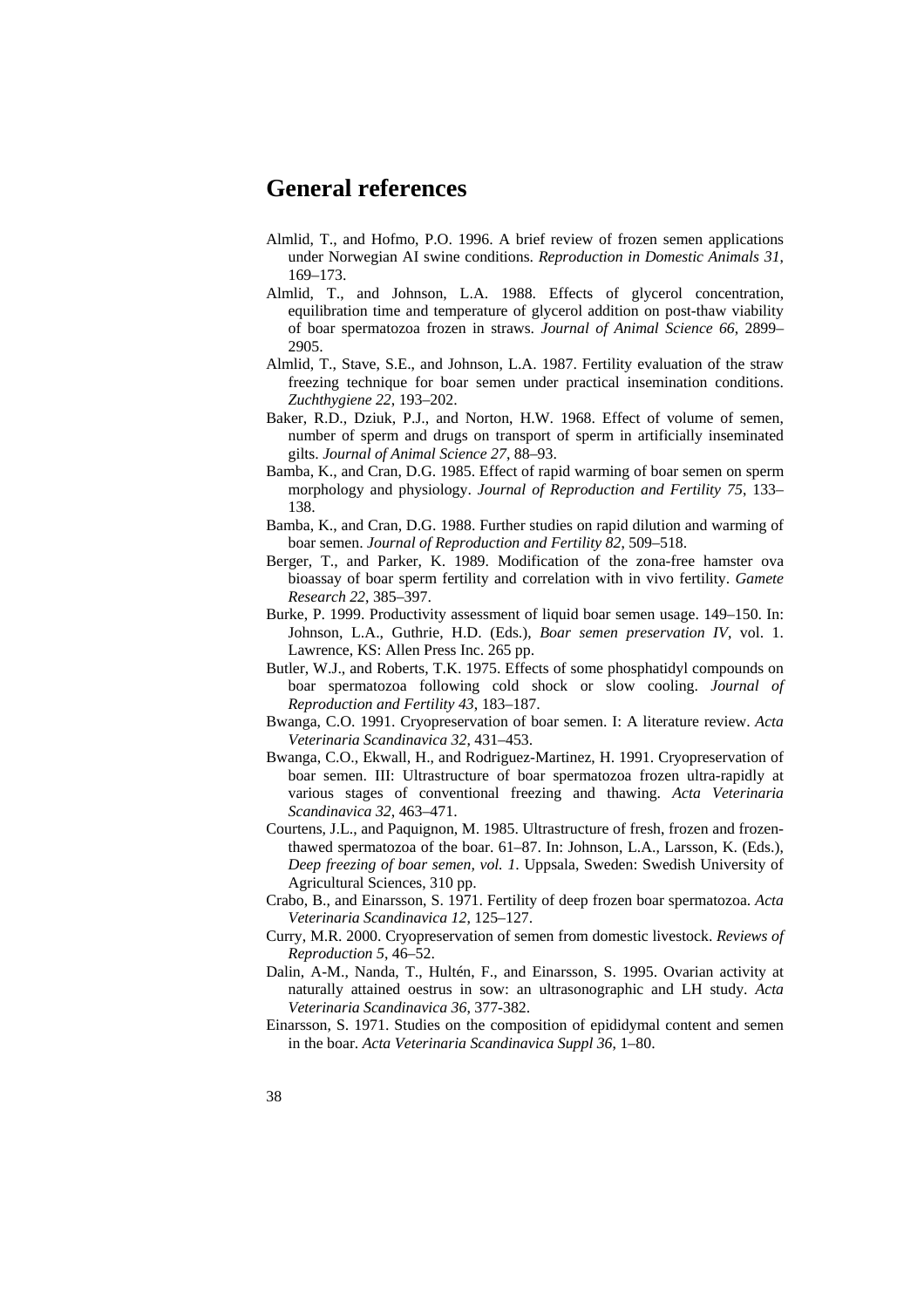## **General references**

- Almlid, T., and Hofmo, P.O. 1996. A brief review of frozen semen applications under Norwegian AI swine conditions. *Reproduction in Domestic Animals 31*, 169–173.
- Almlid, T., and Johnson, L.A. 1988. Effects of glycerol concentration, equilibration time and temperature of glycerol addition on post-thaw viability of boar spermatozoa frozen in straws. *Journal of Animal Science 66*, 2899– 2905.
- Almlid, T., Stave, S.E., and Johnson, L.A. 1987. Fertility evaluation of the straw freezing technique for boar semen under practical insemination conditions. *Zuchthygiene 22*, 193–202.
- Baker, R.D., Dziuk, P.J., and Norton, H.W. 1968. Effect of volume of semen, number of sperm and drugs on transport of sperm in artificially inseminated gilts. *Journal of Animal Science 27*, 88–93.
- Bamba, K., and Cran, D.G. 1985. Effect of rapid warming of boar semen on sperm morphology and physiology. *Journal of Reproduction and Fertility 75*, 133– 138.
- Bamba, K., and Cran, D.G. 1988. Further studies on rapid dilution and warming of boar semen. *Journal of Reproduction and Fertility 82*, 509–518.
- Berger, T., and Parker, K. 1989. Modification of the zona-free hamster ova bioassay of boar sperm fertility and correlation with in vivo fertility. *Gamete Research 22*, 385–397.
- Burke, P. 1999. Productivity assessment of liquid boar semen usage. 149–150. In: Johnson, L.A., Guthrie, H.D. (Eds.), *Boar semen preservation IV*, vol. 1. Lawrence, KS: Allen Press Inc. 265 pp.
- Butler, W.J., and Roberts, T.K. 1975. Effects of some phosphatidyl compounds on boar spermatozoa following cold shock or slow cooling. *Journal of Reproduction and Fertility 43*, 183–187.
- Bwanga, C.O. 1991. Cryopreservation of boar semen. I: A literature review. *Acta Veterinaria Scandinavica 32*, 431–453.
- Bwanga, C.O., Ekwall, H., and Rodriguez-Martinez, H. 1991. Cryopreservation of boar semen. III: Ultrastructure of boar spermatozoa frozen ultra-rapidly at various stages of conventional freezing and thawing. *Acta Veterinaria Scandinavica 32*, 463–471.
- Courtens, J.L., and Paquignon, M. 1985. Ultrastructure of fresh, frozen and frozenthawed spermatozoa of the boar. 61–87. In: Johnson, L.A., Larsson, K. (Eds.), *Deep freezing of boar semen, vol. 1*. Uppsala, Sweden: Swedish University of Agricultural Sciences, 310 pp.
- Crabo, B., and Einarsson, S. 1971. Fertility of deep frozen boar spermatozoa. *Acta Veterinaria Scandinavica 12*, 125–127.
- Curry, M.R. 2000. Cryopreservation of semen from domestic livestock. *Reviews of Reproduction 5*, 46–52.
- Dalin, A-M., Nanda, T., Hultén, F., and Einarsson, S. 1995. Ovarian activity at naturally attained oestrus in sow: an ultrasonographic and LH study. *Acta Veterinaria Scandinavica 36*, 377-382.
- Einarsson, S. 1971. Studies on the composition of epididymal content and semen in the boar. *Acta Veterinaria Scandinavica Suppl 36*, 1–80.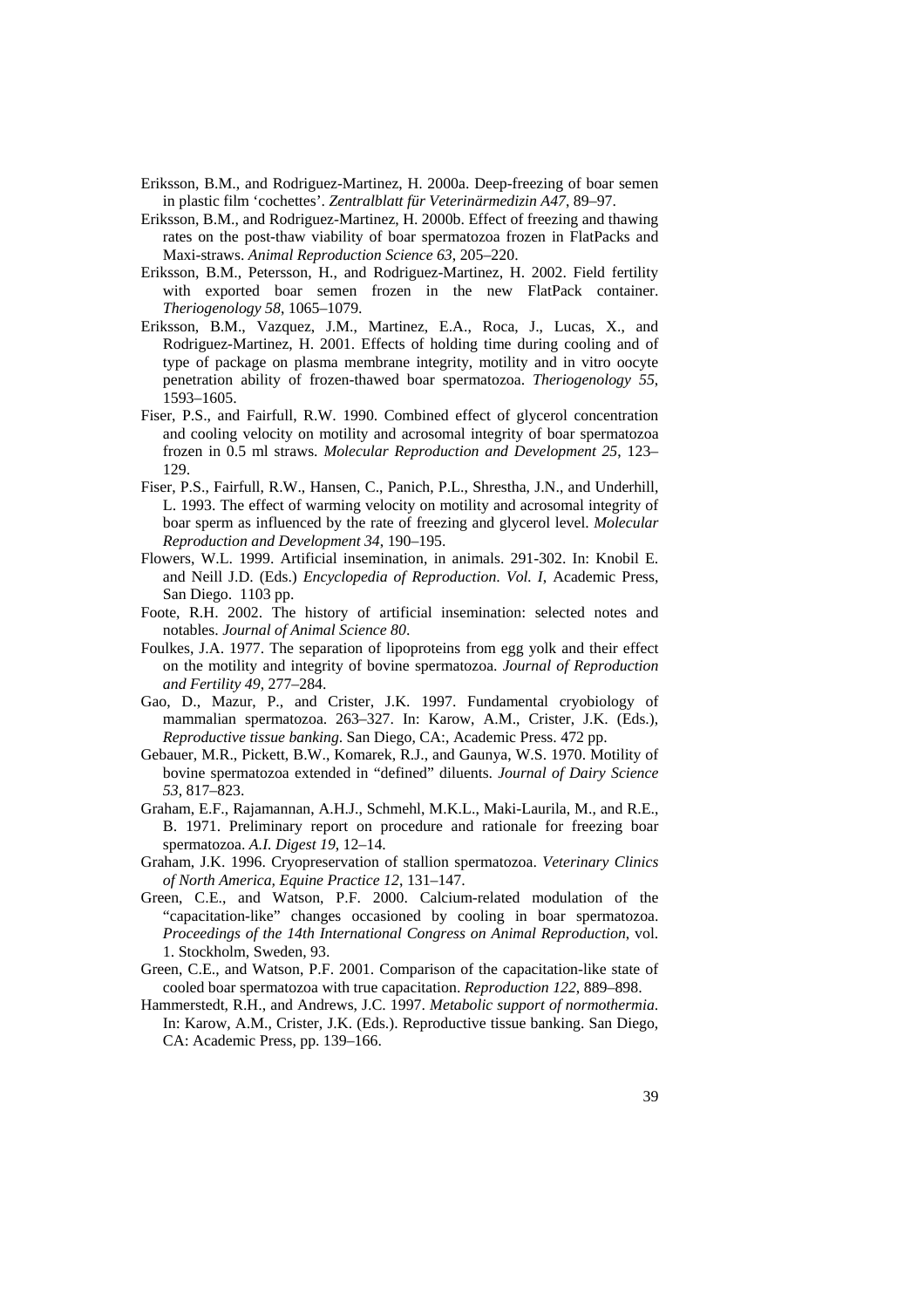- Eriksson, B.M., and Rodriguez-Martinez, H. 2000a. Deep-freezing of boar semen in plastic film 'cochettes'. *Zentralblatt für Veterinärmedizin A47*, 89–97.
- Eriksson, B.M., and Rodriguez-Martinez, H. 2000b. Effect of freezing and thawing rates on the post-thaw viability of boar spermatozoa frozen in FlatPacks and Maxi-straws. *Animal Reproduction Science 63*, 205–220.
- Eriksson, B.M., Petersson, H., and Rodriguez-Martinez, H. 2002. Field fertility with exported boar semen frozen in the new FlatPack container. *Theriogenology 58*, 1065–1079.
- Eriksson, B.M., Vazquez, J.M., Martinez, E.A., Roca, J., Lucas, X., and Rodriguez-Martinez, H. 2001. Effects of holding time during cooling and of type of package on plasma membrane integrity, motility and in vitro oocyte penetration ability of frozen-thawed boar spermatozoa. *Theriogenology 55*, 1593–1605.
- Fiser, P.S., and Fairfull, R.W. 1990. Combined effect of glycerol concentration and cooling velocity on motility and acrosomal integrity of boar spermatozoa frozen in 0.5 ml straws. *Molecular Reproduction and Development 25*, 123– 129.
- Fiser, P.S., Fairfull, R.W., Hansen, C., Panich, P.L., Shrestha, J.N., and Underhill, L. 1993. The effect of warming velocity on motility and acrosomal integrity of boar sperm as influenced by the rate of freezing and glycerol level. *Molecular Reproduction and Development 34*, 190–195.
- Flowers, W.L. 1999. Artificial insemination, in animals. 291-302. In: Knobil E. and Neill J.D. (Eds.) *Encyclopedia of Reproduction*. *Vol. I*, Academic Press, San Diego. 1103 pp.
- Foote, R.H. 2002. The history of artificial insemination: selected notes and notables. *Journal of Animal Science 80*.
- Foulkes, J.A. 1977. The separation of lipoproteins from egg yolk and their effect on the motility and integrity of bovine spermatozoa. *Journal of Reproduction and Fertility 49*, 277–284.
- Gao, D., Mazur, P., and Crister, J.K. 1997. Fundamental cryobiology of mammalian spermatozoa. 263–327. In: Karow, A.M., Crister, J.K. (Eds.), *Reproductive tissue banking*. San Diego, CA:, Academic Press. 472 pp.
- Gebauer, M.R., Pickett, B.W., Komarek, R.J., and Gaunya, W.S. 1970. Motility of bovine spermatozoa extended in "defined" diluents. *Journal of Dairy Science 53*, 817–823.
- Graham, E.F., Rajamannan, A.H.J., Schmehl, M.K.L., Maki-Laurila, M., and R.E., B. 1971. Preliminary report on procedure and rationale for freezing boar spermatozoa. *A.I. Digest 19*, 12–14.
- Graham, J.K. 1996. Cryopreservation of stallion spermatozoa. *Veterinary Clinics of North America, Equine Practice 12*, 131–147.
- Green, C.E., and Watson, P.F. 2000. Calcium-related modulation of the "capacitation-like" changes occasioned by cooling in boar spermatozoa. *Proceedings of the 14th International Congress on Animal Reproduction*, vol. 1. Stockholm, Sweden, 93.
- Green, C.E., and Watson, P.F. 2001. Comparison of the capacitation-like state of cooled boar spermatozoa with true capacitation. *Reproduction 122*, 889–898.
- Hammerstedt, R.H., and Andrews, J.C. 1997. *Metabolic support of normothermia*. In: Karow, A.M., Crister, J.K. (Eds.). Reproductive tissue banking. San Diego, CA: Academic Press, pp. 139–166.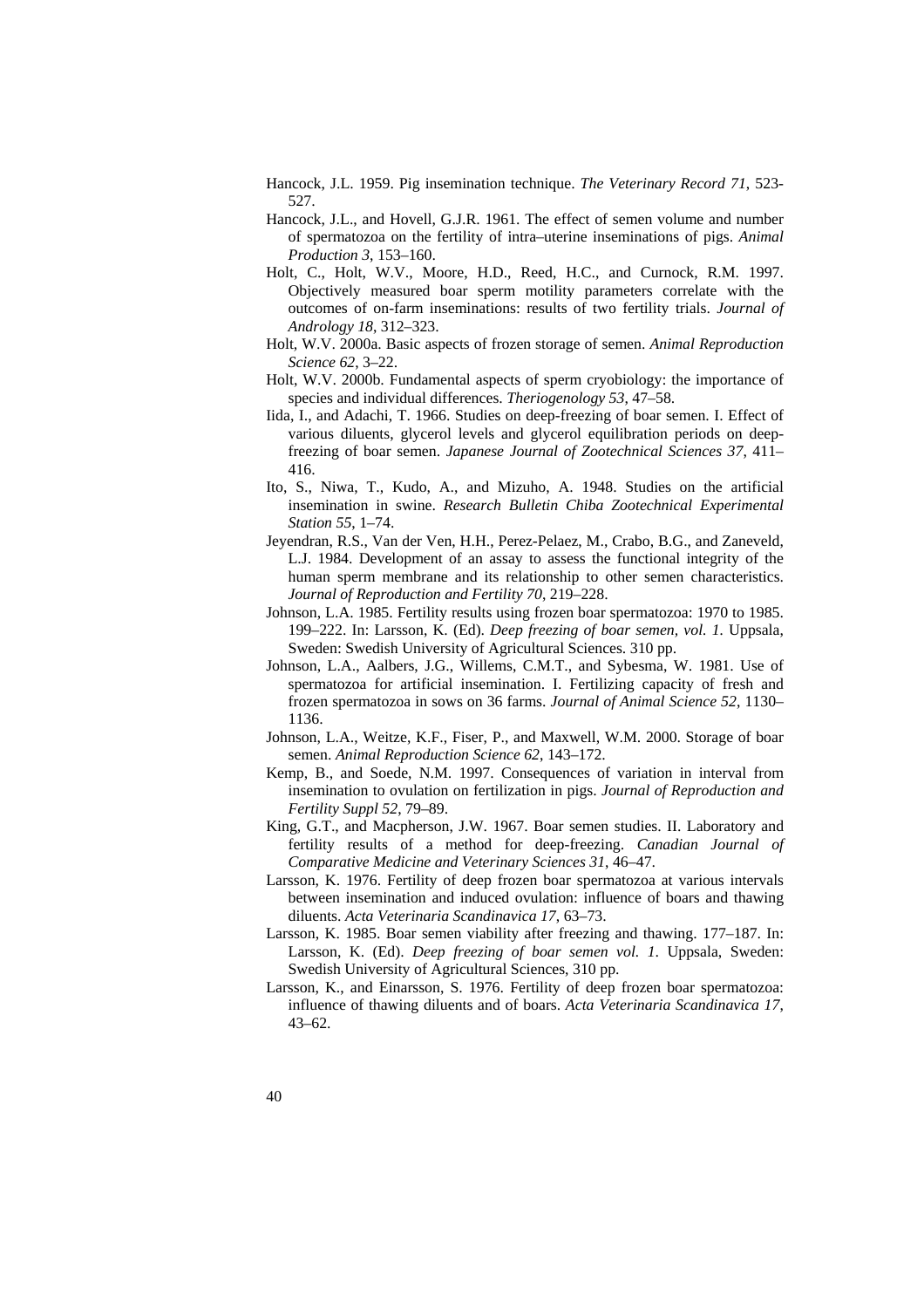- Hancock, J.L. 1959. Pig insemination technique. *The Veterinary Record 71*, 523- 527.
- Hancock, J.L., and Hovell, G.J.R. 1961. The effect of semen volume and number of spermatozoa on the fertility of intra–uterine inseminations of pigs. *Animal Production 3*, 153–160.
- Holt, C., Holt, W.V., Moore, H.D., Reed, H.C., and Curnock, R.M. 1997. Objectively measured boar sperm motility parameters correlate with the outcomes of on-farm inseminations: results of two fertility trials. *Journal of Andrology 18*, 312–323.
- Holt, W.V. 2000a. Basic aspects of frozen storage of semen. *Animal Reproduction Science 62*, 3–22.
- Holt, W.V. 2000b. Fundamental aspects of sperm cryobiology: the importance of species and individual differences. *Theriogenology 53*, 47–58.
- Iida, I., and Adachi, T. 1966. Studies on deep-freezing of boar semen. I. Effect of various diluents, glycerol levels and glycerol equilibration periods on deepfreezing of boar semen. *Japanese Journal of Zootechnical Sciences 37*, 411– 416.
- Ito, S., Niwa, T., Kudo, A., and Mizuho, A. 1948. Studies on the artificial insemination in swine. *Research Bulletin Chiba Zootechnical Experimental Station 55*, 1–74.
- Jeyendran, R.S., Van der Ven, H.H., Perez-Pelaez, M., Crabo, B.G., and Zaneveld, L.J. 1984. Development of an assay to assess the functional integrity of the human sperm membrane and its relationship to other semen characteristics. *Journal of Reproduction and Fertility 70*, 219–228.
- Johnson, L.A. 1985. Fertility results using frozen boar spermatozoa: 1970 to 1985. 199–222. In: Larsson, K. (Ed). *Deep freezing of boar semen, vol. 1.* Uppsala, Sweden: Swedish University of Agricultural Sciences. 310 pp.
- Johnson, L.A., Aalbers, J.G., Willems, C.M.T., and Sybesma, W. 1981. Use of spermatozoa for artificial insemination. I. Fertilizing capacity of fresh and frozen spermatozoa in sows on 36 farms. *Journal of Animal Science 52*, 1130– 1136.
- Johnson, L.A., Weitze, K.F., Fiser, P., and Maxwell, W.M. 2000. Storage of boar semen. *Animal Reproduction Science 62*, 143–172.
- Kemp, B., and Soede, N.M. 1997. Consequences of variation in interval from insemination to ovulation on fertilization in pigs. *Journal of Reproduction and Fertility Suppl 52*, 79–89.
- King, G.T., and Macpherson, J.W. 1967. Boar semen studies. II. Laboratory and fertility results of a method for deep-freezing. *Canadian Journal of Comparative Medicine and Veterinary Sciences 31*, 46–47.
- Larsson, K. 1976. Fertility of deep frozen boar spermatozoa at various intervals between insemination and induced ovulation: influence of boars and thawing diluents. *Acta Veterinaria Scandinavica 17*, 63–73.
- Larsson, K. 1985. Boar semen viability after freezing and thawing. 177–187. In: Larsson, K. (Ed). *Deep freezing of boar semen vol. 1*. Uppsala, Sweden: Swedish University of Agricultural Sciences, 310 pp.
- Larsson, K., and Einarsson, S. 1976. Fertility of deep frozen boar spermatozoa: influence of thawing diluents and of boars. *Acta Veterinaria Scandinavica 17*, 43–62.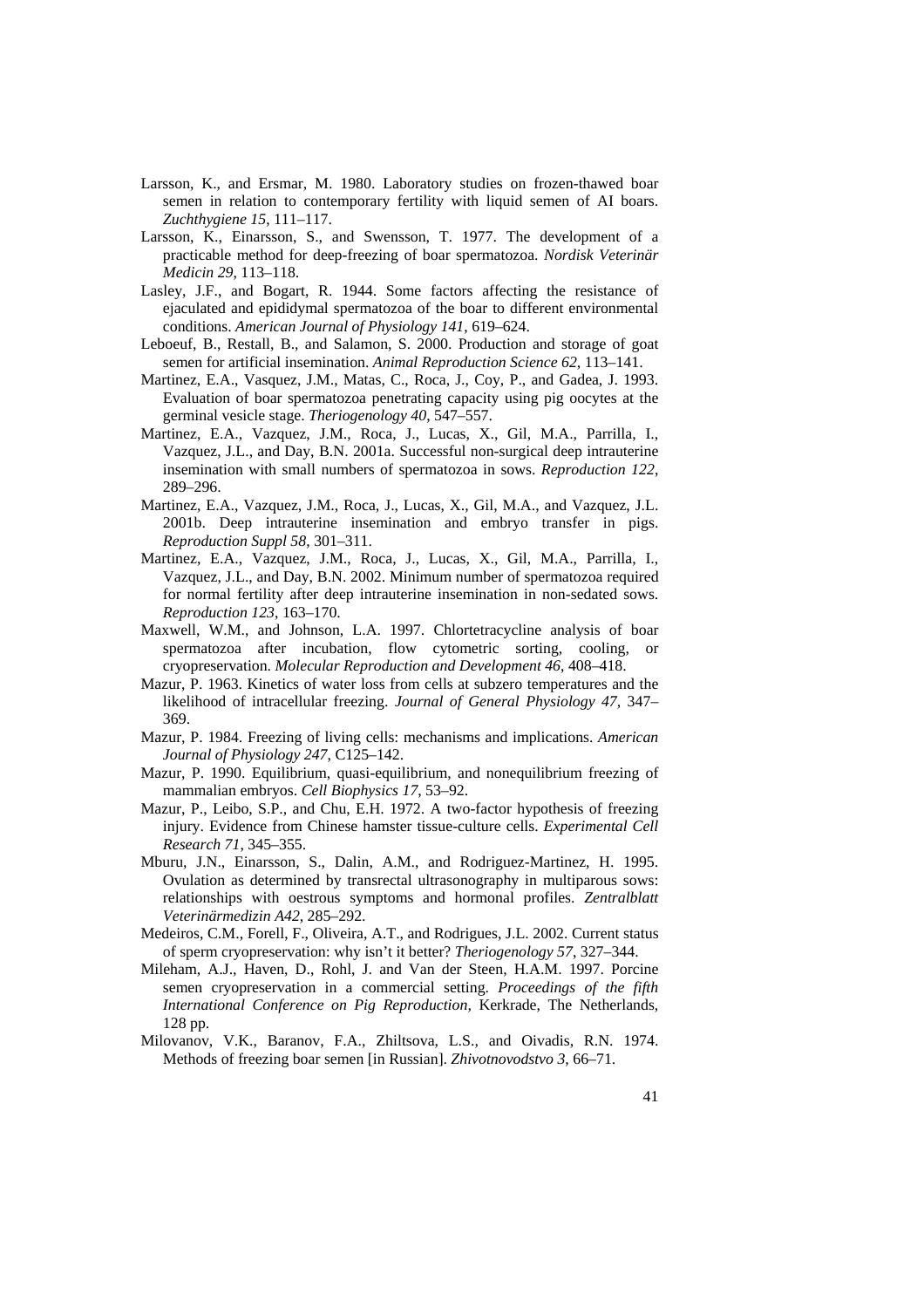- Larsson, K., and Ersmar, M. 1980. Laboratory studies on frozen-thawed boar semen in relation to contemporary fertility with liquid semen of AI boars. *Zuchthygiene 15*, 111–117.
- Larsson, K., Einarsson, S., and Swensson, T. 1977. The development of a practicable method for deep-freezing of boar spermatozoa. *Nordisk Veterinär Medicin 29*, 113–118.
- Lasley, J.F., and Bogart, R. 1944. Some factors affecting the resistance of ejaculated and epididymal spermatozoa of the boar to different environmental conditions. *American Journal of Physiology 141*, 619–624.
- Leboeuf, B., Restall, B., and Salamon, S. 2000. Production and storage of goat semen for artificial insemination. *Animal Reproduction Science 62*, 113–141.
- Martinez, E.A., Vasquez, J.M., Matas, C., Roca, J., Coy, P., and Gadea, J. 1993. Evaluation of boar spermatozoa penetrating capacity using pig oocytes at the germinal vesicle stage. *Theriogenology 40*, 547–557.
- Martinez, E.A., Vazquez, J.M., Roca, J., Lucas, X., Gil, M.A., Parrilla, I., Vazquez, J.L., and Day, B.N. 2001a. Successful non-surgical deep intrauterine insemination with small numbers of spermatozoa in sows. *Reproduction 122*, 289–296.
- Martinez, E.A., Vazquez, J.M., Roca, J., Lucas, X., Gil, M.A., and Vazquez, J.L. 2001b. Deep intrauterine insemination and embryo transfer in pigs. *Reproduction Suppl 58*, 301–311.
- Martinez, E.A., Vazquez, J.M., Roca, J., Lucas, X., Gil, M.A., Parrilla, I., Vazquez, J.L., and Day, B.N. 2002. Minimum number of spermatozoa required for normal fertility after deep intrauterine insemination in non-sedated sows. *Reproduction 123*, 163–170.
- Maxwell, W.M., and Johnson, L.A. 1997. Chlortetracycline analysis of boar spermatozoa after incubation, flow cytometric sorting, cooling, cryopreservation. *Molecular Reproduction and Development 46*, 408–418.
- Mazur, P. 1963. Kinetics of water loss from cells at subzero temperatures and the likelihood of intracellular freezing. *Journal of General Physiology 47*, 347– 369.
- Mazur, P. 1984. Freezing of living cells: mechanisms and implications. *American Journal of Physiology 247*, C125–142.
- Mazur, P. 1990. Equilibrium, quasi-equilibrium, and nonequilibrium freezing of mammalian embryos. *Cell Biophysics 17*, 53–92.
- Mazur, P., Leibo, S.P., and Chu, E.H. 1972. A two-factor hypothesis of freezing injury. Evidence from Chinese hamster tissue-culture cells. *Experimental Cell Research 71*, 345–355.
- Mburu, J.N., Einarsson, S., Dalin, A.M., and Rodriguez-Martinez, H. 1995. Ovulation as determined by transrectal ultrasonography in multiparous sows: relationships with oestrous symptoms and hormonal profiles. *Zentralblatt Veterinärmedizin A42*, 285–292.
- Medeiros, C.M., Forell, F., Oliveira, A.T., and Rodrigues, J.L. 2002. Current status of sperm cryopreservation: why isn't it better? *Theriogenology 57*, 327–344.
- Mileham, A.J., Haven, D., Rohl, J. and Van der Steen, H.A.M. 1997. Porcine semen cryopreservation in a commercial setting. *Proceedings of the fifth International Conference on Pig Reproduction,* Kerkrade, The Netherlands, 128 pp.
- Milovanov, V.K., Baranov, F.A., Zhiltsova, L.S., and Oivadis, R.N. 1974. Methods of freezing boar semen [in Russian]. *Zhivotnovodstvo 3*, 66–71.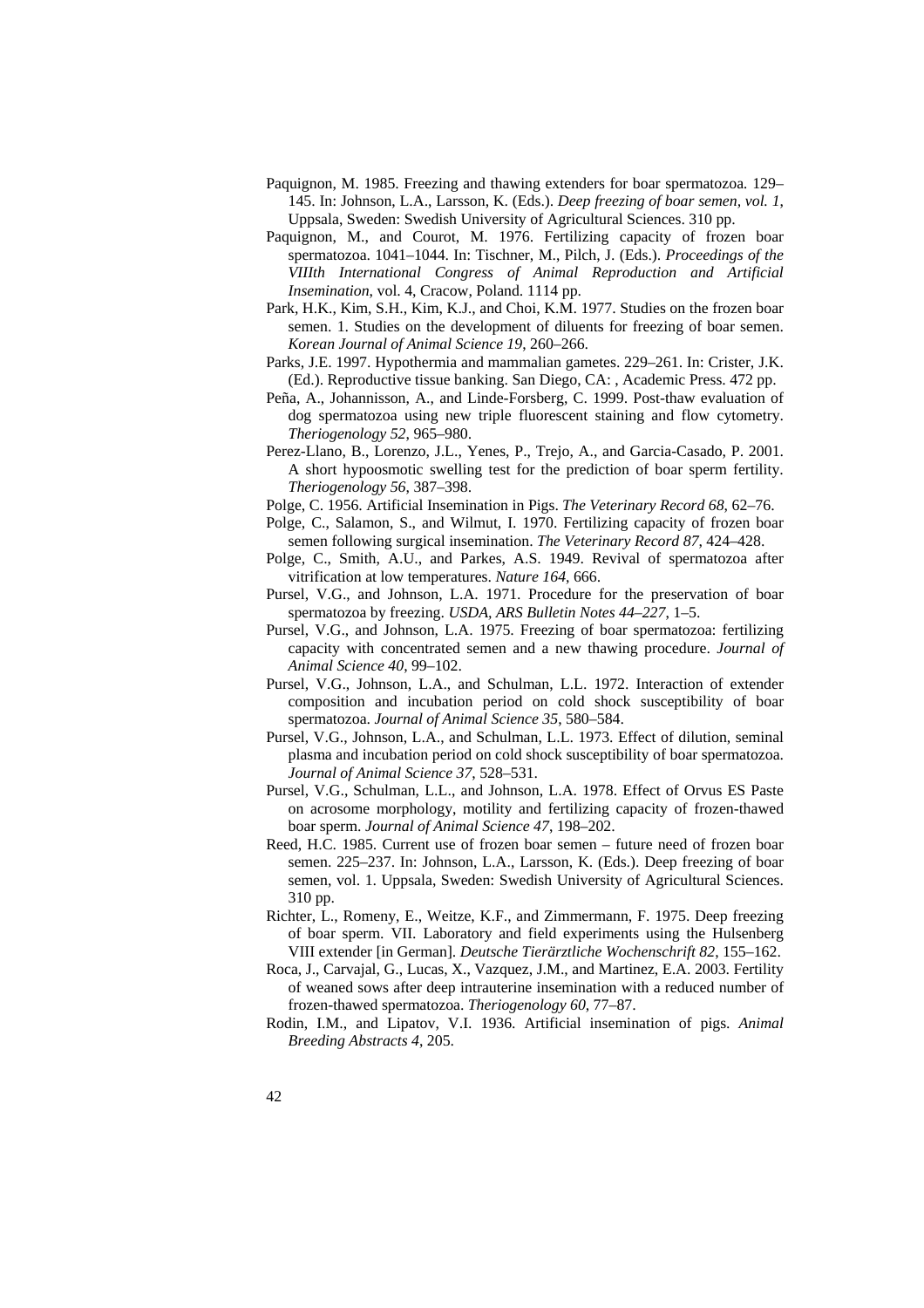- Paquignon, M. 1985. Freezing and thawing extenders for boar spermatozoa*.* 129– 145. In: Johnson, L.A., Larsson, K. (Eds.). *Deep freezing of boar semen, vol. 1*, Uppsala, Sweden: Swedish University of Agricultural Sciences. 310 pp.
- Paquignon, M., and Courot, M. 1976. Fertilizing capacity of frozen boar spermatozoa. 1041–1044. In: Tischner, M., Pilch, J. (Eds.). *Proceedings of the VIIIth International Congress of Animal Reproduction and Artificial Insemination*, vol. 4, Cracow, Poland. 1114 pp.
- Park, H.K., Kim, S.H., Kim, K.J., and Choi, K.M. 1977. Studies on the frozen boar semen. 1. Studies on the development of diluents for freezing of boar semen. *Korean Journal of Animal Science 19*, 260–266.
- Parks, J.E. 1997. Hypothermia and mammalian gametes. 229–261. In: Crister, J.K. (Ed.). Reproductive tissue banking. San Diego, CA: , Academic Press. 472 pp.
- Peña, A., Johannisson, A., and Linde-Forsberg, C. 1999. Post-thaw evaluation of dog spermatozoa using new triple fluorescent staining and flow cytometry. *Theriogenology 52*, 965–980.
- Perez-Llano, B., Lorenzo, J.L., Yenes, P., Trejo, A., and Garcia-Casado, P. 2001. A short hypoosmotic swelling test for the prediction of boar sperm fertility. *Theriogenology 56*, 387–398.

Polge, C. 1956. Artificial Insemination in Pigs. *The Veterinary Record 68*, 62–76.

- Polge, C., Salamon, S., and Wilmut, I. 1970. Fertilizing capacity of frozen boar semen following surgical insemination. *The Veterinary Record 87*, 424–428.
- Polge, C., Smith, A.U., and Parkes, A.S. 1949. Revival of spermatozoa after vitrification at low temperatures. *Nature 164*, 666.
- Pursel, V.G., and Johnson, L.A. 1971. Procedure for the preservation of boar spermatozoa by freezing. *USDA, ARS Bulletin Notes 44–227*, 1–5.
- Pursel, V.G., and Johnson, L.A. 1975. Freezing of boar spermatozoa: fertilizing capacity with concentrated semen and a new thawing procedure. *Journal of Animal Science 40*, 99–102.
- Pursel, V.G., Johnson, L.A., and Schulman, L.L. 1972. Interaction of extender composition and incubation period on cold shock susceptibility of boar spermatozoa. *Journal of Animal Science 35*, 580–584.
- Pursel, V.G., Johnson, L.A., and Schulman, L.L. 1973. Effect of dilution, seminal plasma and incubation period on cold shock susceptibility of boar spermatozoa. *Journal of Animal Science 37*, 528–531.
- Pursel, V.G., Schulman, L.L., and Johnson, L.A. 1978. Effect of Orvus ES Paste on acrosome morphology, motility and fertilizing capacity of frozen-thawed boar sperm. *Journal of Animal Science 47*, 198–202.
- Reed, H.C. 1985. Current use of frozen boar semen future need of frozen boar semen. 225–237. In: Johnson, L.A., Larsson, K. (Eds.). Deep freezing of boar semen, vol. 1. Uppsala, Sweden: Swedish University of Agricultural Sciences. 310 pp.
- Richter, L., Romeny, E., Weitze, K.F., and Zimmermann, F. 1975. Deep freezing of boar sperm. VII. Laboratory and field experiments using the Hulsenberg VIII extender [in German]. *Deutsche Tierärztliche Wochenschrift 82*, 155–162.
- Roca, J., Carvajal, G., Lucas, X., Vazquez, J.M., and Martinez, E.A. 2003. Fertility of weaned sows after deep intrauterine insemination with a reduced number of frozen-thawed spermatozoa. *Theriogenology 60*, 77–87.
- Rodin, I.M., and Lipatov, V.I. 1936. Artificial insemination of pigs. *Animal Breeding Abstracts 4*, 205.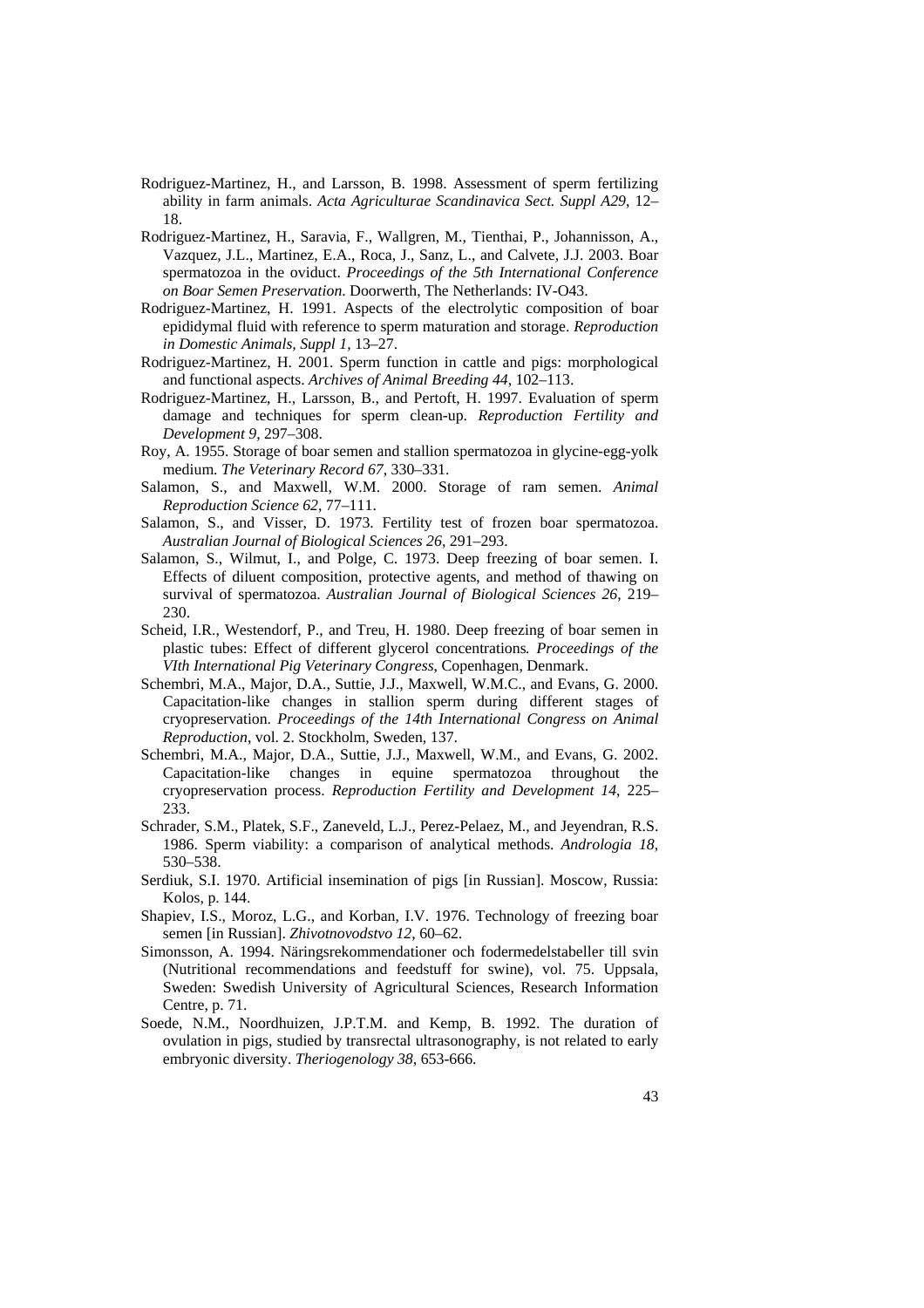- Rodriguez-Martinez, H., and Larsson, B. 1998. Assessment of sperm fertilizing ability in farm animals. *Acta Agriculturae Scandinavica Sect. Suppl A29*, 12– 18.
- Rodriguez-Martinez, H., Saravia, F., Wallgren, M., Tienthai, P., Johannisson, A., Vazquez, J.L., Martinez, E.A., Roca, J., Sanz, L., and Calvete, J.J. 2003. Boar spermatozoa in the oviduct. *Proceedings of the 5th International Conference on Boar Semen Preservation*. Doorwerth, The Netherlands: IV-O43.
- Rodriguez-Martinez, H. 1991. Aspects of the electrolytic composition of boar epididymal fluid with reference to sperm maturation and storage. *Reproduction in Domestic Animals, Suppl 1*, 13–27.
- Rodriguez-Martinez, H. 2001. Sperm function in cattle and pigs: morphological and functional aspects. *Archives of Animal Breeding 44*, 102–113.
- Rodriguez-Martinez, H., Larsson, B., and Pertoft, H. 1997. Evaluation of sperm damage and techniques for sperm clean-up. *Reproduction Fertility and Development 9*, 297–308.
- Roy, A. 1955. Storage of boar semen and stallion spermatozoa in glycine-egg-yolk medium. *The Veterinary Record 67*, 330–331.
- Salamon, S., and Maxwell, W.M. 2000. Storage of ram semen. *Animal Reproduction Science 62*, 77–111.
- Salamon, S., and Visser, D. 1973. Fertility test of frozen boar spermatozoa. *Australian Journal of Biological Sciences 26*, 291–293.
- Salamon, S., Wilmut, I., and Polge, C. 1973. Deep freezing of boar semen. I. Effects of diluent composition, protective agents, and method of thawing on survival of spermatozoa. *Australian Journal of Biological Sciences 26*, 219– 230.
- Scheid, I.R., Westendorf, P., and Treu, H. 1980. Deep freezing of boar semen in plastic tubes: Effect of different glycerol concentrations*. Proceedings of the VIth International Pig Veterinary Congress*, Copenhagen, Denmark.
- Schembri, M.A., Major, D.A., Suttie, J.J., Maxwell, W.M.C., and Evans, G. 2000. Capacitation-like changes in stallion sperm during different stages of cryopreservation. *Proceedings of the 14th International Congress on Animal Reproduction*, vol. 2. Stockholm, Sweden, 137.
- Schembri, M.A., Major, D.A., Suttie, J.J., Maxwell, W.M., and Evans, G. 2002. Capacitation-like changes in equine spermatozoa throughout the cryopreservation process. *Reproduction Fertility and Development 14*, 225– 233.
- Schrader, S.M., Platek, S.F., Zaneveld, L.J., Perez-Pelaez, M., and Jeyendran, R.S. 1986. Sperm viability: a comparison of analytical methods. *Andrologia 18*, 530–538.
- Serdiuk, S.I. 1970. Artificial insemination of pigs [in Russian]. Moscow, Russia: Kolos, p. 144.
- Shapiev, I.S., Moroz, L.G., and Korban, I.V. 1976. Technology of freezing boar semen [in Russian]. *Zhivotnovodstvo 12*, 60–62.
- Simonsson, A. 1994. Näringsrekommendationer och fodermedelstabeller till svin (Nutritional recommendations and feedstuff for swine), vol. 75. Uppsala, Sweden: Swedish University of Agricultural Sciences, Research Information Centre, p. 71.
- Soede, N.M., Noordhuizen, J.P.T.M. and Kemp, B. 1992. The duration of ovulation in pigs, studied by transrectal ultrasonography, is not related to early embryonic diversity. *Theriogenology 38*, 653-666.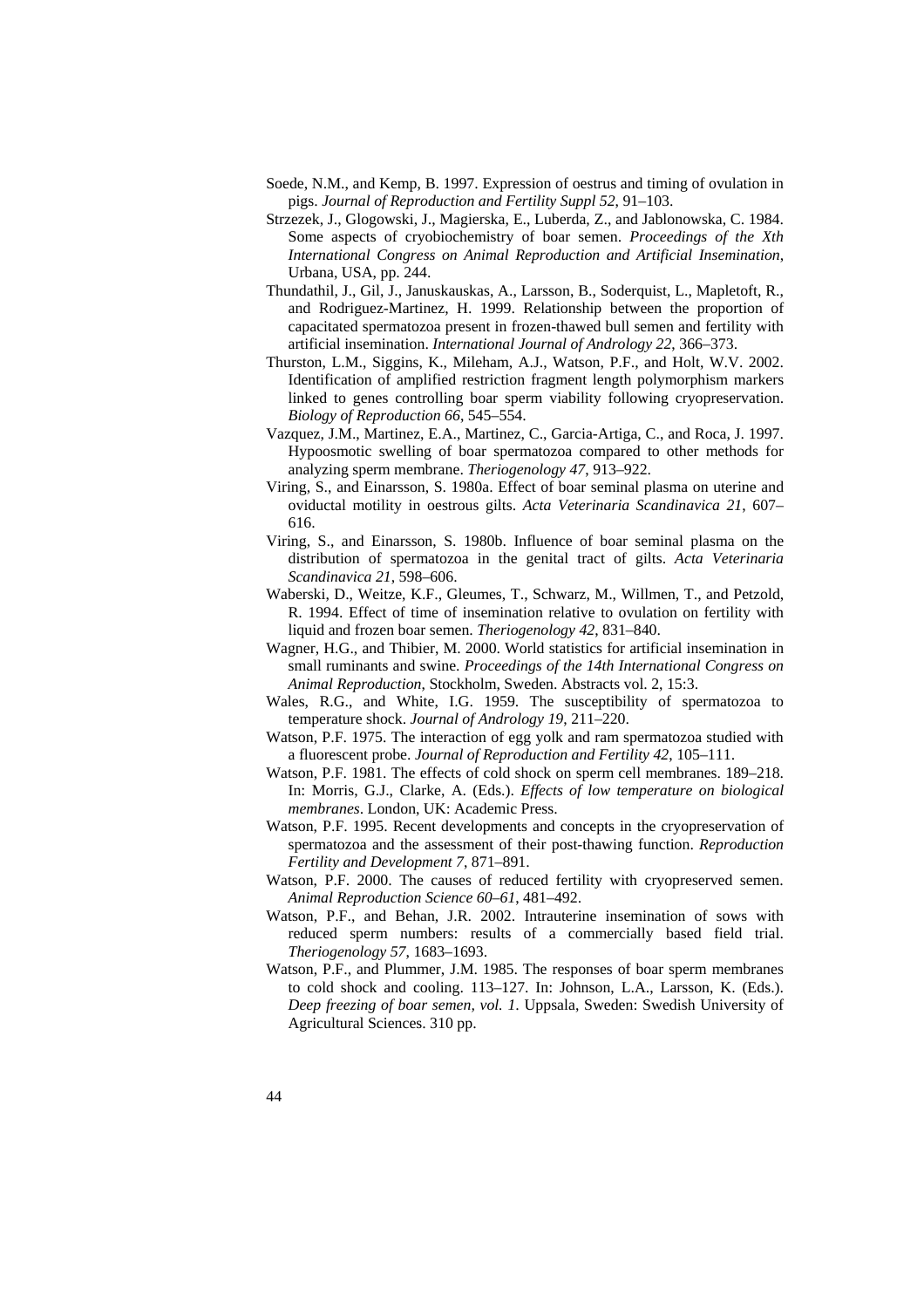- Soede, N.M., and Kemp, B. 1997. Expression of oestrus and timing of ovulation in pigs. *Journal of Reproduction and Fertility Suppl 52*, 91–103.
- Strzezek, J., Glogowski, J., Magierska, E., Luberda, Z., and Jablonowska, C. 1984. Some aspects of cryobiochemistry of boar semen. *Proceedings of the Xth International Congress on Animal Reproduction and Artificial Insemination*, Urbana, USA, pp. 244.
- Thundathil, J., Gil, J., Januskauskas, A., Larsson, B., Soderquist, L., Mapletoft, R., and Rodriguez-Martinez, H. 1999. Relationship between the proportion of capacitated spermatozoa present in frozen-thawed bull semen and fertility with artificial insemination. *International Journal of Andrology 22*, 366–373.
- Thurston, L.M., Siggins, K., Mileham, A.J., Watson, P.F., and Holt, W.V. 2002. Identification of amplified restriction fragment length polymorphism markers linked to genes controlling boar sperm viability following cryopreservation. *Biology of Reproduction 66*, 545–554.
- Vazquez, J.M., Martinez, E.A., Martinez, C., Garcia-Artiga, C., and Roca, J. 1997. Hypoosmotic swelling of boar spermatozoa compared to other methods for analyzing sperm membrane. *Theriogenology 47*, 913–922.
- Viring, S., and Einarsson, S. 1980a. Effect of boar seminal plasma on uterine and oviductal motility in oestrous gilts. *Acta Veterinaria Scandinavica 21*, 607– 616.
- Viring, S., and Einarsson, S. 1980b. Influence of boar seminal plasma on the distribution of spermatozoa in the genital tract of gilts. *Acta Veterinaria Scandinavica 21*, 598–606.
- Waberski, D., Weitze, K.F., Gleumes, T., Schwarz, M., Willmen, T., and Petzold, R. 1994. Effect of time of insemination relative to ovulation on fertility with liquid and frozen boar semen. *Theriogenology 42*, 831–840.
- Wagner, H.G., and Thibier, M. 2000. World statistics for artificial insemination in small ruminants and swine. *Proceedings of the 14th International Congress on Animal Reproduction*, Stockholm, Sweden. Abstracts vol. 2, 15:3.
- Wales, R.G., and White, I.G. 1959. The susceptibility of spermatozoa to temperature shock. *Journal of Andrology 19*, 211–220.
- Watson, P.F. 1975. The interaction of egg yolk and ram spermatozoa studied with a fluorescent probe. *Journal of Reproduction and Fertility 42*, 105–111.
- Watson, P.F. 1981. The effects of cold shock on sperm cell membranes. 189–218. In: Morris, G.J., Clarke, A. (Eds.). *Effects of low temperature on biological membranes*. London, UK: Academic Press.
- Watson, P.F. 1995. Recent developments and concepts in the cryopreservation of spermatozoa and the assessment of their post-thawing function. *Reproduction Fertility and Development 7*, 871–891.
- Watson, P.F. 2000. The causes of reduced fertility with cryopreserved semen. *Animal Reproduction Science 60–61*, 481–492.
- Watson, P.F., and Behan, J.R. 2002. Intrauterine insemination of sows with reduced sperm numbers: results of a commercially based field trial. *Theriogenology 57*, 1683–1693.
- Watson, P.F., and Plummer, J.M. 1985. The responses of boar sperm membranes to cold shock and cooling. 113–127. In: Johnson, L.A., Larsson, K. (Eds.). *Deep freezing of boar semen, vol. 1*. Uppsala, Sweden: Swedish University of Agricultural Sciences. 310 pp.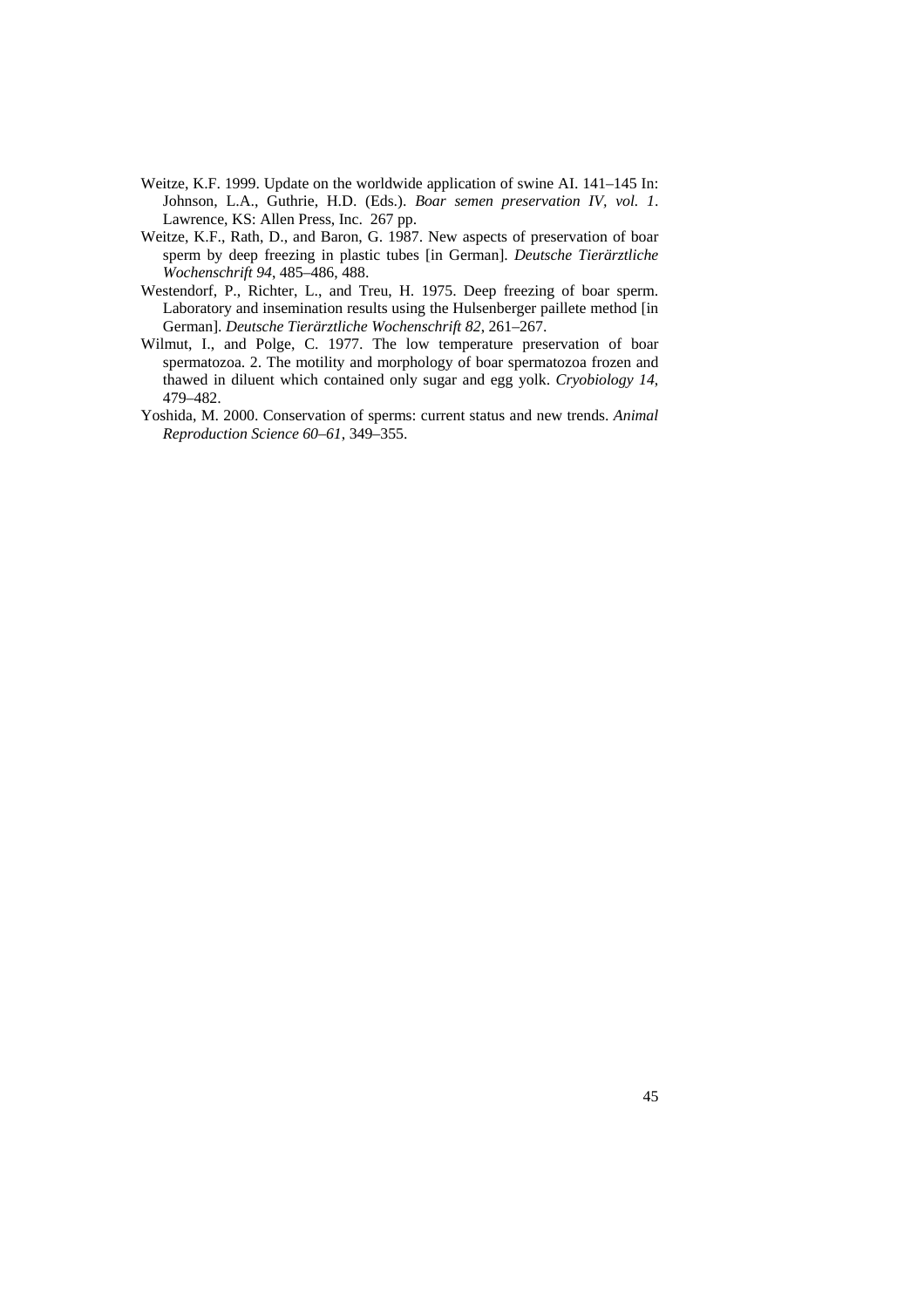- Weitze, K.F. 1999. Update on the worldwide application of swine AI. 141–145 In: Johnson, L.A., Guthrie, H.D. (Eds.). *Boar semen preservation IV, vol. 1*. Lawrence, KS: Allen Press, Inc. 267 pp.
- Weitze, K.F., Rath, D., and Baron, G. 1987. New aspects of preservation of boar sperm by deep freezing in plastic tubes [in German]. *Deutsche Tierärztliche Wochenschrift 94*, 485–486, 488.
- Westendorf, P., Richter, L., and Treu, H. 1975. Deep freezing of boar sperm. Laboratory and insemination results using the Hulsenberger paillete method [in German]. *Deutsche Tierärztliche Wochenschrift 82*, 261–267.
- Wilmut, I., and Polge, C. 1977. The low temperature preservation of boar spermatozoa. 2. The motility and morphology of boar spermatozoa frozen and thawed in diluent which contained only sugar and egg yolk. *Cryobiology 14*, 479–482.
- Yoshida, M. 2000. Conservation of sperms: current status and new trends. *Animal Reproduction Science 60–61*, 349–355.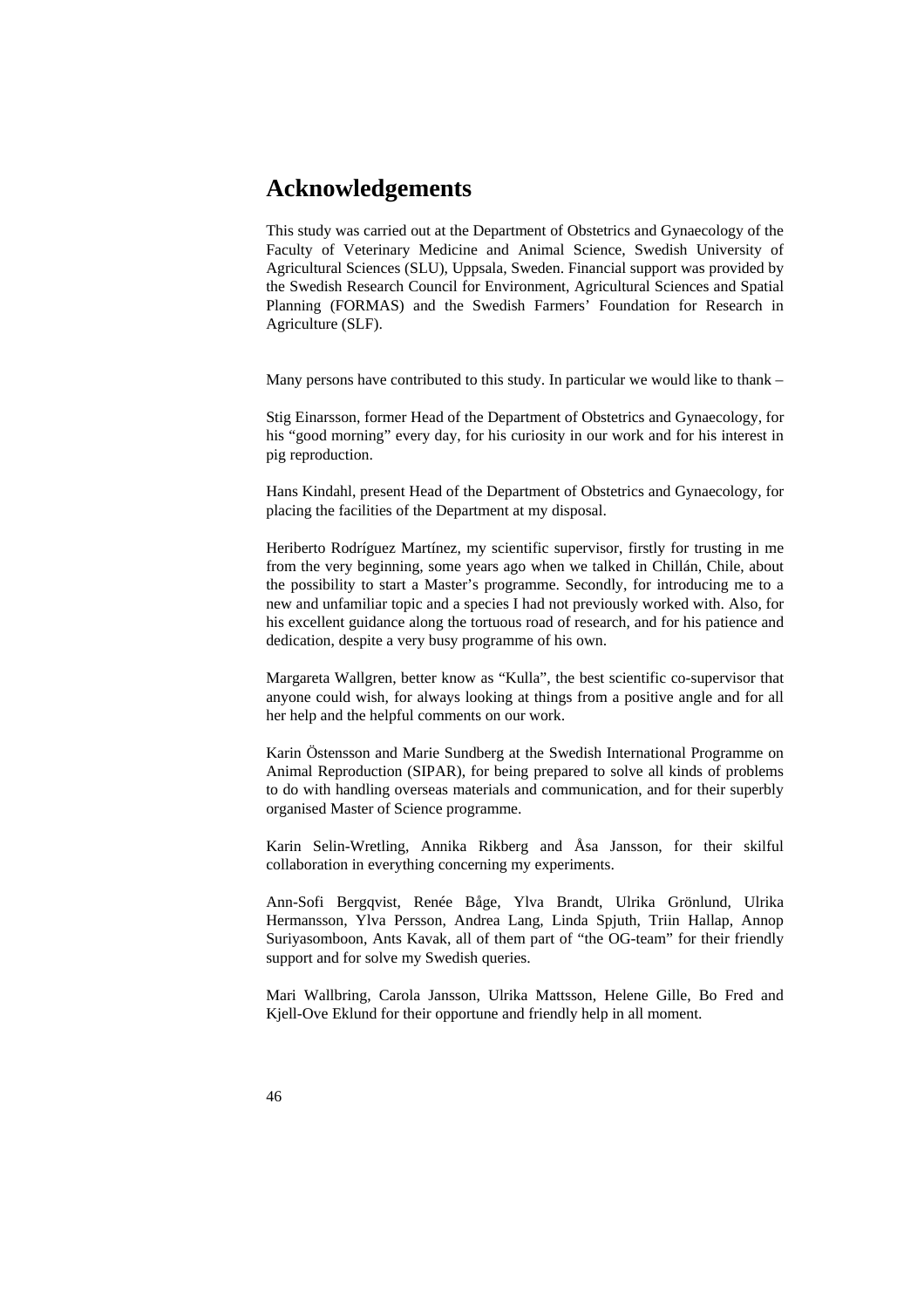## **Acknowledgements**

This study was carried out at the Department of Obstetrics and Gynaecology of the Faculty of Veterinary Medicine and Animal Science, Swedish University of Agricultural Sciences (SLU), Uppsala, Sweden. Financial support was provided by the Swedish Research Council for Environment, Agricultural Sciences and Spatial Planning (FORMAS) and the Swedish Farmers' Foundation for Research in Agriculture (SLF).

Many persons have contributed to this study. In particular we would like to thank –

Stig Einarsson, former Head of the Department of Obstetrics and Gynaecology, for his "good morning" every day, for his curiosity in our work and for his interest in pig reproduction.

Hans Kindahl, present Head of the Department of Obstetrics and Gynaecology, for placing the facilities of the Department at my disposal.

Heriberto Rodríguez Martínez, my scientific supervisor, firstly for trusting in me from the very beginning, some years ago when we talked in Chillán, Chile, about the possibility to start a Master's programme. Secondly, for introducing me to a new and unfamiliar topic and a species I had not previously worked with. Also, for his excellent guidance along the tortuous road of research, and for his patience and dedication, despite a very busy programme of his own.

Margareta Wallgren, better know as "Kulla", the best scientific co-supervisor that anyone could wish, for always looking at things from a positive angle and for all her help and the helpful comments on our work.

Karin Östensson and Marie Sundberg at the Swedish International Programme on Animal Reproduction (SIPAR), for being prepared to solve all kinds of problems to do with handling overseas materials and communication, and for their superbly organised Master of Science programme.

Karin Selin-Wretling, Annika Rikberg and Åsa Jansson, for their skilful collaboration in everything concerning my experiments.

Ann-Sofi Bergqvist, Renée Båge, Ylva Brandt, Ulrika Grönlund, Ulrika Hermansson, Ylva Persson, Andrea Lang, Linda Spjuth, Triin Hallap, Annop Suriyasomboon, Ants Kavak, all of them part of "the OG-team" for their friendly support and for solve my Swedish queries.

Mari Wallbring, Carola Jansson, Ulrika Mattsson, Helene Gille, Bo Fred and Kjell-Ove Eklund for their opportune and friendly help in all moment.